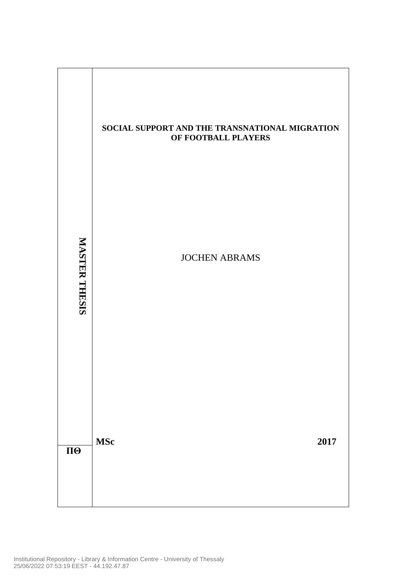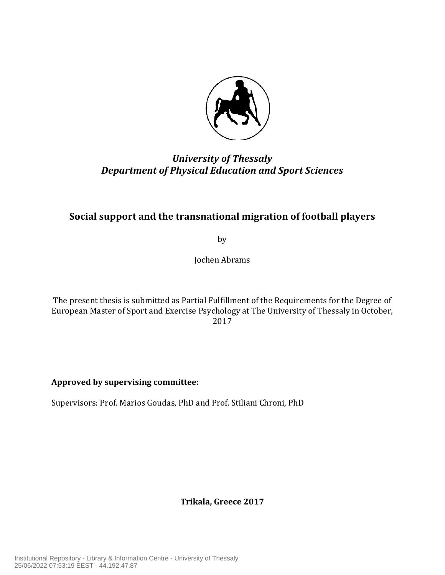

# *University of Thessaly Department of Physical Education and Sport Sciences*

# Social support and the transnational migration of football players

by

Jochen Abrams

The present thesis is submitted as Partial Fulfillment of the Requirements for the Degree of European Master of Sport and Exercise Psychology at The University of Thessaly in October, 2017

**Approved by supervising committee:**

Supervisors: Prof. Marios Goudas, PhD and Prof. Stiliani Chroni, PhD

**Trikala, Greece 2017**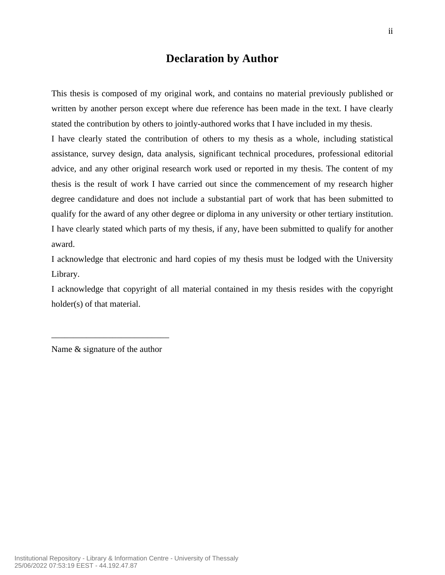## **Declaration by Author**

This thesis is composed of my original work, and contains no material previously published or written by another person except where due reference has been made in the text. I have clearly stated the contribution by others to jointly-authored works that I have included in my thesis.

I have clearly stated the contribution of others to my thesis as a whole, including statistical assistance, survey design, data analysis, significant technical procedures, professional editorial advice, and any other original research work used or reported in my thesis. The content of my thesis is the result of work I have carried out since the commencement of my research higher degree candidature and does not include a substantial part of work that has been submitted to qualify for the award of any other degree or diploma in any university or other tertiary institution. I have clearly stated which parts of my thesis, if any, have been submitted to qualify for another award.

I acknowledge that electronic and hard copies of my thesis must be lodged with the University Library.

I acknowledge that copyright of all material contained in my thesis resides with the copyright holder(s) of that material.

Name & signature of the author

\_\_\_\_\_\_\_\_\_\_\_\_\_\_\_\_\_\_\_\_\_\_\_\_\_\_\_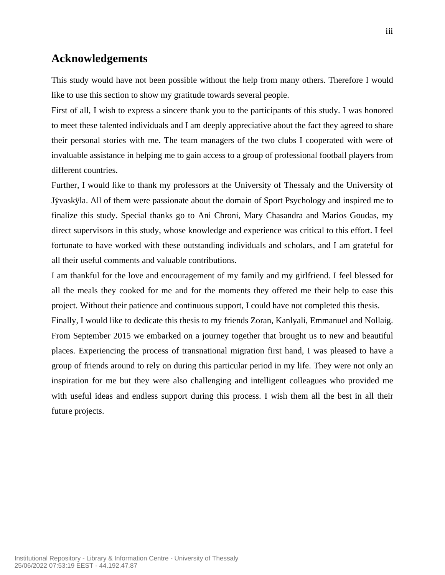## **Acknowledgements**

This study would have not been possible without the help from many others. Therefore I would like to use this section to show my gratitude towards several people.

First of all, I wish to express a sincere thank you to the participants of this study. I was honored to meet these talented individuals and I am deeply appreciative about the fact they agreed to share their personal stories with me. The team managers of the two clubs I cooperated with were of invaluable assistance in helping me to gain access to a group of professional football players from different countries.

Further, I would like to thank my professors at the University of Thessaly and the University of Jÿvaskÿla. All of them were passionate about the domain of Sport Psychology and inspired me to finalize this study. Special thanks go to Ani Chroni, Mary Chasandra and Marios Goudas, my direct supervisors in this study, whose knowledge and experience was critical to this effort. I feel fortunate to have worked with these outstanding individuals and scholars, and I am grateful for all their useful comments and valuable contributions.

I am thankful for the love and encouragement of my family and my girlfriend. I feel blessed for all the meals they cooked for me and for the moments they offered me their help to ease this project. Without their patience and continuous support, I could have not completed this thesis.

Finally, I would like to dedicate this thesis to my friends Zoran, Kanlyali, Emmanuel and Nollaig. From September 2015 we embarked on a journey together that brought us to new and beautiful places. Experiencing the process of transnational migration first hand, I was pleased to have a group of friends around to rely on during this particular period in my life. They were not only an inspiration for me but they were also challenging and intelligent colleagues who provided me with useful ideas and endless support during this process. I wish them all the best in all their future projects.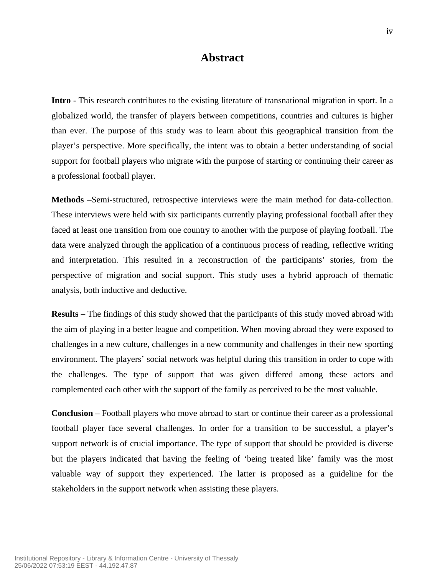### **Abstract**

**Intro** - This research contributes to the existing literature of transnational migration in sport. In a globalized world, the transfer of players between competitions, countries and cultures is higher than ever. The purpose of this study was to learn about this geographical transition from the player's perspective. More specifically, the intent was to obtain a better understanding of social support for football players who migrate with the purpose of starting or continuing their career as a professional football player.

**Methods** –Semi-structured, retrospective interviews were the main method for data-collection. These interviews were held with six participants currently playing professional football after they faced at least one transition from one country to another with the purpose of playing football. The data were analyzed through the application of a continuous process of reading, reflective writing and interpretation. This resulted in a reconstruction of the participants' stories, from the perspective of migration and social support. This study uses a hybrid approach of thematic analysis, both inductive and deductive.

**Results** – The findings of this study showed that the participants of this study moved abroad with the aim of playing in a better league and competition. When moving abroad they were exposed to challenges in a new culture, challenges in a new community and challenges in their new sporting environment. The players' social network was helpful during this transition in order to cope with the challenges. The type of support that was given differed among these actors and complemented each other with the support of the family as perceived to be the most valuable.

**Conclusion** – Football players who move abroad to start or continue their career as a professional football player face several challenges. In order for a transition to be successful, a player's support network is of crucial importance. The type of support that should be provided is diverse but the players indicated that having the feeling of 'being treated like' family was the most valuable way of support they experienced. The latter is proposed as a guideline for the stakeholders in the support network when assisting these players.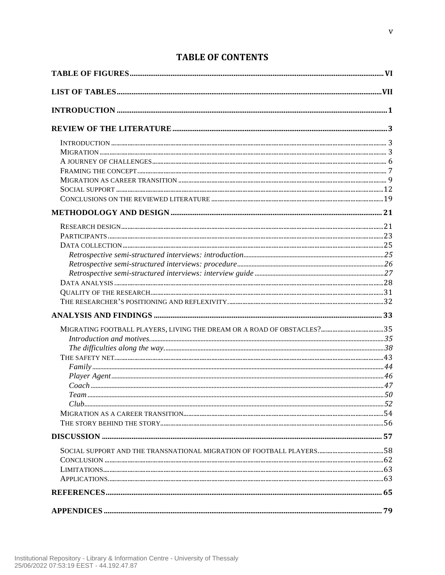## **TABLE OF CONTENTS**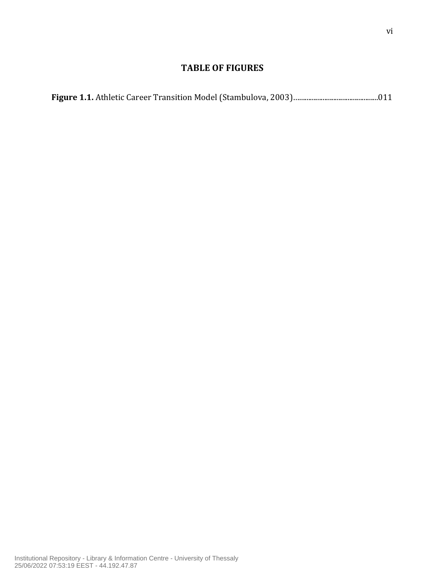### **TABLE OF FIGURES**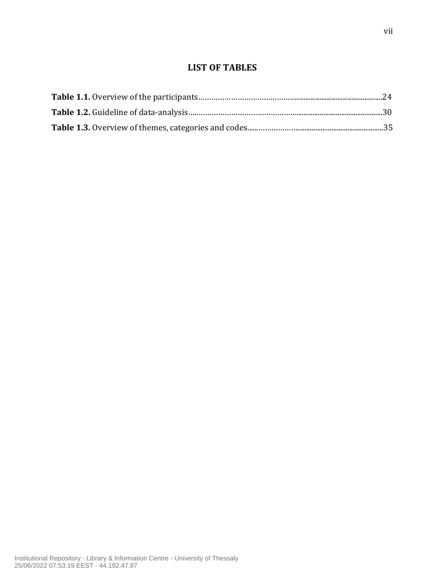## **LIST OF TABLES**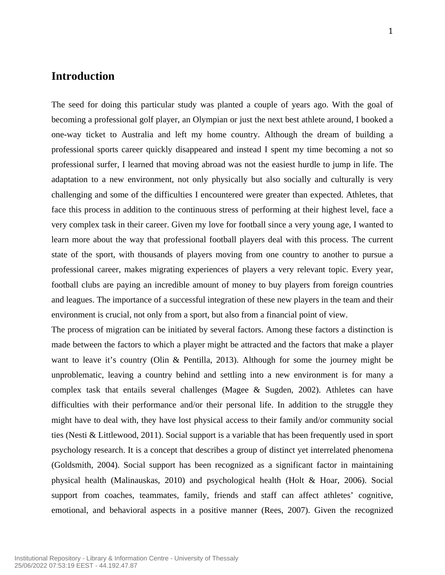### **Introduction**

The seed for doing this particular study was planted a couple of years ago. With the goal of becoming a professional golf player, an Olympian or just the next best athlete around, I booked a one-way ticket to Australia and left my home country. Although the dream of building a professional sports career quickly disappeared and instead I spent my time becoming a not so professional surfer, I learned that moving abroad was not the easiest hurdle to jump in life. The adaptation to a new environment, not only physically but also socially and culturally is very challenging and some of the difficulties I encountered were greater than expected. Athletes, that face this process in addition to the continuous stress of performing at their highest level, face a very complex task in their career. Given my love for football since a very young age, I wanted to learn more about the way that professional football players deal with this process. The current state of the sport, with thousands of players moving from one country to another to pursue a professional career, makes migrating experiences of players a very relevant topic. Every year, football clubs are paying an incredible amount of money to buy players from foreign countries and leagues. The importance of a successful integration of these new players in the team and their environment is crucial, not only from a sport, but also from a financial point of view.

The process of migration can be initiated by several factors. Among these factors a distinction is made between the factors to which a player might be attracted and the factors that make a player want to leave it's country (Olin & Pentilla, 2013). Although for some the journey might be unproblematic, leaving a country behind and settling into a new environment is for many a complex task that entails several challenges (Magee & Sugden, 2002). Athletes can have difficulties with their performance and/or their personal life. In addition to the struggle they might have to deal with, they have lost physical access to their family and/or community social ties (Nesti & Littlewood, 2011). Social support is a variable that has been frequently used in sport psychology research. It is a concept that describes a group of distinct yet interrelated phenomena (Goldsmith, 2004). Social support has been recognized as a significant factor in maintaining physical health (Malinauskas, 2010) and psychological health (Holt & Hoar, 2006). Social support from coaches, teammates, family, friends and staff can affect athletes' cognitive, emotional, and behavioral aspects in a positive manner (Rees, 2007). Given the recognized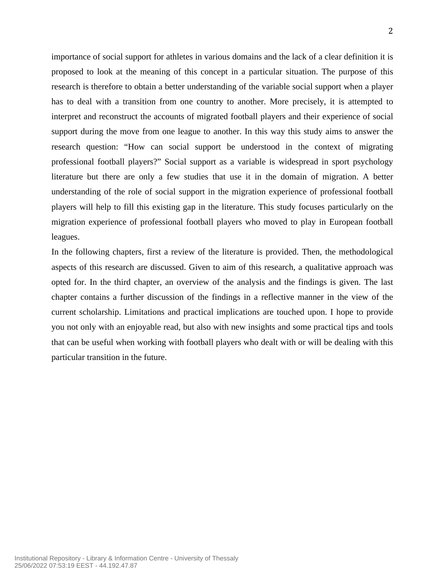importance of social support for athletes in various domains and the lack of a clear definition it is proposed to look at the meaning of this concept in a particular situation. The purpose of this research is therefore to obtain a better understanding of the variable social support when a player has to deal with a transition from one country to another. More precisely, it is attempted to interpret and reconstruct the accounts of migrated football players and their experience of social support during the move from one league to another. In this way this study aims to answer the research question: "How can social support be understood in the context of migrating professional football players?" Social support as a variable is widespread in sport psychology literature but there are only a few studies that use it in the domain of migration. A better understanding of the role of social support in the migration experience of professional football players will help to fill this existing gap in the literature. This study focuses particularly on the migration experience of professional football players who moved to play in European football leagues.

In the following chapters, first a review of the literature is provided. Then, the methodological aspects of this research are discussed. Given to aim of this research, a qualitative approach was opted for. In the third chapter, an overview of the analysis and the findings is given. The last chapter contains a further discussion of the findings in a reflective manner in the view of the current scholarship. Limitations and practical implications are touched upon. I hope to provide you not only with an enjoyable read, but also with new insights and some practical tips and tools that can be useful when working with football players who dealt with or will be dealing with this particular transition in the future.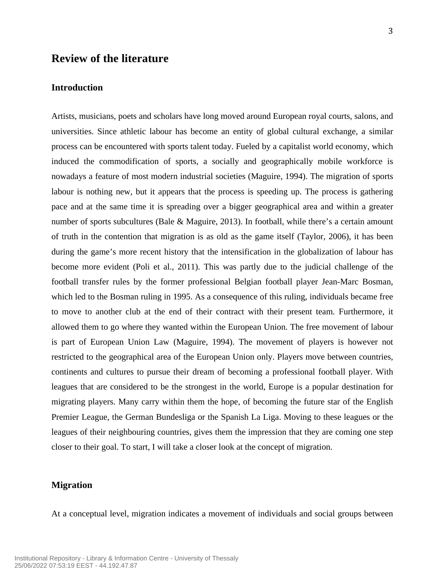### **Review of the literature**

### **Introduction**

Artists, musicians, poets and scholars have long moved around European royal courts, salons, and universities. Since athletic labour has become an entity of global cultural exchange, a similar process can be encountered with sports talent today. Fueled by a capitalist world economy, which induced the commodification of sports, a socially and geographically mobile workforce is nowadays a feature of most modern industrial societies (Maguire, 1994). The migration of sports labour is nothing new, but it appears that the process is speeding up. The process is gathering pace and at the same time it is spreading over a bigger geographical area and within a greater number of sports subcultures (Bale & Maguire, 2013). In football, while there's a certain amount of truth in the contention that migration is as old as the game itself (Taylor, 2006), it has been during the game's more recent history that the intensification in the globalization of labour has become more evident (Poli et al., 2011). This was partly due to the judicial challenge of the football transfer rules by the former professional Belgian football player Jean-Marc Bosman, which led to the Bosman ruling in 1995. As a consequence of this ruling, individuals became free to move to another club at the end of their contract with their present team. Furthermore, it allowed them to go where they wanted within the European Union. The free movement of labour is part of European Union Law (Maguire, 1994). The movement of players is however not restricted to the geographical area of the European Union only. Players move between countries, continents and cultures to pursue their dream of becoming a professional football player. With leagues that are considered to be the strongest in the world, Europe is a popular destination for migrating players. Many carry within them the hope, of becoming the future star of the English Premier League, the German Bundesliga or the Spanish La Liga. Moving to these leagues or the leagues of their neighbouring countries, gives them the impression that they are coming one step closer to their goal. To start, I will take a closer look at the concept of migration.

### **Migration**

At a conceptual level, migration indicates a movement of individuals and social groups between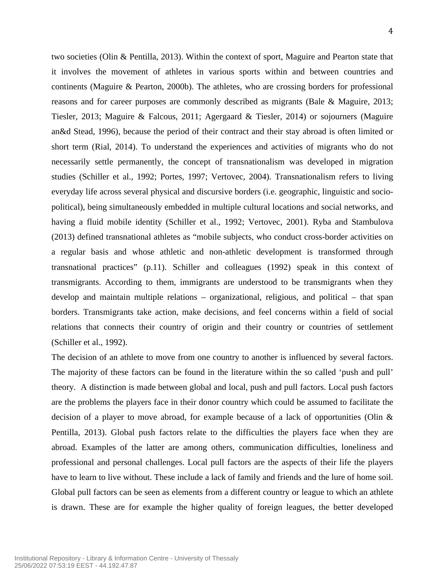two societies (Olin & Pentilla, 2013). Within the context of sport, Maguire and Pearton state that it involves the movement of athletes in various sports within and between countries and continents (Maguire & Pearton, 2000b). The athletes, who are crossing borders for professional reasons and for career purposes are commonly described as migrants (Bale & Maguire, 2013; Tiesler, 2013; Maguire & Falcous, 2011; Agergaard & Tiesler, 2014) or sojourners (Maguire an&d Stead, 1996), because the period of their contract and their stay abroad is often limited or short term (Rial, 2014). To understand the experiences and activities of migrants who do not necessarily settle permanently, the concept of transnationalism was developed in migration studies (Schiller et al., 1992; Portes, 1997; Vertovec, 2004). Transnationalism refers to living everyday life across several physical and discursive borders (i.e. geographic, linguistic and sociopolitical), being simultaneously embedded in multiple cultural locations and social networks, and having a fluid mobile identity (Schiller et al., 1992; Vertovec, 2001). Ryba and Stambulova (2013) defined transnational athletes as "mobile subjects, who conduct cross-border activities on a regular basis and whose athletic and non-athletic development is transformed through transnational practices" (p.11). Schiller and colleagues (1992) speak in this context of transmigrants. According to them, immigrants are understood to be transmigrants when they develop and maintain multiple relations – organizational, religious, and political – that span borders. Transmigrants take action, make decisions, and feel concerns within a field of social relations that connects their country of origin and their country or countries of settlement (Schiller et al., 1992).

The decision of an athlete to move from one country to another is influenced by several factors. The majority of these factors can be found in the literature within the so called 'push and pull' theory. A distinction is made between global and local, push and pull factors. Local push factors are the problems the players face in their donor country which could be assumed to facilitate the decision of a player to move abroad, for example because of a lack of opportunities (Olin & Pentilla, 2013). Global push factors relate to the difficulties the players face when they are abroad. Examples of the latter are among others, communication difficulties, loneliness and professional and personal challenges. Local pull factors are the aspects of their life the players have to learn to live without. These include a lack of family and friends and the lure of home soil. Global pull factors can be seen as elements from a different country or league to which an athlete is drawn. These are for example the higher quality of foreign leagues, the better developed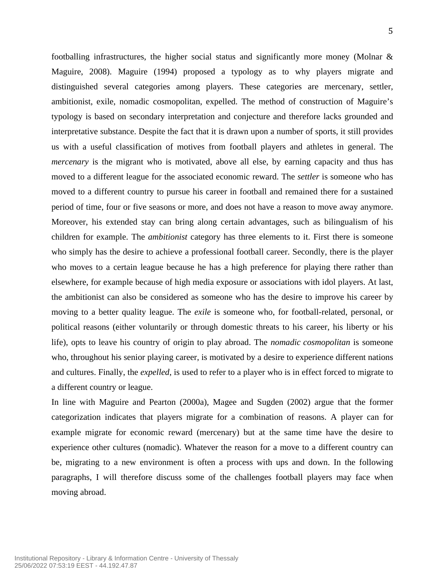footballing infrastructures, the higher social status and significantly more money (Molnar & Maguire, 2008). Maguire (1994) proposed a typology as to why players migrate and distinguished several categories among players. These categories are mercenary, settler, ambitionist, exile, nomadic cosmopolitan, expelled. The method of construction of Maguire's typology is based on secondary interpretation and conjecture and therefore lacks grounded and interpretative substance. Despite the fact that it is drawn upon a number of sports, it still provides us with a useful classification of motives from football players and athletes in general. The *mercenary* is the migrant who is motivated, above all else, by earning capacity and thus has moved to a different league for the associated economic reward. The *settler* is someone who has moved to a different country to pursue his career in football and remained there for a sustained period of time, four or five seasons or more, and does not have a reason to move away anymore. Moreover, his extended stay can bring along certain advantages, such as bilingualism of his children for example. The *ambitionist* category has three elements to it. First there is someone who simply has the desire to achieve a professional football career. Secondly, there is the player who moves to a certain league because he has a high preference for playing there rather than elsewhere, for example because of high media exposure or associations with idol players. At last, the ambitionist can also be considered as someone who has the desire to improve his career by moving to a better quality league. The *exile* is someone who, for football-related, personal, or political reasons (either voluntarily or through domestic threats to his career, his liberty or his life), opts to leave his country of origin to play abroad. The *nomadic cosmopolitan* is someone who, throughout his senior playing career, is motivated by a desire to experience different nations and cultures. Finally, the *expelled*, is used to refer to a player who is in effect forced to migrate to a different country or league.

In line with Maguire and Pearton (2000a), Magee and Sugden (2002) argue that the former categorization indicates that players migrate for a combination of reasons. A player can for example migrate for economic reward (mercenary) but at the same time have the desire to experience other cultures (nomadic). Whatever the reason for a move to a different country can be, migrating to a new environment is often a process with ups and down. In the following paragraphs, I will therefore discuss some of the challenges football players may face when moving abroad.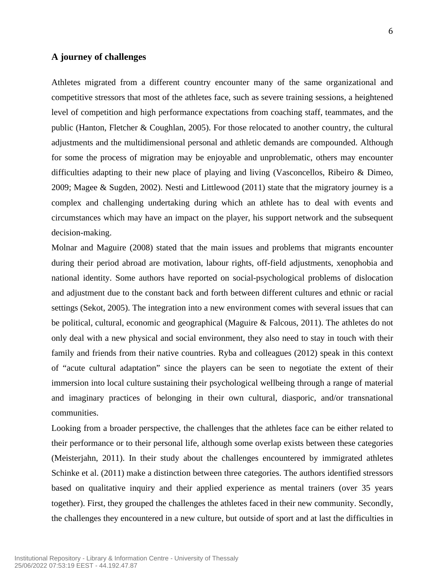#### **A journey of challenges**

Athletes migrated from a different country encounter many of the same organizational and competitive stressors that most of the athletes face, such as severe training sessions, a heightened level of competition and high performance expectations from coaching staff, teammates, and the public (Hanton, Fletcher & Coughlan, 2005). For those relocated to another country, the cultural adjustments and the multidimensional personal and athletic demands are compounded. Although for some the process of migration may be enjoyable and unproblematic, others may encounter difficulties adapting to their new place of playing and living (Vasconcellos, Ribeiro & Dimeo, 2009; Magee & Sugden, 2002). Nesti and Littlewood (2011) state that the migratory journey is a complex and challenging undertaking during which an athlete has to deal with events and circumstances which may have an impact on the player, his support network and the subsequent decision-making.

Molnar and Maguire (2008) stated that the main issues and problems that migrants encounter during their period abroad are motivation, labour rights, off-field adjustments, xenophobia and national identity. Some authors have reported on social-psychological problems of dislocation and adjustment due to the constant back and forth between different cultures and ethnic or racial settings (Sekot, 2005). The integration into a new environment comes with several issues that can be political, cultural, economic and geographical (Maguire & Falcous, 2011). The athletes do not only deal with a new physical and social environment, they also need to stay in touch with their family and friends from their native countries. Ryba and colleagues (2012) speak in this context of "acute cultural adaptation" since the players can be seen to negotiate the extent of their immersion into local culture sustaining their psychological wellbeing through a range of material and imaginary practices of belonging in their own cultural, diasporic, and/or transnational communities.

Looking from a broader perspective, the challenges that the athletes face can be either related to their performance or to their personal life, although some overlap exists between these categories (Meisterjahn, 2011). In their study about the challenges encountered by immigrated athletes Schinke et al. (2011) make a distinction between three categories. The authors identified stressors based on qualitative inquiry and their applied experience as mental trainers (over 35 years together). First, they grouped the challenges the athletes faced in their new community. Secondly, the challenges they encountered in a new culture, but outside of sport and at last the difficulties in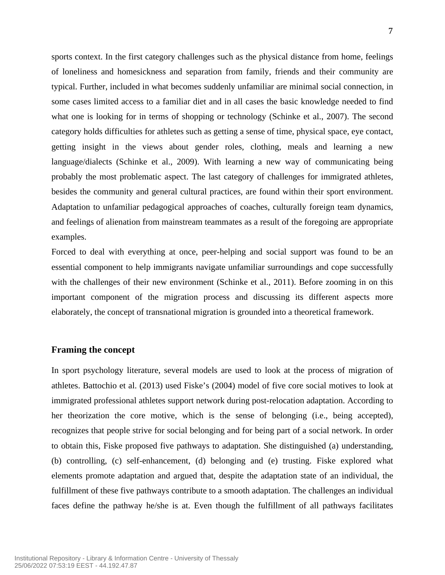sports context. In the first category challenges such as the physical distance from home, feelings of loneliness and homesickness and separation from family, friends and their community are typical. Further, included in what becomes suddenly unfamiliar are minimal social connection, in some cases limited access to a familiar diet and in all cases the basic knowledge needed to find what one is looking for in terms of shopping or technology (Schinke et al., 2007). The second category holds difficulties for athletes such as getting a sense of time, physical space, eye contact, getting insight in the views about gender roles, clothing, meals and learning a new language/dialects (Schinke et al., 2009). With learning a new way of communicating being probably the most problematic aspect. The last category of challenges for immigrated athletes, besides the community and general cultural practices, are found within their sport environment. Adaptation to unfamiliar pedagogical approaches of coaches, culturally foreign team dynamics, and feelings of alienation from mainstream teammates as a result of the foregoing are appropriate examples.

Forced to deal with everything at once, peer-helping and social support was found to be an essential component to help immigrants navigate unfamiliar surroundings and cope successfully with the challenges of their new environment (Schinke et al., 2011). Before zooming in on this important component of the migration process and discussing its different aspects more elaborately, the concept of transnational migration is grounded into a theoretical framework.

### **Framing the concept**

In sport psychology literature, several models are used to look at the process of migration of athletes. Battochio et al. (2013) used Fiske's (2004) model of five core social motives to look at immigrated professional athletes support network during post-relocation adaptation. According to her theorization the core motive, which is the sense of belonging (i.e., being accepted), recognizes that people strive for social belonging and for being part of a social network. In order to obtain this, Fiske proposed five pathways to adaptation. She distinguished (a) understanding, (b) controlling, (c) self-enhancement, (d) belonging and (e) trusting. Fiske explored what elements promote adaptation and argued that, despite the adaptation state of an individual, the fulfillment of these five pathways contribute to a smooth adaptation. The challenges an individual faces define the pathway he/she is at. Even though the fulfillment of all pathways facilitates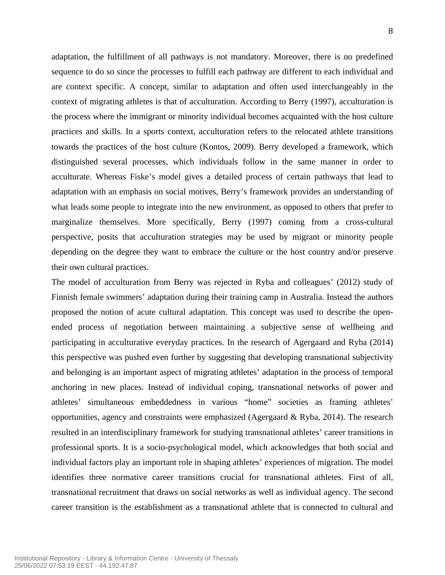adaptation, the fulfillment of all pathways is not mandatory. Moreover, there is no predefined sequence to do so since the processes to fulfill each pathway are different to each individual and are context specific. A concept, similar to adaptation and often used interchangeably in the context of migrating athletes is that of acculturation. According to Berry (1997), acculturation is the process where the immigrant or minority individual becomes acquainted with the host culture practices and skills. In a sports context, acculturation refers to the relocated athlete transitions towards the practices of the host culture (Kontos, 2009). Berry developed a framework, which distinguished several processes, which individuals follow in the same manner in order to acculturate. Whereas Fiske's model gives a detailed process of certain pathways that lead to adaptation with an emphasis on social motives, Berry's framework provides an understanding of what leads some people to integrate into the new environment, as opposed to others that prefer to marginalize themselves. More specifically, Berry (1997) coming from a cross-cultural perspective, posits that acculturation strategies may be used by migrant or minority people depending on the degree they want to embrace the culture or the host country and/or preserve their own cultural practices.

The model of acculturation from Berry was rejected in Ryba and colleagues' (2012) study of Finnish female swimmers' adaptation during their training camp in Australia. Instead the authors proposed the notion of acute cultural adaptation. This concept was used to describe the openended process of negotiation between maintaining a subjective sense of wellbeing and participating in acculturative everyday practices. In the research of Agergaard and Ryba (2014) this perspective was pushed even further by suggesting that developing transnational subjectivity and belonging is an important aspect of migrating athletes' adaptation in the process of temporal anchoring in new places. Instead of individual coping, transnational networks of power and athletes' simultaneous embeddedness in various "home" societies as framing athletes' opportunities, agency and constraints were emphasized (Agergaard & Ryba, 2014). The research resulted in an interdisciplinary framework for studying transnational athletes' career transitions in professional sports. It is a socio-psychological model, which acknowledges that both social and individual factors play an important role in shaping athletes' experiences of migration. The model identifies three normative career transitions crucial for transnational athletes. First of all, transnational recruitment that draws on social networks as well as individual agency. The second career transition is the establishment as a transnational athlete that is connected to cultural and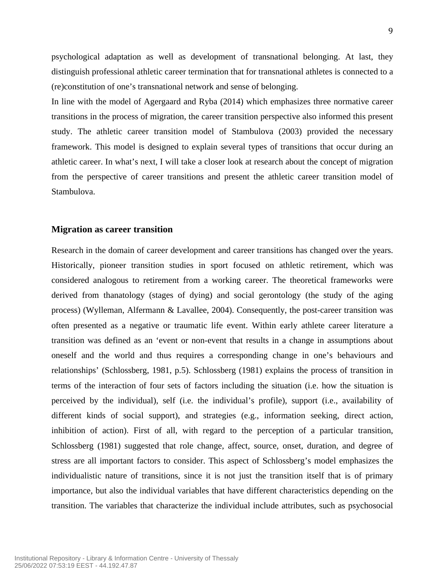psychological adaptation as well as development of transnational belonging. At last, they distinguish professional athletic career termination that for transnational athletes is connected to a (re)constitution of one's transnational network and sense of belonging.

In line with the model of Agergaard and Ryba (2014) which emphasizes three normative career transitions in the process of migration, the career transition perspective also informed this present study. The athletic career transition model of Stambulova (2003) provided the necessary framework. This model is designed to explain several types of transitions that occur during an athletic career. In what's next, I will take a closer look at research about the concept of migration from the perspective of career transitions and present the athletic career transition model of Stambulova.

#### **Migration as career transition**

Research in the domain of career development and career transitions has changed over the years. Historically, pioneer transition studies in sport focused on athletic retirement, which was considered analogous to retirement from a working career. The theoretical frameworks were derived from thanatology (stages of dying) and social gerontology (the study of the aging process) (Wylleman, Alfermann & Lavallee, 2004). Consequently, the post-career transition was often presented as a negative or traumatic life event. Within early athlete career literature a transition was defined as an 'event or non-event that results in a change in assumptions about oneself and the world and thus requires a corresponding change in one's behaviours and relationships' (Schlossberg, 1981, p.5). Schlossberg (1981) explains the process of transition in terms of the interaction of four sets of factors including the situation (i.e. how the situation is perceived by the individual), self (i.e. the individual's profile), support (i.e., availability of different kinds of social support), and strategies (e.g., information seeking, direct action, inhibition of action). First of all, with regard to the perception of a particular transition, Schlossberg (1981) suggested that role change, affect, source, onset, duration, and degree of stress are all important factors to consider. This aspect of Schlossberg's model emphasizes the individualistic nature of transitions, since it is not just the transition itself that is of primary importance, but also the individual variables that have different characteristics depending on the transition. The variables that characterize the individual include attributes, such as psychosocial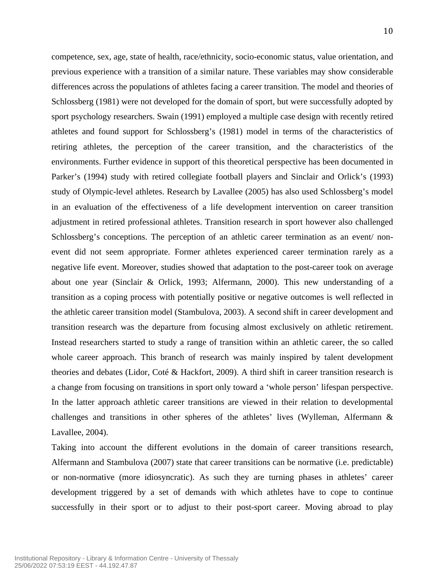competence, sex, age, state of health, race/ethnicity, socio-economic status, value orientation, and previous experience with a transition of a similar nature. These variables may show considerable differences across the populations of athletes facing a career transition. The model and theories of Schlossberg (1981) were not developed for the domain of sport, but were successfully adopted by sport psychology researchers. Swain (1991) employed a multiple case design with recently retired athletes and found support for Schlossberg's (1981) model in terms of the characteristics of retiring athletes, the perception of the career transition, and the characteristics of the environments. Further evidence in support of this theoretical perspective has been documented in Parker's (1994) study with retired collegiate football players and Sinclair and Orlick's (1993) study of Olympic-level athletes. Research by Lavallee (2005) has also used Schlossberg's model in an evaluation of the effectiveness of a life development intervention on career transition adjustment in retired professional athletes. Transition research in sport however also challenged Schlossberg's conceptions. The perception of an athletic career termination as an event/ nonevent did not seem appropriate. Former athletes experienced career termination rarely as a negative life event. Moreover, studies showed that adaptation to the post-career took on average about one year (Sinclair & Orlick, 1993; Alfermann, 2000). This new understanding of a transition as a coping process with potentially positive or negative outcomes is well reflected in the athletic career transition model (Stambulova, 2003). A second shift in career development and transition research was the departure from focusing almost exclusively on athletic retirement. Instead researchers started to study a range of transition within an athletic career, the so called whole career approach. This branch of research was mainly inspired by talent development theories and debates (Lidor, Coté & Hackfort, 2009). A third shift in career transition research is a change from focusing on transitions in sport only toward a 'whole person' lifespan perspective. In the latter approach athletic career transitions are viewed in their relation to developmental challenges and transitions in other spheres of the athletes' lives (Wylleman, Alfermann & Lavallee, 2004).

Taking into account the different evolutions in the domain of career transitions research, Alfermann and Stambulova (2007) state that career transitions can be normative (i.e. predictable) or non-normative (more idiosyncratic). As such they are turning phases in athletes' career development triggered by a set of demands with which athletes have to cope to continue successfully in their sport or to adjust to their post-sport career. Moving abroad to play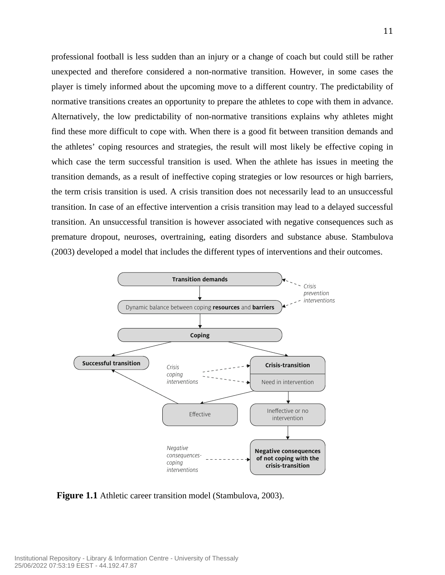professional football is less sudden than an injury or a change of coach but could still be rather unexpected and therefore considered a non-normative transition. However, in some cases the player is timely informed about the upcoming move to a different country. The predictability of normative transitions creates an opportunity to prepare the athletes to cope with them in advance. Alternatively, the low predictability of non-normative transitions explains why athletes might find these more difficult to cope with. When there is a good fit between transition demands and the athletes' coping resources and strategies, the result will most likely be effective coping in which case the term successful transition is used. When the athlete has issues in meeting the transition demands, as a result of ineffective coping strategies or low resources or high barriers, the term crisis transition is used. A crisis transition does not necessarily lead to an unsuccessful transition. In case of an effective intervention a crisis transition may lead to a delayed successful transition. An unsuccessful transition is however associated with negative consequences such as premature dropout, neuroses, overtraining, eating disorders and substance abuse. Stambulova (2003) developed a model that includes the different types of interventions and their outcomes.  $\mathcal{L}$  strategies (e.g., planning, planning, planning, practices (e.g., practices (e.g., practices (e.g., practices (e.g., p  $\mu$  and  $\mu$  are now predictability of  $\mu$ between the coping resources and barriers. external factors that factors that factors that facilitate the transition of the transition of the transition which case the term successful transition about demands, as a result of memetric  $r$ ansition. An unsuccessful transition is h indicate disposition and the between the final demands and the demands and demands and the set of the demands a  $\mathcal{L}$  is low in resources, and or  $\mathcal{L}$ coping strategies. Crisis is also conceptualized normalive transitions explains why athl there is a good fit between transition de which he good in outween transition as the crisis transition can have two possible used. When the athlete has issues in m transition (in the case of effective intervenecoping suaregies of low resources of  $\ln \xi$ nsition does not necessarily lead to an ur negative consequences (e.g., premature dropout, substance abuse, etc.). Career transition interever associated with negative consequen prevention, crisis-coping, and negative-consecating disorders and substance abuse. B



**Figure 1.1** Athletic career transition model (Stambulova, 2003).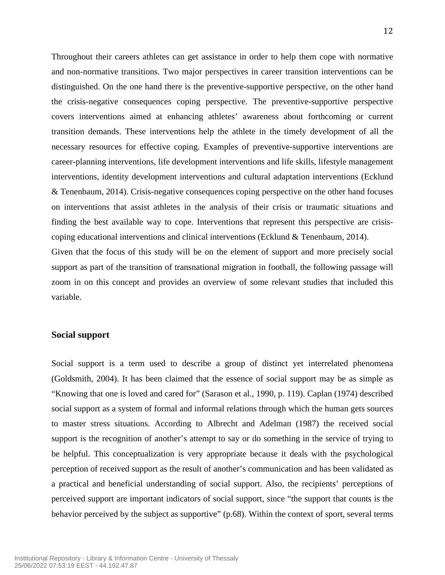Throughout their careers athletes can get assistance in order to help them cope with normative and non-normative transitions. Two major perspectives in career transition interventions can be distinguished. On the one hand there is the preventive-supportive perspective, on the other hand the crisis-negative consequences coping perspective. The preventive-supportive perspective covers interventions aimed at enhancing athletes' awareness about forthcoming or current transition demands. These interventions help the athlete in the timely development of all the necessary resources for effective coping. Examples of preventive-supportive interventions are career-planning interventions, life development interventions and life skills, lifestyle management interventions, identity development interventions and cultural adaptation interventions (Ecklund & Tenenbaum, 2014). Crisis-negative consequences coping perspective on the other hand focuses on interventions that assist athletes in the analysis of their crisis or traumatic situations and finding the best available way to cope. Interventions that represent this perspective are crisiscoping educational interventions and clinical interventions (Ecklund & Tenenbaum, 2014).

Given that the focus of this study will be on the element of support and more precisely social support as part of the transition of transnational migration in football, the following passage will zoom in on this concept and provides an overview of some relevant studies that included this variable.

### **Social support**

Social support is a term used to describe a group of distinct yet interrelated phenomena (Goldsmith, 2004). It has been claimed that the essence of social support may be as simple as "Knowing that one is loved and cared for" (Sarason et al., 1990, p. 119). Caplan (1974) described social support as a system of formal and informal relations through which the human gets sources to master stress situations. According to Albrecht and Adelman (1987) the received social support is the recognition of another's attempt to say or do something in the service of trying to be helpful. This conceptualization is very appropriate because it deals with the psychological perception of received support as the result of another's communication and has been validated as a practical and beneficial understanding of social support. Also, the recipients' perceptions of perceived support are important indicators of social support, since "the support that counts is the behavior perceived by the subject as supportive" (p.68). Within the context of sport, several terms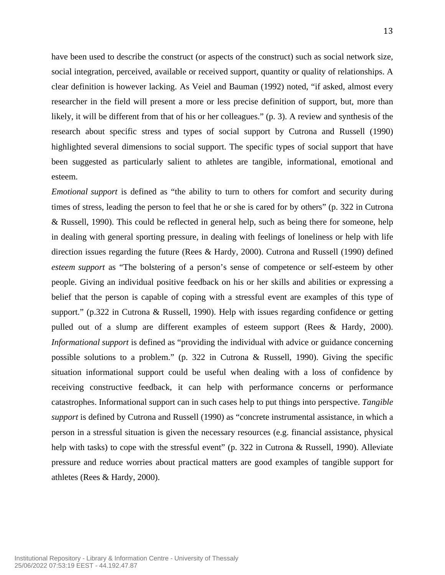have been used to describe the construct (or aspects of the construct) such as social network size, social integration, perceived, available or received support, quantity or quality of relationships. A clear definition is however lacking. As Veiel and Bauman (1992) noted, "if asked, almost every researcher in the field will present a more or less precise definition of support, but, more than likely, it will be different from that of his or her colleagues." (p. 3). A review and synthesis of the research about specific stress and types of social support by Cutrona and Russell (1990) highlighted several dimensions to social support. The specific types of social support that have been suggested as particularly salient to athletes are tangible, informational, emotional and esteem.

*Emotional support* is defined as "the ability to turn to others for comfort and security during times of stress, leading the person to feel that he or she is cared for by others" (p. 322 in Cutrona & Russell, 1990). This could be reflected in general help, such as being there for someone, help in dealing with general sporting pressure, in dealing with feelings of loneliness or help with life direction issues regarding the future (Rees & Hardy, 2000). Cutrona and Russell (1990) defined *esteem support* as "The bolstering of a person's sense of competence or self-esteem by other people. Giving an individual positive feedback on his or her skills and abilities or expressing a belief that the person is capable of coping with a stressful event are examples of this type of support." (p.322 in Cutrona & Russell, 1990). Help with issues regarding confidence or getting pulled out of a slump are different examples of esteem support (Rees & Hardy, 2000). *Informational support* is defined as "providing the individual with advice or guidance concerning possible solutions to a problem." (p. 322 in Cutrona & Russell, 1990). Giving the specific situation informational support could be useful when dealing with a loss of confidence by receiving constructive feedback, it can help with performance concerns or performance catastrophes. Informational support can in such cases help to put things into perspective. *Tangible support* is defined by Cutrona and Russell (1990) as "concrete instrumental assistance, in which a person in a stressful situation is given the necessary resources (e.g. financial assistance, physical help with tasks) to cope with the stressful event" (p. 322 in Cutrona & Russell, 1990). Alleviate pressure and reduce worries about practical matters are good examples of tangible support for athletes (Rees & Hardy, 2000).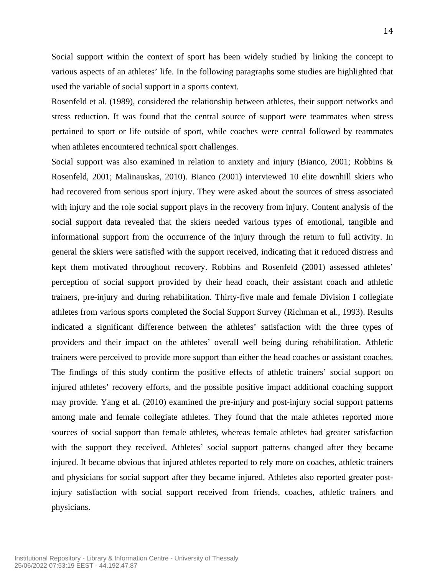Social support within the context of sport has been widely studied by linking the concept to various aspects of an athletes' life. In the following paragraphs some studies are highlighted that used the variable of social support in a sports context.

Rosenfeld et al. (1989), considered the relationship between athletes, their support networks and stress reduction. It was found that the central source of support were teammates when stress pertained to sport or life outside of sport, while coaches were central followed by teammates when athletes encountered technical sport challenges.

Social support was also examined in relation to anxiety and injury (Bianco, 2001; Robbins & Rosenfeld, 2001; Malinauskas, 2010). Bianco (2001) interviewed 10 elite downhill skiers who had recovered from serious sport injury. They were asked about the sources of stress associated with injury and the role social support plays in the recovery from injury. Content analysis of the social support data revealed that the skiers needed various types of emotional, tangible and informational support from the occurrence of the injury through the return to full activity. In general the skiers were satisfied with the support received, indicating that it reduced distress and kept them motivated throughout recovery. Robbins and Rosenfeld (2001) assessed athletes' perception of social support provided by their head coach, their assistant coach and athletic trainers, pre-injury and during rehabilitation. Thirty-five male and female Division I collegiate athletes from various sports completed the Social Support Survey (Richman et al., 1993). Results indicated a significant difference between the athletes' satisfaction with the three types of providers and their impact on the athletes' overall well being during rehabilitation. Athletic trainers were perceived to provide more support than either the head coaches or assistant coaches. The findings of this study confirm the positive effects of athletic trainers' social support on injured athletes' recovery efforts, and the possible positive impact additional coaching support may provide. Yang et al. (2010) examined the pre-injury and post-injury social support patterns among male and female collegiate athletes. They found that the male athletes reported more sources of social support than female athletes, whereas female athletes had greater satisfaction with the support they received. Athletes' social support patterns changed after they became injured. It became obvious that injured athletes reported to rely more on coaches, athletic trainers and physicians for social support after they became injured. Athletes also reported greater postinjury satisfaction with social support received from friends, coaches, athletic trainers and physicians.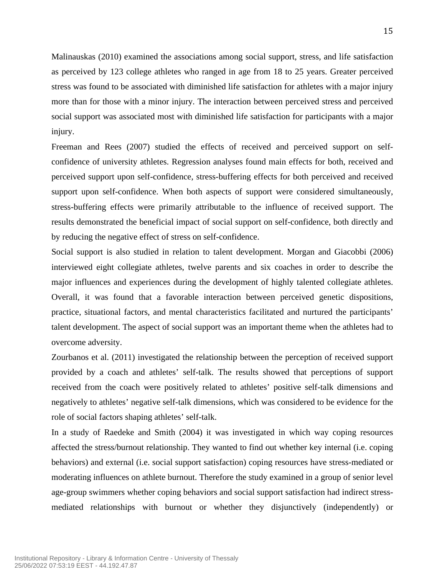Malinauskas (2010) examined the associations among social support, stress, and life satisfaction as perceived by 123 college athletes who ranged in age from 18 to 25 years. Greater perceived stress was found to be associated with diminished life satisfaction for athletes with a major injury more than for those with a minor injury. The interaction between perceived stress and perceived social support was associated most with diminished life satisfaction for participants with a major injury.

Freeman and Rees (2007) studied the effects of received and perceived support on selfconfidence of university athletes. Regression analyses found main effects for both, received and perceived support upon self-confidence, stress-buffering effects for both perceived and received support upon self-confidence. When both aspects of support were considered simultaneously, stress-buffering effects were primarily attributable to the influence of received support. The results demonstrated the beneficial impact of social support on self-confidence, both directly and by reducing the negative effect of stress on self-confidence.

Social support is also studied in relation to talent development. Morgan and Giacobbi (2006) interviewed eight collegiate athletes, twelve parents and six coaches in order to describe the major influences and experiences during the development of highly talented collegiate athletes. Overall, it was found that a favorable interaction between perceived genetic dispositions, practice, situational factors, and mental characteristics facilitated and nurtured the participants' talent development. The aspect of social support was an important theme when the athletes had to overcome adversity.

Zourbanos et al. (2011) investigated the relationship between the perception of received support provided by a coach and athletes' self-talk. The results showed that perceptions of support received from the coach were positively related to athletes' positive self-talk dimensions and negatively to athletes' negative self-talk dimensions, which was considered to be evidence for the role of social factors shaping athletes' self-talk.

In a study of Raedeke and Smith (2004) it was investigated in which way coping resources affected the stress/burnout relationship. They wanted to find out whether key internal (i.e. coping behaviors) and external (i.e. social support satisfaction) coping resources have stress-mediated or moderating influences on athlete burnout. Therefore the study examined in a group of senior level age-group swimmers whether coping behaviors and social support satisfaction had indirect stressmediated relationships with burnout or whether they disjunctively (independently) or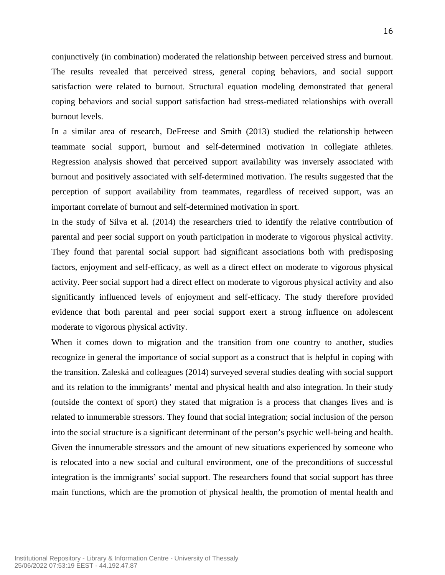conjunctively (in combination) moderated the relationship between perceived stress and burnout. The results revealed that perceived stress, general coping behaviors, and social support satisfaction were related to burnout. Structural equation modeling demonstrated that general coping behaviors and social support satisfaction had stress-mediated relationships with overall burnout levels.

In a similar area of research, DeFreese and Smith (2013) studied the relationship between teammate social support, burnout and self-determined motivation in collegiate athletes. Regression analysis showed that perceived support availability was inversely associated with burnout and positively associated with self-determined motivation. The results suggested that the perception of support availability from teammates, regardless of received support, was an important correlate of burnout and self-determined motivation in sport.

In the study of Silva et al. (2014) the researchers tried to identify the relative contribution of parental and peer social support on youth participation in moderate to vigorous physical activity. They found that parental social support had significant associations both with predisposing factors, enjoyment and self-efficacy, as well as a direct effect on moderate to vigorous physical activity. Peer social support had a direct effect on moderate to vigorous physical activity and also significantly influenced levels of enjoyment and self-efficacy. The study therefore provided evidence that both parental and peer social support exert a strong influence on adolescent moderate to vigorous physical activity.

When it comes down to migration and the transition from one country to another, studies recognize in general the importance of social support as a construct that is helpful in coping with the transition. Zaleská and colleagues (2014) surveyed several studies dealing with social support and its relation to the immigrants' mental and physical health and also integration. In their study (outside the context of sport) they stated that migration is a process that changes lives and is related to innumerable stressors. They found that social integration; social inclusion of the person into the social structure is a significant determinant of the person's psychic well-being and health. Given the innumerable stressors and the amount of new situations experienced by someone who is relocated into a new social and cultural environment, one of the preconditions of successful integration is the immigrants' social support. The researchers found that social support has three main functions, which are the promotion of physical health, the promotion of mental health and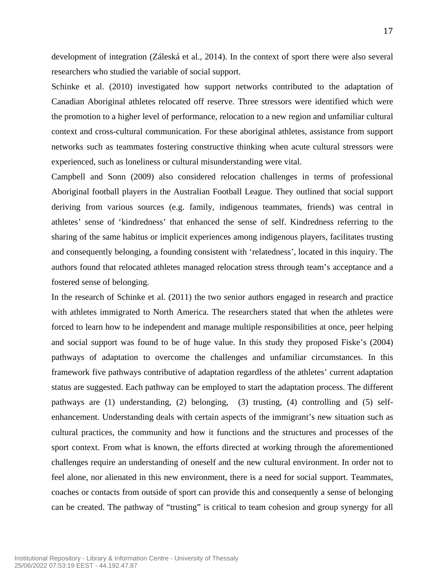development of integration (Záleská et al., 2014). In the context of sport there were also several researchers who studied the variable of social support.

Schinke et al. (2010) investigated how support networks contributed to the adaptation of Canadian Aboriginal athletes relocated off reserve. Three stressors were identified which were the promotion to a higher level of performance, relocation to a new region and unfamiliar cultural context and cross-cultural communication. For these aboriginal athletes, assistance from support networks such as teammates fostering constructive thinking when acute cultural stressors were experienced, such as loneliness or cultural misunderstanding were vital.

Campbell and Sonn (2009) also considered relocation challenges in terms of professional Aboriginal football players in the Australian Football League. They outlined that social support deriving from various sources (e.g. family, indigenous teammates, friends) was central in athletes' sense of 'kindredness' that enhanced the sense of self. Kindredness referring to the sharing of the same habitus or implicit experiences among indigenous players, facilitates trusting and consequently belonging, a founding consistent with 'relatedness', located in this inquiry. The authors found that relocated athletes managed relocation stress through team's acceptance and a fostered sense of belonging.

In the research of Schinke et al. (2011) the two senior authors engaged in research and practice with athletes immigrated to North America. The researchers stated that when the athletes were forced to learn how to be independent and manage multiple responsibilities at once, peer helping and social support was found to be of huge value. In this study they proposed Fiske's (2004) pathways of adaptation to overcome the challenges and unfamiliar circumstances. In this framework five pathways contributive of adaptation regardless of the athletes' current adaptation status are suggested. Each pathway can be employed to start the adaptation process. The different pathways are (1) understanding, (2) belonging, (3) trusting, (4) controlling and (5) selfenhancement. Understanding deals with certain aspects of the immigrant's new situation such as cultural practices, the community and how it functions and the structures and processes of the sport context. From what is known, the efforts directed at working through the aforementioned challenges require an understanding of oneself and the new cultural environment. In order not to feel alone, nor alienated in this new environment, there is a need for social support. Teammates, coaches or contacts from outside of sport can provide this and consequently a sense of belonging can be created. The pathway of "trusting" is critical to team cohesion and group synergy for all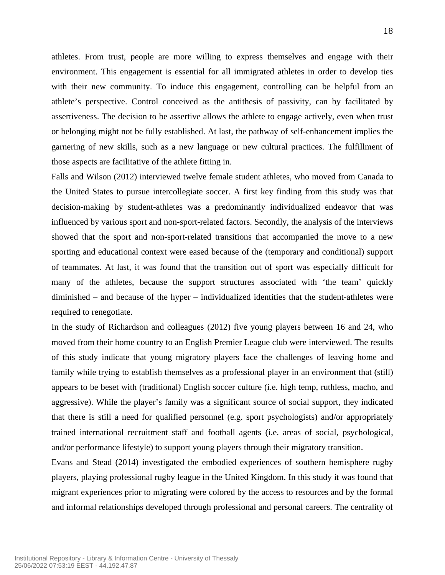athletes. From trust, people are more willing to express themselves and engage with their environment. This engagement is essential for all immigrated athletes in order to develop ties with their new community. To induce this engagement, controlling can be helpful from an athlete's perspective. Control conceived as the antithesis of passivity, can by facilitated by assertiveness. The decision to be assertive allows the athlete to engage actively, even when trust or belonging might not be fully established. At last, the pathway of self-enhancement implies the garnering of new skills, such as a new language or new cultural practices. The fulfillment of those aspects are facilitative of the athlete fitting in.

Falls and Wilson (2012) interviewed twelve female student athletes, who moved from Canada to the United States to pursue intercollegiate soccer. A first key finding from this study was that decision-making by student-athletes was a predominantly individualized endeavor that was influenced by various sport and non-sport-related factors. Secondly, the analysis of the interviews showed that the sport and non-sport-related transitions that accompanied the move to a new sporting and educational context were eased because of the (temporary and conditional) support of teammates. At last, it was found that the transition out of sport was especially difficult for many of the athletes, because the support structures associated with 'the team' quickly diminished – and because of the hyper – individualized identities that the student-athletes were required to renegotiate.

In the study of Richardson and colleagues (2012) five young players between 16 and 24, who moved from their home country to an English Premier League club were interviewed. The results of this study indicate that young migratory players face the challenges of leaving home and family while trying to establish themselves as a professional player in an environment that (still) appears to be beset with (traditional) English soccer culture (i.e. high temp, ruthless, macho, and aggressive). While the player's family was a significant source of social support, they indicated that there is still a need for qualified personnel (e.g. sport psychologists) and/or appropriately trained international recruitment staff and football agents (i.e. areas of social, psychological, and/or performance lifestyle) to support young players through their migratory transition.

Evans and Stead (2014) investigated the embodied experiences of southern hemisphere rugby players, playing professional rugby league in the United Kingdom. In this study it was found that migrant experiences prior to migrating were colored by the access to resources and by the formal and informal relationships developed through professional and personal careers. The centrality of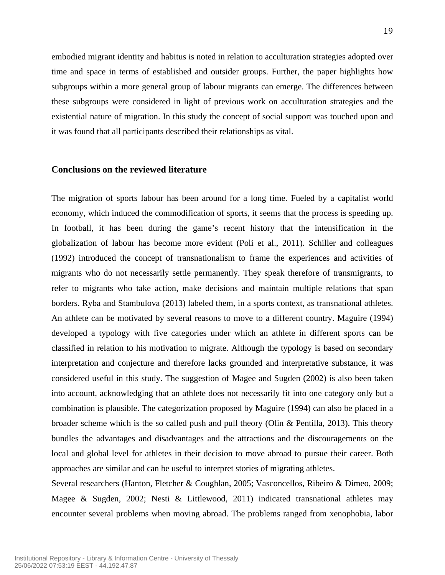embodied migrant identity and habitus is noted in relation to acculturation strategies adopted over time and space in terms of established and outsider groups. Further, the paper highlights how subgroups within a more general group of labour migrants can emerge. The differences between these subgroups were considered in light of previous work on acculturation strategies and the existential nature of migration. In this study the concept of social support was touched upon and it was found that all participants described their relationships as vital.

### **Conclusions on the reviewed literature**

The migration of sports labour has been around for a long time. Fueled by a capitalist world economy, which induced the commodification of sports, it seems that the process is speeding up. In football, it has been during the game's recent history that the intensification in the globalization of labour has become more evident (Poli et al., 2011). Schiller and colleagues (1992) introduced the concept of transnationalism to frame the experiences and activities of migrants who do not necessarily settle permanently. They speak therefore of transmigrants, to refer to migrants who take action, make decisions and maintain multiple relations that span borders. Ryba and Stambulova (2013) labeled them, in a sports context, as transnational athletes. An athlete can be motivated by several reasons to move to a different country. Maguire (1994) developed a typology with five categories under which an athlete in different sports can be classified in relation to his motivation to migrate. Although the typology is based on secondary interpretation and conjecture and therefore lacks grounded and interpretative substance, it was considered useful in this study. The suggestion of Magee and Sugden (2002) is also been taken into account, acknowledging that an athlete does not necessarily fit into one category only but a combination is plausible. The categorization proposed by Maguire (1994) can also be placed in a broader scheme which is the so called push and pull theory (Olin & Pentilla, 2013). This theory bundles the advantages and disadvantages and the attractions and the discouragements on the local and global level for athletes in their decision to move abroad to pursue their career. Both approaches are similar and can be useful to interpret stories of migrating athletes.

Several researchers (Hanton, Fletcher & Coughlan, 2005; Vasconcellos, Ribeiro & Dimeo, 2009; Magee & Sugden, 2002; Nesti & Littlewood, 2011) indicated transnational athletes may encounter several problems when moving abroad. The problems ranged from xenophobia, labor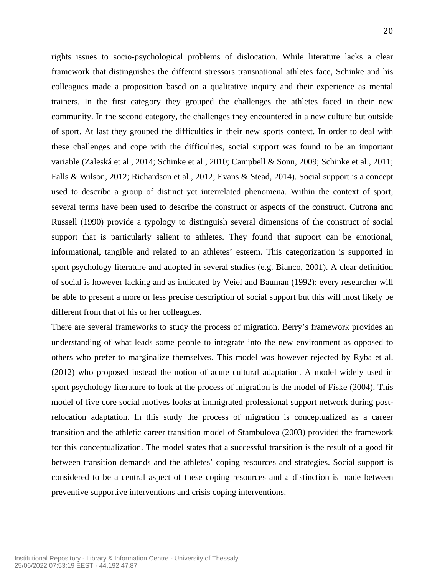rights issues to socio-psychological problems of dislocation. While literature lacks a clear framework that distinguishes the different stressors transnational athletes face, Schinke and his colleagues made a proposition based on a qualitative inquiry and their experience as mental trainers. In the first category they grouped the challenges the athletes faced in their new community. In the second category, the challenges they encountered in a new culture but outside of sport. At last they grouped the difficulties in their new sports context. In order to deal with these challenges and cope with the difficulties, social support was found to be an important variable (Zaleská et al., 2014; Schinke et al., 2010; Campbell & Sonn, 2009; Schinke et al., 2011; Falls & Wilson, 2012; Richardson et al., 2012; Evans & Stead, 2014). Social support is a concept used to describe a group of distinct yet interrelated phenomena. Within the context of sport, several terms have been used to describe the construct or aspects of the construct. Cutrona and Russell (1990) provide a typology to distinguish several dimensions of the construct of social support that is particularly salient to athletes. They found that support can be emotional, informational, tangible and related to an athletes' esteem. This categorization is supported in sport psychology literature and adopted in several studies (e.g. Bianco, 2001). A clear definition of social is however lacking and as indicated by Veiel and Bauman (1992): every researcher will be able to present a more or less precise description of social support but this will most likely be different from that of his or her colleagues.

There are several frameworks to study the process of migration. Berry's framework provides an understanding of what leads some people to integrate into the new environment as opposed to others who prefer to marginalize themselves. This model was however rejected by Ryba et al. (2012) who proposed instead the notion of acute cultural adaptation. A model widely used in sport psychology literature to look at the process of migration is the model of Fiske (2004). This model of five core social motives looks at immigrated professional support network during postrelocation adaptation. In this study the process of migration is conceptualized as a career transition and the athletic career transition model of Stambulova (2003) provided the framework for this conceptualization. The model states that a successful transition is the result of a good fit between transition demands and the athletes' coping resources and strategies. Social support is considered to be a central aspect of these coping resources and a distinction is made between preventive supportive interventions and crisis coping interventions.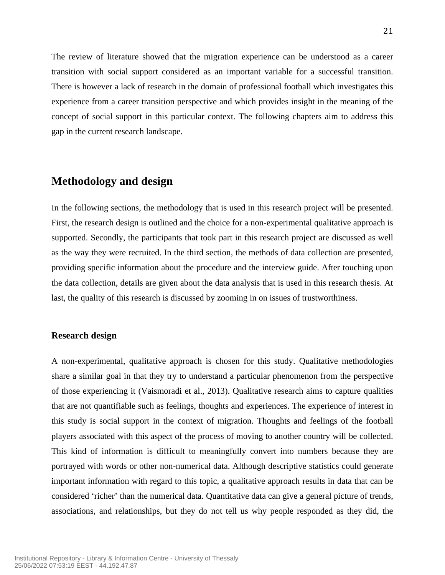The review of literature showed that the migration experience can be understood as a career transition with social support considered as an important variable for a successful transition. There is however a lack of research in the domain of professional football which investigates this experience from a career transition perspective and which provides insight in the meaning of the concept of social support in this particular context. The following chapters aim to address this gap in the current research landscape.

## **Methodology and design**

In the following sections, the methodology that is used in this research project will be presented. First, the research design is outlined and the choice for a non-experimental qualitative approach is supported. Secondly, the participants that took part in this research project are discussed as well as the way they were recruited. In the third section, the methods of data collection are presented, providing specific information about the procedure and the interview guide. After touching upon the data collection, details are given about the data analysis that is used in this research thesis. At last, the quality of this research is discussed by zooming in on issues of trustworthiness.

#### **Research design**

A non-experimental, qualitative approach is chosen for this study. Qualitative methodologies share a similar goal in that they try to understand a particular phenomenon from the perspective of those experiencing it (Vaismoradi et al., 2013). Qualitative research aims to capture qualities that are not quantifiable such as feelings, thoughts and experiences. The experience of interest in this study is social support in the context of migration. Thoughts and feelings of the football players associated with this aspect of the process of moving to another country will be collected. This kind of information is difficult to meaningfully convert into numbers because they are portrayed with words or other non-numerical data. Although descriptive statistics could generate important information with regard to this topic, a qualitative approach results in data that can be considered 'richer' than the numerical data. Quantitative data can give a general picture of trends, associations, and relationships, but they do not tell us why people responded as they did, the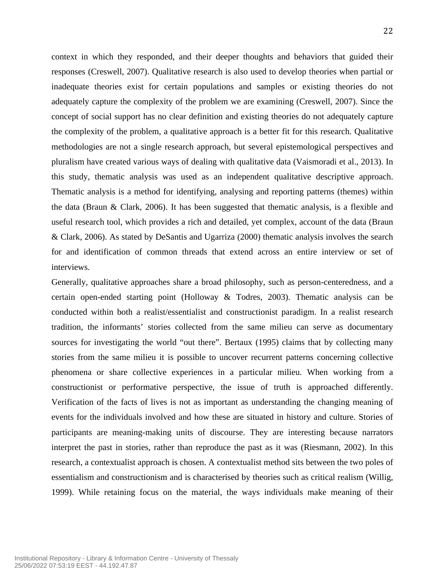context in which they responded, and their deeper thoughts and behaviors that guided their responses (Creswell, 2007). Qualitative research is also used to develop theories when partial or inadequate theories exist for certain populations and samples or existing theories do not adequately capture the complexity of the problem we are examining (Creswell, 2007). Since the concept of social support has no clear definition and existing theories do not adequately capture the complexity of the problem, a qualitative approach is a better fit for this research. Qualitative methodologies are not a single research approach, but several epistemological perspectives and pluralism have created various ways of dealing with qualitative data (Vaismoradi et al., 2013). In this study, thematic analysis was used as an independent qualitative descriptive approach. Thematic analysis is a method for identifying, analysing and reporting patterns (themes) within the data (Braun & Clark, 2006). It has been suggested that thematic analysis, is a flexible and useful research tool, which provides a rich and detailed, yet complex, account of the data (Braun & Clark, 2006). As stated by DeSantis and Ugarriza (2000) thematic analysis involves the search for and identification of common threads that extend across an entire interview or set of interviews.

Generally, qualitative approaches share a broad philosophy, such as person-centeredness, and a certain open-ended starting point (Holloway & Todres, 2003). Thematic analysis can be conducted within both a realist/essentialist and constructionist paradigm. In a realist research tradition, the informants' stories collected from the same milieu can serve as documentary sources for investigating the world "out there". Bertaux (1995) claims that by collecting many stories from the same milieu it is possible to uncover recurrent patterns concerning collective phenomena or share collective experiences in a particular milieu. When working from a constructionist or performative perspective, the issue of truth is approached differently. Verification of the facts of lives is not as important as understanding the changing meaning of events for the individuals involved and how these are situated in history and culture. Stories of participants are meaning-making units of discourse. They are interesting because narrators interpret the past in stories, rather than reproduce the past as it was (Riesmann, 2002). In this research, a contextualist approach is chosen. A contextualist method sits between the two poles of essentialism and constructionism and is characterised by theories such as critical realism (Willig, 1999). While retaining focus on the material, the ways individuals make meaning of their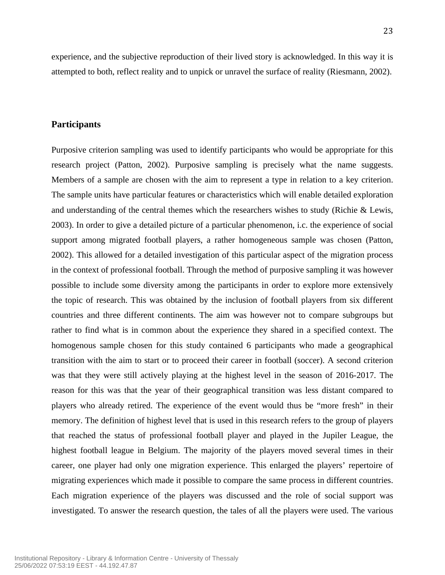experience, and the subjective reproduction of their lived story is acknowledged. In this way it is attempted to both, reflect reality and to unpick or unravel the surface of reality (Riesmann, 2002).

### **Participants**

Purposive criterion sampling was used to identify participants who would be appropriate for this research project (Patton, 2002). Purposive sampling is precisely what the name suggests. Members of a sample are chosen with the aim to represent a type in relation to a key criterion. The sample units have particular features or characteristics which will enable detailed exploration and understanding of the central themes which the researchers wishes to study (Richie & Lewis, 2003). In order to give a detailed picture of a particular phenomenon, i.c. the experience of social support among migrated football players, a rather homogeneous sample was chosen (Patton, 2002). This allowed for a detailed investigation of this particular aspect of the migration process in the context of professional football. Through the method of purposive sampling it was however possible to include some diversity among the participants in order to explore more extensively the topic of research. This was obtained by the inclusion of football players from six different countries and three different continents. The aim was however not to compare subgroups but rather to find what is in common about the experience they shared in a specified context. The homogenous sample chosen for this study contained 6 participants who made a geographical transition with the aim to start or to proceed their career in football (soccer). A second criterion was that they were still actively playing at the highest level in the season of 2016-2017. The reason for this was that the year of their geographical transition was less distant compared to players who already retired. The experience of the event would thus be "more fresh" in their memory. The definition of highest level that is used in this research refers to the group of players that reached the status of professional football player and played in the Jupiler League, the highest football league in Belgium. The majority of the players moved several times in their career, one player had only one migration experience. This enlarged the players' repertoire of migrating experiences which made it possible to compare the same process in different countries. Each migration experience of the players was discussed and the role of social support was investigated. To answer the research question, the tales of all the players were used. The various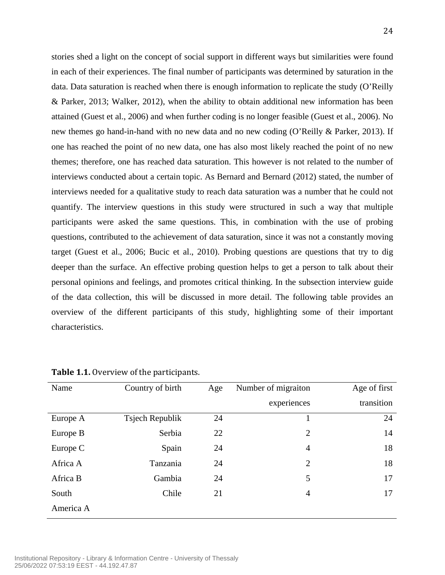stories shed a light on the concept of social support in different ways but similarities were found in each of their experiences. The final number of participants was determined by saturation in the data. Data saturation is reached when there is enough information to replicate the study (O'Reilly & Parker, 2013; Walker, 2012), when the ability to obtain additional new information has been attained (Guest et al., 2006) and when further coding is no longer feasible (Guest et al., 2006). No new themes go hand-in-hand with no new data and no new coding (O'Reilly & Parker, 2013). If one has reached the point of no new data, one has also most likely reached the point of no new themes; therefore, one has reached data saturation. This however is not related to the number of interviews conducted about a certain topic. As Bernard and Bernard (2012) stated, the number of interviews needed for a qualitative study to reach data saturation was a number that he could not quantify. The interview questions in this study were structured in such a way that multiple participants were asked the same questions. This, in combination with the use of probing questions, contributed to the achievement of data saturation, since it was not a constantly moving target (Guest et al., 2006; Bucic et al., 2010). Probing questions are questions that try to dig deeper than the surface. An effective probing question helps to get a person to talk about their personal opinions and feelings, and promotes critical thinking. In the subsection interview guide of the data collection, this will be discussed in more detail. The following table provides an overview of the different participants of this study, highlighting some of their important characteristics.

| Name      | Country of birth | Age | Number of migraiton | Age of first |
|-----------|------------------|-----|---------------------|--------------|
|           |                  |     | experiences         | transition   |
| Europe A  | Tsjech Republik  | 24  |                     | 24           |
| Europe B  | Serbia           | 22  | $\overline{2}$      | 14           |
| Europe C  | Spain            | 24  | $\overline{4}$      | 18           |
| Africa A  | Tanzania         | 24  | 2                   | 18           |
| Africa B  | Gambia           | 24  | 5                   | 17           |
| South     | Chile            | 21  | 4                   | 17           |
| America A |                  |     |                     |              |

**Table 1.1.** Overview of the participants.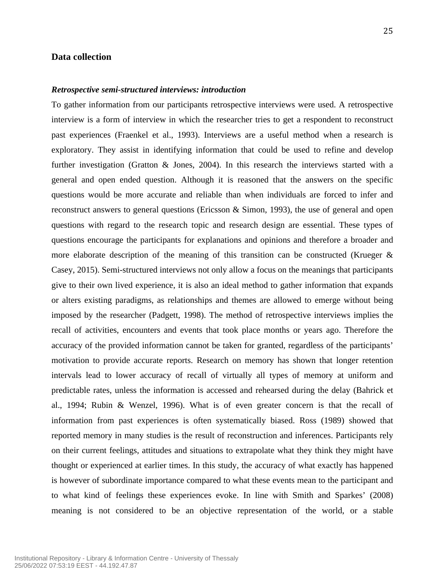#### **Data collection**

#### *Retrospective semi-structured interviews: introduction*

To gather information from our participants retrospective interviews were used. A retrospective interview is a form of interview in which the researcher tries to get a respondent to reconstruct past experiences (Fraenkel et al., 1993). Interviews are a useful method when a research is exploratory. They assist in identifying information that could be used to refine and develop further investigation (Gratton & Jones, 2004). In this research the interviews started with a general and open ended question. Although it is reasoned that the answers on the specific questions would be more accurate and reliable than when individuals are forced to infer and reconstruct answers to general questions (Ericsson & Simon, 1993), the use of general and open questions with regard to the research topic and research design are essential. These types of questions encourage the participants for explanations and opinions and therefore a broader and more elaborate description of the meaning of this transition can be constructed (Krueger & Casey, 2015). Semi-structured interviews not only allow a focus on the meanings that participants give to their own lived experience, it is also an ideal method to gather information that expands or alters existing paradigms, as relationships and themes are allowed to emerge without being imposed by the researcher (Padgett, 1998). The method of retrospective interviews implies the recall of activities, encounters and events that took place months or years ago. Therefore the accuracy of the provided information cannot be taken for granted, regardless of the participants' motivation to provide accurate reports. Research on memory has shown that longer retention intervals lead to lower accuracy of recall of virtually all types of memory at uniform and predictable rates, unless the information is accessed and rehearsed during the delay (Bahrick et al., 1994; Rubin & Wenzel, 1996). What is of even greater concern is that the recall of information from past experiences is often systematically biased. Ross (1989) showed that reported memory in many studies is the result of reconstruction and inferences. Participants rely on their current feelings, attitudes and situations to extrapolate what they think they might have thought or experienced at earlier times. In this study, the accuracy of what exactly has happened is however of subordinate importance compared to what these events mean to the participant and to what kind of feelings these experiences evoke. In line with Smith and Sparkes' (2008) meaning is not considered to be an objective representation of the world, or a stable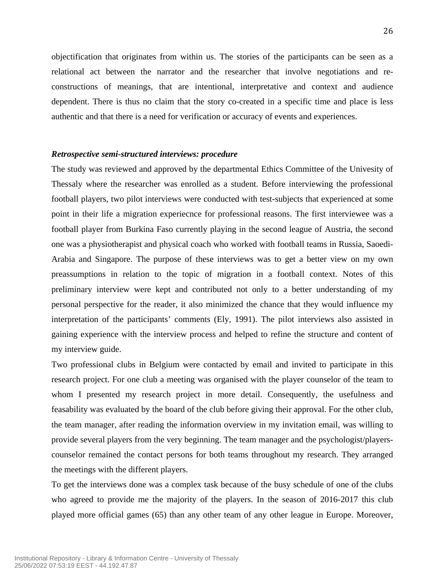objectification that originates from within us. The stories of the participants can be seen as a relational act between the narrator and the researcher that involve negotiations and reconstructions of meanings, that are intentional, interpretative and context and audience dependent. There is thus no claim that the story co-created in a specific time and place is less authentic and that there is a need for verification or accuracy of events and experiences.

#### *Retrospective semi-structured interviews: procedure*

The study was reviewed and approved by the departmental Ethics Committee of the Univesity of Thessaly where the researcher was enrolled as a student. Before interviewing the professional football players, two pilot interviews were conducted with test-subjects that experienced at some point in their life a migration experiecnce for professional reasons. The first interviewee was a football player from Burkina Faso currently playing in the second league of Austria, the second one was a physiotherapist and physical coach who worked with football teams in Russia, Saoedi-Arabia and Singapore. The purpose of these interviews was to get a better view on my own preassumptions in relation to the topic of migration in a football context. Notes of this preliminary interview were kept and contributed not only to a better understanding of my personal perspective for the reader, it also minimized the chance that they would influence my interpretation of the participants' comments (Ely, 1991). The pilot interviews also assisted in gaining experience with the interview process and helped to refine the structure and content of my interview guide.

Two professional clubs in Belgium were contacted by email and invited to participate in this research project. For one club a meeting was organised with the player counselor of the team to whom I presented my research project in more detail. Consequently, the usefulness and feasability was evaluated by the board of the club before giving their approval. For the other club, the team manager, after reading the information overview in my invitation email, was willing to provide several players from the very beginning. The team manager and the psychologist/playerscounselor remained the contact persons for both teams throughout my research. They arranged the meetings with the different players.

To get the interviews done was a complex task because of the busy schedule of one of the clubs who agreed to provide me the majority of the players. In the season of 2016-2017 this club played more official games (65) than any other team of any other league in Europe. Moreover,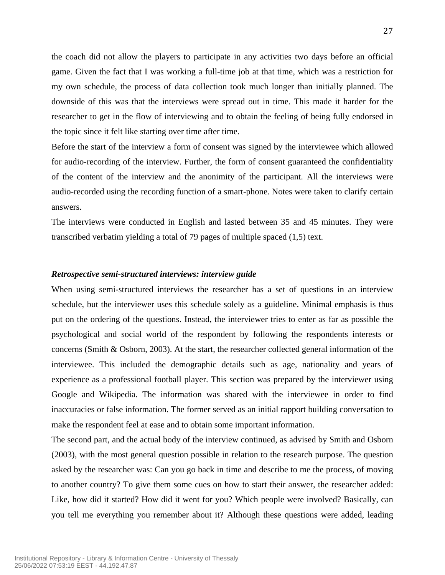the coach did not allow the players to participate in any activities two days before an official game. Given the fact that I was working a full-time job at that time, which was a restriction for my own schedule, the process of data collection took much longer than initially planned. The downside of this was that the interviews were spread out in time. This made it harder for the researcher to get in the flow of interviewing and to obtain the feeling of being fully endorsed in the topic since it felt like starting over time after time.

Before the start of the interview a form of consent was signed by the interviewee which allowed for audio-recording of the interview. Further, the form of consent guaranteed the confidentiality of the content of the interview and the anonimity of the participant. All the interviews were audio-recorded using the recording function of a smart-phone. Notes were taken to clarify certain answers.

The interviews were conducted in English and lasted between 35 and 45 minutes. They were transcribed verbatim yielding a total of 79 pages of multiple spaced (1,5) text.

#### *Retrospective semi-structured interviews: interview guide*

When using semi-structured interviews the researcher has a set of questions in an interview schedule, but the interviewer uses this schedule solely as a guideline. Minimal emphasis is thus put on the ordering of the questions. Instead, the interviewer tries to enter as far as possible the psychological and social world of the respondent by following the respondents interests or concerns (Smith & Osborn, 2003). At the start, the researcher collected general information of the interviewee. This included the demographic details such as age, nationality and years of experience as a professional football player. This section was prepared by the interviewer using Google and Wikipedia. The information was shared with the interviewee in order to find inaccuracies or false information. The former served as an initial rapport building conversation to make the respondent feel at ease and to obtain some important information.

The second part, and the actual body of the interview continued, as advised by Smith and Osborn (2003), with the most general question possible in relation to the research purpose. The question asked by the researcher was: Can you go back in time and describe to me the process, of moving to another country? To give them some cues on how to start their answer, the researcher added: Like, how did it started? How did it went for you? Which people were involved? Basically, can you tell me everything you remember about it? Although these questions were added, leading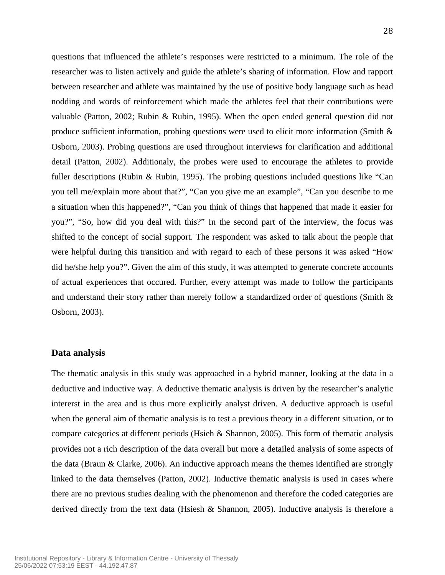questions that influenced the athlete's responses were restricted to a minimum. The role of the researcher was to listen actively and guide the athlete's sharing of information. Flow and rapport between researcher and athlete was maintained by the use of positive body language such as head nodding and words of reinforcement which made the athletes feel that their contributions were valuable (Patton, 2002; Rubin & Rubin, 1995). When the open ended general question did not produce sufficient information, probing questions were used to elicit more information (Smith & Osborn, 2003). Probing questions are used throughout interviews for clarification and additional detail (Patton, 2002). Additionaly, the probes were used to encourage the athletes to provide fuller descriptions (Rubin & Rubin, 1995). The probing questions included questions like "Can you tell me/explain more about that?", "Can you give me an example", "Can you describe to me a situation when this happened?", "Can you think of things that happened that made it easier for you?", "So, how did you deal with this?" In the second part of the interview, the focus was shifted to the concept of social support. The respondent was asked to talk about the people that were helpful during this transition and with regard to each of these persons it was asked "How did he/she help you?". Given the aim of this study, it was attempted to generate concrete accounts of actual experiences that occured. Further, every attempt was made to follow the participants and understand their story rather than merely follow a standardized order of questions (Smith & Osborn, 2003).

#### **Data analysis**

The thematic analysis in this study was approached in a hybrid manner, looking at the data in a deductive and inductive way. A deductive thematic analysis is driven by the researcher's analytic intererst in the area and is thus more explicitly analyst driven. A deductive approach is useful when the general aim of thematic analysis is to test a previous theory in a different situation, or to compare categories at different periods (Hsieh & Shannon, 2005). This form of thematic analysis provides not a rich description of the data overall but more a detailed analysis of some aspects of the data (Braun  $\&$  Clarke, 2006). An inductive approach means the themes identified are strongly linked to the data themselves (Patton, 2002). Inductive thematic analysis is used in cases where there are no previous studies dealing with the phenomenon and therefore the coded categories are derived directly from the text data (Hsiesh & Shannon, 2005). Inductive analysis is therefore a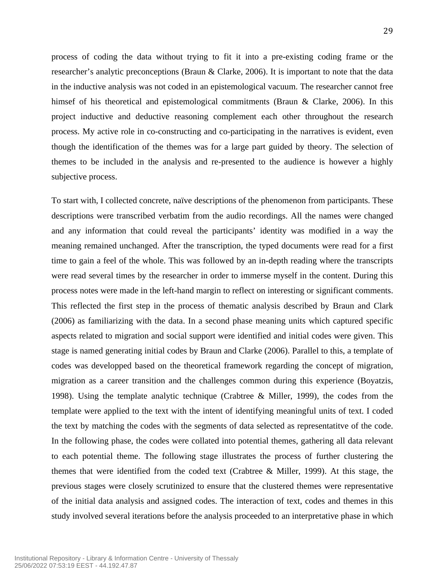process of coding the data without trying to fit it into a pre-existing coding frame or the researcher's analytic preconceptions (Braun & Clarke, 2006). It is important to note that the data in the inductive analysis was not coded in an epistemological vacuum. The researcher cannot free himsef of his theoretical and epistemological commitments (Braun & Clarke, 2006). In this project inductive and deductive reasoning complement each other throughout the research process. My active role in co-constructing and co-participating in the narratives is evident, even though the identification of the themes was for a large part guided by theory. The selection of themes to be included in the analysis and re-presented to the audience is however a highly subjective process.

To start with, I collected concrete, naïve descriptions of the phenomenon from participants. These descriptions were transcribed verbatim from the audio recordings. All the names were changed and any information that could reveal the participants' identity was modified in a way the meaning remained unchanged. After the transcription, the typed documents were read for a first time to gain a feel of the whole. This was followed by an in-depth reading where the transcripts were read several times by the researcher in order to immerse myself in the content. During this process notes were made in the left-hand margin to reflect on interesting or significant comments. This reflected the first step in the process of thematic analysis described by Braun and Clark (2006) as familiarizing with the data. In a second phase meaning units which captured specific aspects related to migration and social support were identified and initial codes were given. This stage is named generating initial codes by Braun and Clarke (2006). Parallel to this, a template of codes was developped based on the theoretical framework regarding the concept of migration, migration as a career transition and the challenges common during this experience (Boyatzis, 1998). Using the template analytic technique (Crabtree & Miller, 1999), the codes from the template were applied to the text with the intent of identifying meaningful units of text. I coded the text by matching the codes with the segments of data selected as representatitve of the code. In the following phase, the codes were collated into potential themes, gathering all data relevant to each potential theme. The following stage illustrates the process of further clustering the themes that were identified from the coded text (Crabtree & Miller, 1999). At this stage, the previous stages were closely scrutinized to ensure that the clustered themes were representative of the initial data analysis and assigned codes. The interaction of text, codes and themes in this study involved several iterations before the analysis proceeded to an interpretative phase in which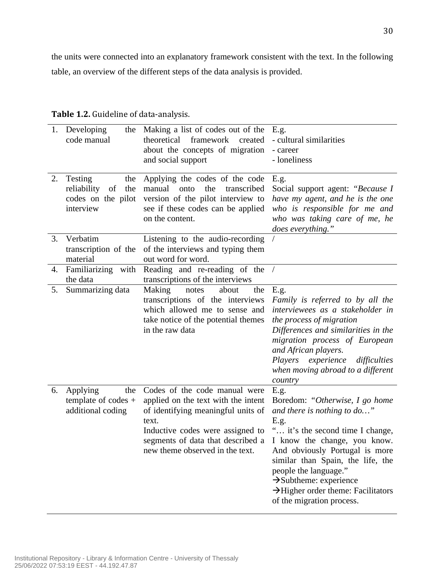the units were connected into an explanatory framework consistent with the text. In the following table, an overview of the different steps of the data analysis is provided.

| 1. | Developing<br>the<br>code manual                                              | Making a list of codes out of the E.g.<br>theoretical<br>framework<br>created<br>about the concepts of migration<br>and social support                                                                                          | - cultural similarities<br>- career<br>- loneliness                                                                                                                                                                                                                                                                                                       |
|----|-------------------------------------------------------------------------------|---------------------------------------------------------------------------------------------------------------------------------------------------------------------------------------------------------------------------------|-----------------------------------------------------------------------------------------------------------------------------------------------------------------------------------------------------------------------------------------------------------------------------------------------------------------------------------------------------------|
| 2. | Testing<br>the<br>reliability<br>of<br>the<br>codes on the pilot<br>interview | Applying the codes of the code<br>manual<br>the<br>onto<br>transcribed<br>version of the pilot interview to<br>see if these codes can be applied<br>on the content.                                                             | E.g.<br>Social support agent: "Because I<br>have my agent, and he is the one<br>who is responsible for me and<br>who was taking care of me, he<br>does everything."                                                                                                                                                                                       |
| 3. | Verbatim<br>transcription of the<br>material                                  | Listening to the audio-recording<br>of the interviews and typing them<br>out word for word.                                                                                                                                     |                                                                                                                                                                                                                                                                                                                                                           |
| 4. | Familiarizing with<br>the data                                                | Reading and re-reading of the /<br>transcriptions of the interviews                                                                                                                                                             |                                                                                                                                                                                                                                                                                                                                                           |
| 5. | Summarizing data                                                              | Making<br>about<br>the<br>notes<br>transcriptions of the interviews<br>which allowed me to sense and<br>take notice of the potential themes<br>in the raw data                                                                  | E.g.<br>Family is referred to by all the<br>interviewees as a stakeholder in<br>the process of migration<br>Differences and similarities in the<br>migration process of European<br>and African players.<br>Players experience<br>difficulties<br>when moving abroad to a different<br>country                                                            |
| 6. | Applying<br>the<br>template of codes $+$<br>additional coding                 | Codes of the code manual were<br>applied on the text with the intent<br>of identifying meaningful units of<br>text.<br>Inductive codes were assigned to<br>segments of data that described a<br>new theme observed in the text. | E.g.<br>Boredom: "Otherwise, I go home<br>and there is nothing to do"<br>E.g.<br>" it's the second time I change,<br>I know the change, you know.<br>And obviously Portugal is more<br>similar than Spain, the life, the<br>people the language."<br>$\rightarrow$ Subtheme: experience<br>>Higher order theme: Facilitators<br>of the migration process. |

Table 1.2. Guideline of data-analysis.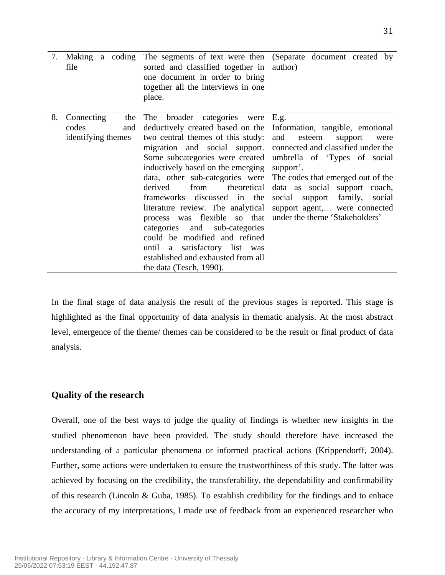| 7. | Making a coding<br>file | sorted and classified together in<br>one document in order to bring<br>together all the interviews in one<br>place. | The segments of text were then (Separate document created by<br>author) |
|----|-------------------------|---------------------------------------------------------------------------------------------------------------------|-------------------------------------------------------------------------|
| 8. | Connecting<br>the       | broader categories were<br>The                                                                                      | E.g.                                                                    |
|    | codes<br>and            | deductively created based on the                                                                                    | Information, tangible, emotional                                        |
|    | identifying themes      | two central themes of this study:                                                                                   | and<br>esteem<br>support<br>were                                        |
|    |                         | migration and social support.                                                                                       | connected and classified under the                                      |
|    |                         | Some subcategories were created                                                                                     | umbrella of 'Types of social                                            |
|    |                         | inductively based on the emerging                                                                                   | support'.                                                               |
|    |                         | data, other sub-categories were                                                                                     | The codes that emerged out of the                                       |
|    |                         | derived<br>theoretical<br>from                                                                                      | data as social support coach,                                           |
|    |                         | frameworks discussed in the                                                                                         | family,<br>social<br>support<br>social                                  |
|    |                         | literature review. The analytical                                                                                   | support agent, were connected                                           |
|    |                         | process was flexible so that                                                                                        | under the theme 'Stakeholders'                                          |
|    |                         | categories and<br>sub-categories                                                                                    |                                                                         |
|    |                         | could be modified and refined                                                                                       |                                                                         |
|    |                         | until a satisfactory list was                                                                                       |                                                                         |
|    |                         | established and exhausted from all                                                                                  |                                                                         |
|    |                         | the data (Tesch, 1990).                                                                                             |                                                                         |

In the final stage of data analysis the result of the previous stages is reported. This stage is highlighted as the final opportunity of data analysis in thematic analysis. At the most abstract level, emergence of the theme/ themes can be considered to be the result or final product of data analysis.

### **Quality of the research**

Overall, one of the best ways to judge the quality of findings is whether new insights in the studied phenomenon have been provided. The study should therefore have increased the understanding of a particular phenomena or informed practical actions (Krippendorff, 2004). Further, some actions were undertaken to ensure the trustworthiness of this study. The latter was achieved by focusing on the credibility, the transferability, the dependability and confirmability of this research (Lincoln & Guba, 1985). To establish credibility for the findings and to enhace the accuracy of my interpretations, I made use of feedback from an experienced researcher who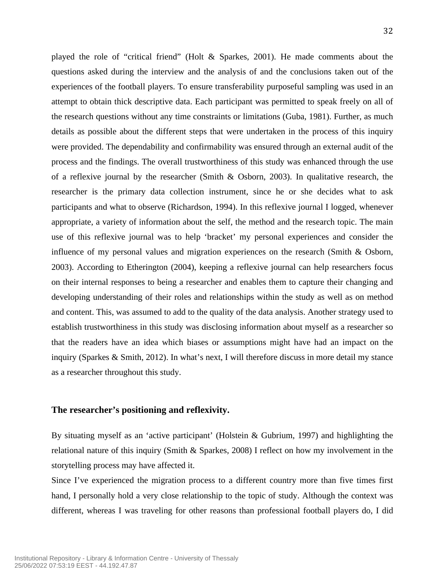played the role of "critical friend" (Holt & Sparkes, 2001). He made comments about the questions asked during the interview and the analysis of and the conclusions taken out of the experiences of the football players. To ensure transferability purposeful sampling was used in an attempt to obtain thick descriptive data. Each participant was permitted to speak freely on all of the research questions without any time constraints or limitations (Guba, 1981). Further, as much details as possible about the different steps that were undertaken in the process of this inquiry were provided. The dependability and confirmability was ensured through an external audit of the process and the findings. The overall trustworthiness of this study was enhanced through the use of a reflexive journal by the researcher (Smith  $\&$  Osborn, 2003). In qualitative research, the researcher is the primary data collection instrument, since he or she decides what to ask participants and what to observe (Richardson, 1994). In this reflexive journal I logged, whenever appropriate, a variety of information about the self, the method and the research topic. The main use of this reflexive journal was to help 'bracket' my personal experiences and consider the influence of my personal values and migration experiences on the research (Smith & Osborn, 2003). According to Etherington (2004), keeping a reflexive journal can help researchers focus on their internal responses to being a researcher and enables them to capture their changing and developing understanding of their roles and relationships within the study as well as on method and content. This, was assumed to add to the quality of the data analysis. Another strategy used to establish trustworthiness in this study was disclosing information about myself as a researcher so that the readers have an idea which biases or assumptions might have had an impact on the inquiry (Sparkes & Smith, 2012). In what's next, I will therefore discuss in more detail my stance as a researcher throughout this study.

#### **The researcher's positioning and reflexivity.**

By situating myself as an 'active participant' (Holstein & Gubrium, 1997) and highlighting the relational nature of this inquiry (Smith & Sparkes, 2008) I reflect on how my involvement in the storytelling process may have affected it.

Since I've experienced the migration process to a different country more than five times first hand, I personally hold a very close relationship to the topic of study. Although the context was different, whereas I was traveling for other reasons than professional football players do, I did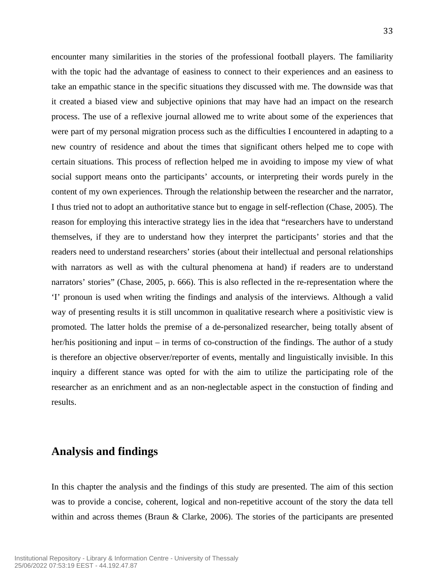encounter many similarities in the stories of the professional football players. The familiarity with the topic had the advantage of easiness to connect to their experiences and an easiness to take an empathic stance in the specific situations they discussed with me. The downside was that it created a biased view and subjective opinions that may have had an impact on the research process. The use of a reflexive journal allowed me to write about some of the experiences that were part of my personal migration process such as the difficulties I encountered in adapting to a new country of residence and about the times that significant others helped me to cope with certain situations. This process of reflection helped me in avoiding to impose my view of what social support means onto the participants' accounts, or interpreting their words purely in the content of my own experiences. Through the relationship between the researcher and the narrator,

33

I thus tried not to adopt an authoritative stance but to engage in self-reflection (Chase, 2005). The reason for employing this interactive strategy lies in the idea that "researchers have to understand themselves, if they are to understand how they interpret the participants' stories and that the readers need to understand researchers' stories (about their intellectual and personal relationships with narrators as well as with the cultural phenomena at hand) if readers are to understand narrators' stories" (Chase, 2005, p. 666). This is also reflected in the re-representation where the 'I' pronoun is used when writing the findings and analysis of the interviews. Although a valid way of presenting results it is still uncommon in qualitative research where a positivistic view is promoted. The latter holds the premise of a de-personalized researcher, being totally absent of her/his positioning and input – in terms of co-construction of the findings. The author of a study is therefore an objective observer/reporter of events, mentally and linguistically invisible. In this inquiry a different stance was opted for with the aim to utilize the participating role of the researcher as an enrichment and as an non-neglectable aspect in the constuction of finding and results.

# **Analysis and findings**

In this chapter the analysis and the findings of this study are presented. The aim of this section was to provide a concise, coherent, logical and non-repetitive account of the story the data tell within and across themes (Braun & Clarke, 2006). The stories of the participants are presented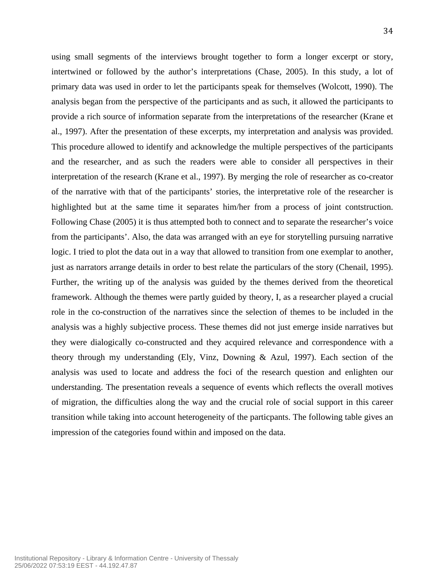using small segments of the interviews brought together to form a longer excerpt or story, intertwined or followed by the author's interpretations (Chase, 2005). In this study, a lot of primary data was used in order to let the participants speak for themselves (Wolcott, 1990). The analysis began from the perspective of the participants and as such, it allowed the participants to provide a rich source of information separate from the interpretations of the researcher (Krane et al., 1997). After the presentation of these excerpts, my interpretation and analysis was provided. This procedure allowed to identify and acknowledge the multiple perspectives of the participants and the researcher, and as such the readers were able to consider all perspectives in their interpretation of the research (Krane et al., 1997). By merging the role of researcher as co-creator of the narrative with that of the participants' stories, the interpretative role of the researcher is highlighted but at the same time it separates him/her from a process of joint contstruction. Following Chase (2005) it is thus attempted both to connect and to separate the researcher's voice from the participants'. Also, the data was arranged with an eye for storytelling pursuing narrative logic. I tried to plot the data out in a way that allowed to transition from one exemplar to another, just as narrators arrange details in order to best relate the particulars of the story (Chenail, 1995). Further, the writing up of the analysis was guided by the themes derived from the theoretical framework. Although the themes were partly guided by theory, I, as a researcher played a crucial role in the co-construction of the narratives since the selection of themes to be included in the analysis was a highly subjective process. These themes did not just emerge inside narratives but they were dialogically co-constructed and they acquired relevance and correspondence with a theory through my understanding (Ely, Vinz, Downing & Azul, 1997). Each section of the analysis was used to locate and address the foci of the research question and enlighten our understanding. The presentation reveals a sequence of events which reflects the overall motives of migration, the difficulties along the way and the crucial role of social support in this career transition while taking into account heterogeneity of the particpants. The following table gives an impression of the categories found within and imposed on the data.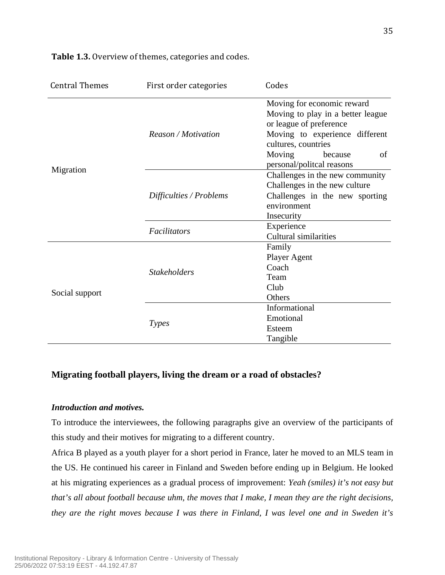| <b>Central Themes</b> | First order categories  | Codes                                                        |
|-----------------------|-------------------------|--------------------------------------------------------------|
|                       | Reason / Motivation     | Moving for economic reward                                   |
|                       |                         | Moving to play in a better league<br>or league of preference |
|                       |                         | Moving to experience different<br>cultures, countries        |
|                       |                         | Moving<br>of<br>because<br>personal/politcal reasons         |
| Migration             |                         | Challenges in the new community                              |
|                       |                         | Challenges in the new culture                                |
|                       | Difficulties / Problems | Challenges in the new sporting                               |
|                       |                         | environment                                                  |
|                       |                         | Insecurity                                                   |
|                       | Facilitators            | Experience                                                   |
|                       |                         | <b>Cultural similarities</b>                                 |
|                       |                         | Family                                                       |
|                       |                         | Player Agent                                                 |
|                       | <b>Stakeholders</b>     | Coach                                                        |
|                       |                         | Team                                                         |
| Social support        |                         | Club                                                         |
|                       |                         | Others                                                       |
|                       |                         | Informational                                                |
|                       | <b>Types</b>            | Emotional                                                    |
|                       |                         | Esteem                                                       |
|                       |                         | Tangible                                                     |

**Table 1.3.** Overview of themes, categories and codes.

# **Migrating football players, living the dream or a road of obstacles?**

### *Introduction and motives.*

To introduce the interviewees, the following paragraphs give an overview of the participants of this study and their motives for migrating to a different country.

Africa B played as a youth player for a short period in France, later he moved to an MLS team in the US. He continued his career in Finland and Sweden before ending up in Belgium. He looked at his migrating experiences as a gradual process of improvement: *Yeah (smiles) it's not easy but that's all about football because uhm, the moves that I make, I mean they are the right decisions, they are the right moves because I was there in Finland, I was level one and in Sweden it's*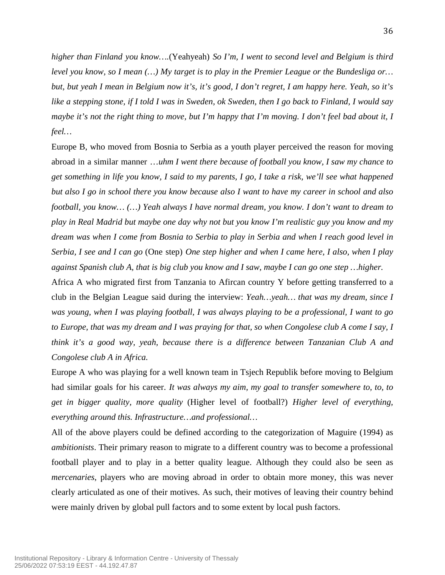*higher than Finland you know….*(Yeahyeah) *So I'm, I went to second level and Belgium is third level you know, so I mean (…) My target is to play in the Premier League or the Bundesliga or… but, but yeah I mean in Belgium now it's, it's good, I don't regret, I am happy here. Yeah, so it's like a stepping stone, if I told I was in Sweden, ok Sweden, then I go back to Finland, I would say maybe it's not the right thing to move, but I'm happy that I'm moving. I don't feel bad about it, I feel…*

Europe B, who moved from Bosnia to Serbia as a youth player perceived the reason for moving abroad in a similar manner …*uhm I went there because of football you know, I saw my chance to get something in life you know, I said to my parents, I go, I take a risk, we'll see what happened but also I go in school there you know because also I want to have my career in school and also football, you know… (…) Yeah always I have normal dream, you know. I don't want to dream to play in Real Madrid but maybe one day why not but you know I'm realistic guy you know and my dream was when I come from Bosnia to Serbia to play in Serbia and when I reach good level in Serbia, I see and I can go* (One step) *One step higher and when I came here, I also, when I play against Spanish club A, that is big club you know and I saw, maybe I can go one step …higher.*

Africa A who migrated first from Tanzania to Afircan country Y before getting transferred to a club in the Belgian League said during the interview: *Yeah…yeah… that was my dream, since I was young, when I was playing football, I was always playing to be a professional, I want to go to Europe, that was my dream and I was praying for that, so when Congolese club A come I say, I think it's a good way, yeah, because there is a difference between Tanzanian Club A and Congolese club A in Africa.* 

Europe A who was playing for a well known team in Tsjech Republik before moving to Belgium had similar goals for his career. *It was always my aim, my goal to transfer somewhere to, to, to get in bigger quality, more quality* (Higher level of football?) *Higher level of everything, everything around this. Infrastructure…and professional…*

All of the above players could be defined according to the categorization of Maguire (1994) as *ambitionists*. Their primary reason to migrate to a different country was to become a professional football player and to play in a better quality league. Although they could also be seen as *mercenaries*, players who are moving abroad in order to obtain more money, this was never clearly articulated as one of their motives. As such, their motives of leaving their country behind were mainly driven by global pull factors and to some extent by local push factors.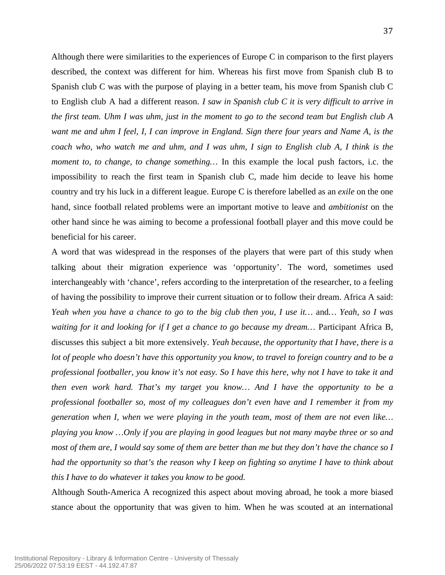Although there were similarities to the experiences of Europe C in comparison to the first players described, the context was different for him. Whereas his first move from Spanish club B to Spanish club C was with the purpose of playing in a better team, his move from Spanish club C to English club A had a different reason. *I saw in Spanish club C it is very difficult to arrive in the first team. Uhm I was uhm, just in the moment to go to the second team but English club A want me and uhm I feel, I, I can improve in England. Sign there four years and Name A, is the coach who, who watch me and uhm, and I was uhm, I sign to English club A, I think is the moment to, to change, to change something…* In this example the local push factors, i.c. the impossibility to reach the first team in Spanish club C, made him decide to leave his home country and try his luck in a different league. Europe C is therefore labelled as an *exile* on the one hand, since football related problems were an important motive to leave and *ambitionist* on the other hand since he was aiming to become a professional football player and this move could be beneficial for his career.

A word that was widespread in the responses of the players that were part of this study when talking about their migration experience was 'opportunity'. The word, sometimes used interchangeably with 'chance', refers according to the interpretation of the researcher, to a feeling of having the possibility to improve their current situation or to follow their dream. Africa A said: *Yeah when you have a chance to go to the big club then you, I use it…* and*… Yeah, so I was waiting for it and looking for if I get a chance to go because my dream…* Participant Africa B, discusses this subject a bit more extensively. *Yeah because, the opportunity that I have, there is a lot of people who doesn't have this opportunity you know, to travel to foreign country and to be a professional footballer, you know it's not easy. So I have this here, why not I have to take it and then even work hard. That's my target you know… And I have the opportunity to be a professional footballer so, most of my colleagues don't even have and I remember it from my generation when I, when we were playing in the youth team, most of them are not even like… playing you know …Only if you are playing in good leagues but not many maybe three or so and most of them are, I would say some of them are better than me but they don't have the chance so I had the opportunity so that's the reason why I keep on fighting so anytime I have to think about this I have to do whatever it takes you know to be good.* 

Although South-America A recognized this aspect about moving abroad, he took a more biased stance about the opportunity that was given to him. When he was scouted at an international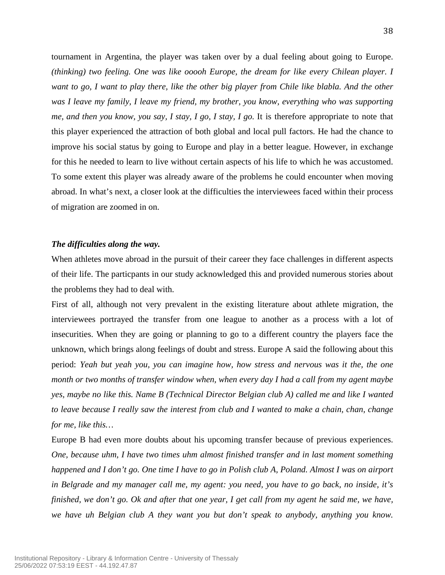tournament in Argentina, the player was taken over by a dual feeling about going to Europe. *(thinking) two feeling. One was like ooooh Europe, the dream for like every Chilean player. I want to go, I want to play there, like the other big player from Chile like blabla. And the other was I leave my family, I leave my friend, my brother, you know, everything who was supporting me, and then you know, you say, I stay, I go, I stay, I go.* It is therefore appropriate to note that this player experienced the attraction of both global and local pull factors. He had the chance to improve his social status by going to Europe and play in a better league. However, in exchange for this he needed to learn to live without certain aspects of his life to which he was accustomed. To some extent this player was already aware of the problems he could encounter when moving abroad. In what's next, a closer look at the difficulties the interviewees faced within their process of migration are zoomed in on.

### *The difficulties along the way.*

When athletes move abroad in the pursuit of their career they face challenges in different aspects of their life. The particpants in our study acknowledged this and provided numerous stories about the problems they had to deal with.

First of all, although not very prevalent in the existing literature about athlete migration, the interviewees portrayed the transfer from one league to another as a process with a lot of insecurities. When they are going or planning to go to a different country the players face the unknown, which brings along feelings of doubt and stress. Europe A said the following about this period: *Yeah but yeah you, you can imagine how, how stress and nervous was it the, the one month or two months of transfer window when, when every day I had a call from my agent maybe yes, maybe no like this. Name B (Technical Director Belgian club A) called me and like I wanted to leave because I really saw the interest from club and I wanted to make a chain, chan, change for me, like this…*

Europe B had even more doubts about his upcoming transfer because of previous experiences. *One, because uhm, I have two times uhm almost finished transfer and in last moment something happened and I don't go. One time I have to go in Polish club A, Poland. Almost I was on airport in Belgrade and my manager call me, my agent: you need, you have to go back, no inside, it's finished, we don't go. Ok and after that one year, I get call from my agent he said me, we have, we have uh Belgian club A they want you but don't speak to anybody, anything you know.*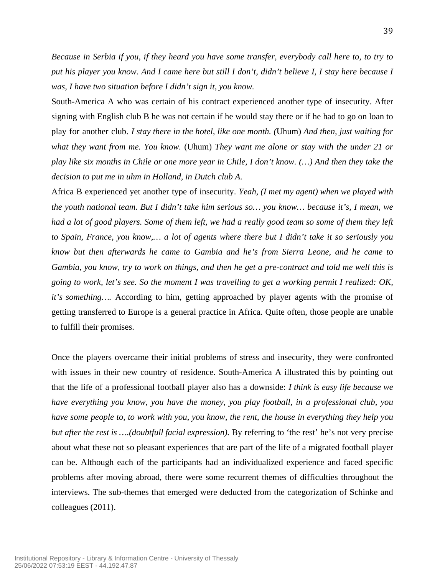*Because in Serbia if you, if they heard you have some transfer, everybody call here to, to try to put his player you know. And I came here but still I don't, didn't believe I, I stay here because I was, I have two situation before I didn't sign it, you know.*

South-America A who was certain of his contract experienced another type of insecurity. After signing with English club B he was not certain if he would stay there or if he had to go on loan to play for another club. *I stay there in the hotel, like one month. (*Uhum) *And then, just waiting for what they want from me. You know.* (Uhum) *They want me alone or stay with the under 21 or play like six months in Chile or one more year in Chile, I don't know. (…) And then they take the decision to put me in uhm in Holland, in Dutch club A.* 

Africa B experienced yet another type of insecurity. *Yeah, (I met my agent) when we played with the youth national team. But I didn't take him serious so… you know… because it's, I mean, we had a lot of good players. Some of them left, we had a really good team so some of them they left to Spain, France, you know,… a lot of agents where there but I didn't take it so seriously you know but then afterwards he came to Gambia and he's from Sierra Leone, and he came to Gambia, you know, try to work on things, and then he get a pre-contract and told me well this is going to work, let's see. So the moment I was travelling to get a working permit I realized: OK, it's something….* According to him, getting approached by player agents with the promise of getting transferred to Europe is a general practice in Africa. Quite often, those people are unable to fulfill their promises.

Once the players overcame their initial problems of stress and insecurity, they were confronted with issues in their new country of residence. South-America A illustrated this by pointing out that the life of a professional football player also has a downside: *I think is easy life because we have everything you know, you have the money, you play football, in a professional club, you have some people to, to work with you, you know, the rent, the house in everything they help you but after the rest is ….(doubtfull facial expression).* By referring to 'the rest' he's not very precise about what these not so pleasant experiences that are part of the life of a migrated football player can be. Although each of the participants had an individualized experience and faced specific problems after moving abroad, there were some recurrent themes of difficulties throughout the interviews. The sub-themes that emerged were deducted from the categorization of Schinke and colleagues (2011).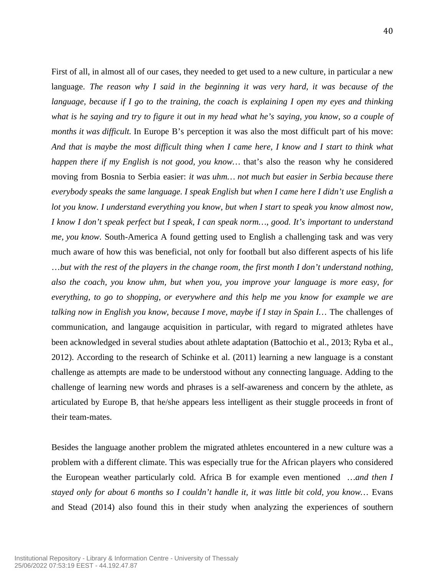First of all, in almost all of our cases, they needed to get used to a new culture, in particular a new language. *The reason why I said in the beginning it was very hard, it was because of the language, because if I go to the training, the coach is explaining I open my eyes and thinking what is he saying and try to figure it out in my head what he's saying, you know, so a couple of months it was difficult*. In Europe B's perception it was also the most difficult part of his move: *And that is maybe the most difficult thing when I came here, I know and I start to think what happen there if my English is not good, you know…* that's also the reason why he considered moving from Bosnia to Serbia easier: *it was uhm… not much but easier in Serbia because there everybody speaks the same language. I speak English but when I came here I didn't use English a lot you know. I understand everything you know, but when I start to speak you know almost now, I know I don't speak perfect but I speak, I can speak norm…, good. It's important to understand me, you know.* South-America A found getting used to English a challenging task and was very much aware of how this was beneficial, not only for football but also different aspects of his life …*but with the rest of the players in the change room, the first month I don't understand nothing, also the coach, you know uhm, but when you, you improve your language is more easy, for everything, to go to shopping, or everywhere and this help me you know for example we are talking now in English you know, because I move, maybe if I stay in Spain I…* The challenges of communication, and langauge acquisition in particular, with regard to migrated athletes have been acknowledged in several studies about athlete adaptation (Battochio et al., 2013; Ryba et al., 2012). According to the research of Schinke et al. (2011) learning a new language is a constant challenge as attempts are made to be understood without any connecting language. Adding to the challenge of learning new words and phrases is a self-awareness and concern by the athlete, as articulated by Europe B, that he/she appears less intelligent as their stuggle proceeds in front of their team-mates.

Besides the language another problem the migrated athletes encountered in a new culture was a problem with a different climate. This was especially true for the African players who considered the European weather particularly cold. Africa B for example even mentioned *…and then I stayed only for about 6 months so I couldn't handle it, it was little bit cold, you know…* Evans and Stead (2014) also found this in their study when analyzing the experiences of southern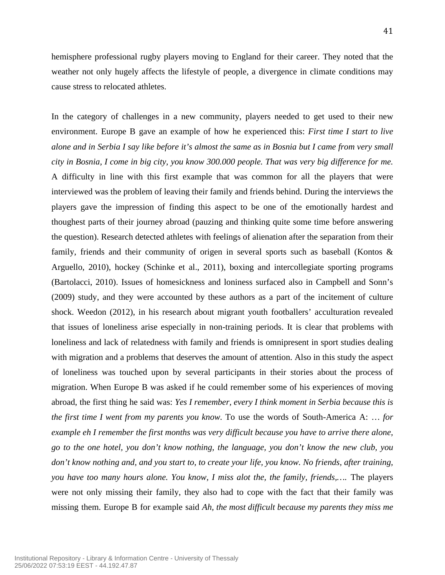hemisphere professional rugby players moving to England for their career. They noted that the weather not only hugely affects the lifestyle of people, a divergence in climate conditions may cause stress to relocated athletes.

In the category of challenges in a new community, players needed to get used to their new environment. Europe B gave an example of how he experienced this: *First time I start to live alone and in Serbia I say like before it's almost the same as in Bosnia but I came from very small city in Bosnia, I come in big city, you know 300.000 people. That was very big difference for me.* A difficulty in line with this first example that was common for all the players that were interviewed was the problem of leaving their family and friends behind. During the interviews the players gave the impression of finding this aspect to be one of the emotionally hardest and thoughest parts of their journey abroad (pauzing and thinking quite some time before answering the question). Research detected athletes with feelings of alienation after the separation from their family, friends and their community of origen in several sports such as baseball (Kontos & Arguello, 2010), hockey (Schinke et al., 2011), boxing and intercollegiate sporting programs (Bartolacci, 2010). Issues of homesickness and loniness surfaced also in Campbell and Sonn's (2009) study, and they were accounted by these authors as a part of the incitement of culture shock. Weedon (2012), in his research about migrant youth footballers' acculturation revealed that issues of loneliness arise especially in non-training periods. It is clear that problems with loneliness and lack of relatedness with family and friends is omnipresent in sport studies dealing with migration and a problems that deserves the amount of attention. Also in this study the aspect of loneliness was touched upon by several participants in their stories about the process of migration. When Europe B was asked if he could remember some of his experiences of moving abroad, the first thing he said was: *Yes I remember, every I think moment in Serbia because this is the first time I went from my parents you know.* To use the words of South-America A: … *for example eh I remember the first months was very difficult because you have to arrive there alone, go to the one hotel, you don't know nothing, the language, you don't know the new club, you don't know nothing and, and you start to, to create your life, you know. No friends, after training, you have too many hours alone. You know, I miss alot the, the family, friends,….* The players were not only missing their family, they also had to cope with the fact that their family was missing them. Europe B for example said *Ah, the most difficult because my parents they miss me*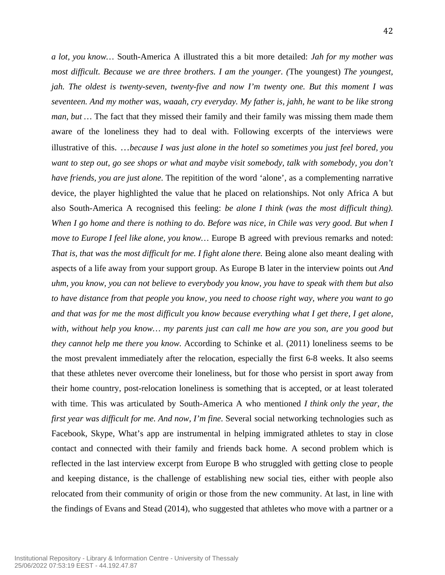*a lot, you know…* South-America A illustrated this a bit more detailed: *Jah for my mother was most difficult. Because we are three brothers. I am the younger. (*The youngest) *The youngest, jah. The oldest is twenty-seven, twenty-five and now I'm twenty one. But this moment I was seventeen. And my mother was, waaah, cry everyday. My father is, jahh, he want to be like strong man, but …* The fact that they missed their family and their family was missing them made them aware of the loneliness they had to deal with. Following excerpts of the interviews were illustrative of this. …*because I was just alone in the hotel so sometimes you just feel bored, you want to step out, go see shops or what and maybe visit somebody, talk with somebody, you don't have friends, you are just alone.* The repitition of the word 'alone', as a complementing narrative device, the player highlighted the value that he placed on relationships. Not only Africa A but also South-America A recognised this feeling: *be alone I think (was the most difficult thing).*  When I go home and there is nothing to do. Before was nice, in Chile was very good. But when I *move to Europe I feel like alone, you know…* Europe B agreed with previous remarks and noted: *That is, that was the most difficult for me. I fight alone there.* Being alone also meant dealing with aspects of a life away from your support group. As Europe B later in the interview points out *And uhm, you know, you can not believe to everybody you know, you have to speak with them but also to have distance from that people you know, you need to choose right way, where you want to go and that was for me the most difficult you know because everything what I get there, I get alone, with, without help you know… my parents just can call me how are you son, are you good but they cannot help me there you know.* According to Schinke et al. (2011) loneliness seems to be the most prevalent immediately after the relocation, especially the first 6-8 weeks. It also seems that these athletes never overcome their loneliness, but for those who persist in sport away from their home country, post-relocation loneliness is something that is accepted, or at least tolerated with time. This was articulated by South-America A who mentioned *I think only the year, the first year was difficult for me. And now, I'm fine.* Several social networking technologies such as Facebook, Skype, What's app are instrumental in helping immigrated athletes to stay in close contact and connected with their family and friends back home. A second problem which is reflected in the last interview excerpt from Europe B who struggled with getting close to people and keeping distance, is the challenge of establishing new social ties, either with people also relocated from their community of origin or those from the new community. At last, in line with the findings of Evans and Stead (2014), who suggested that athletes who move with a partner or a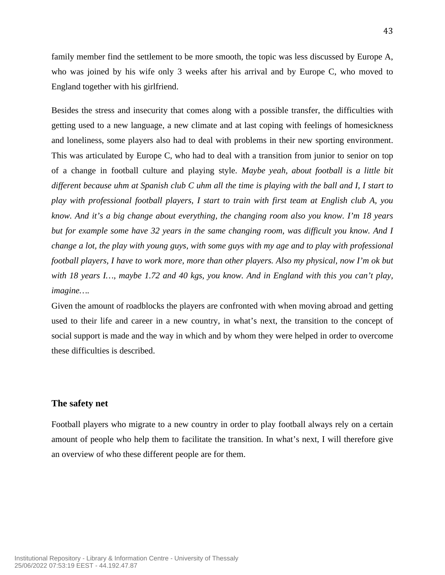family member find the settlement to be more smooth, the topic was less discussed by Europe A, who was joined by his wife only 3 weeks after his arrival and by Europe C, who moved to England together with his girlfriend.

Besides the stress and insecurity that comes along with a possible transfer, the difficulties with getting used to a new language, a new climate and at last coping with feelings of homesickness and loneliness, some players also had to deal with problems in their new sporting environment. This was articulated by Europe C, who had to deal with a transition from junior to senior on top of a change in football culture and playing style. *Maybe yeah, about football is a little bit different because uhm at Spanish club C uhm all the time is playing with the ball and I, I start to play with professional football players, I start to train with first team at English club A, you know. And it's a big change about everything, the changing room also you know. I'm 18 years but for example some have 32 years in the same changing room, was difficult you know. And I change a lot, the play with young guys, with some guys with my age and to play with professional football players, I have to work more, more than other players. Also my physical, now I'm ok but with 18 years I…, maybe 1.72 and 40 kgs, you know. And in England with this you can't play, imagine….*

Given the amount of roadblocks the players are confronted with when moving abroad and getting used to their life and career in a new country, in what's next, the transition to the concept of social support is made and the way in which and by whom they were helped in order to overcome these difficulties is described.

# **The safety net**

Football players who migrate to a new country in order to play football always rely on a certain amount of people who help them to facilitate the transition. In what's next, I will therefore give an overview of who these different people are for them.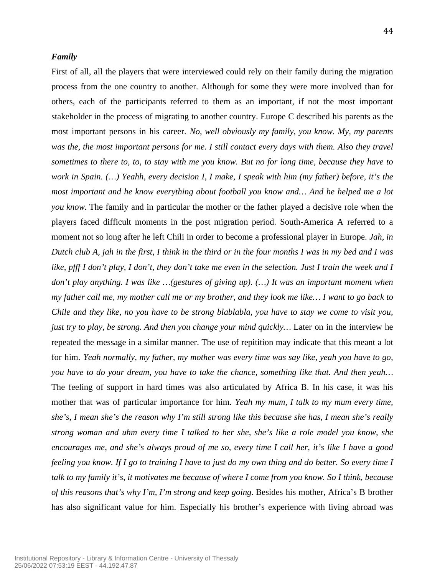#### *Family*

First of all, all the players that were interviewed could rely on their family during the migration process from the one country to another. Although for some they were more involved than for others, each of the participants referred to them as an important, if not the most important stakeholder in the process of migrating to another country. Europe C described his parents as the most important persons in his career. *No, well obviously my family, you know. My, my parents*  was the, the most important persons for me. I still contact every days with them. Also they travel *sometimes to there to, to, to stay with me you know. But no for long time, because they have to work in Spain. (…) Yeahh, every decision I, I make, I speak with him (my father) before, it's the most important and he know everything about football you know and… And he helped me a lot you know.* The family and in particular the mother or the father played a decisive role when the players faced difficult moments in the post migration period. South-America A referred to a moment not so long after he left Chili in order to become a professional player in Europe. *Jah, in Dutch club A, jah in the first, I think in the third or in the four months I was in my bed and I was like, pfff I don't play, I don't, they don't take me even in the selection. Just I train the week and I don't play anything. I was like …(gestures of giving up). (…) It was an important moment when my father call me, my mother call me or my brother, and they look me like… I want to go back to Chile and they like, no you have to be strong blablabla, you have to stay we come to visit you, just try to play, be strong. And then you change your mind quickly…* Later on in the interview he repeated the message in a similar manner. The use of repitition may indicate that this meant a lot for him. *Yeah normally, my father, my mother was every time was say like, yeah you have to go, you have to do your dream, you have to take the chance, something like that. And then yeah…* The feeling of support in hard times was also articulated by Africa B. In his case, it was his mother that was of particular importance for him. *Yeah my mum, I talk to my mum every time, she's, I mean she's the reason why I'm still strong like this because she has, I mean she's really strong woman and uhm every time I talked to her she, she's like a role model you know, she encourages me, and she's always proud of me so, every time I call her, it's like I have a good feeling you know. If I go to training I have to just do my own thing and do better. So every time I talk to my family it's, it motivates me because of where I come from you know. So I think, because of this reasons that's why I'm, I'm strong and keep going.* Besides his mother, Africa's B brother has also significant value for him. Especially his brother's experience with living abroad was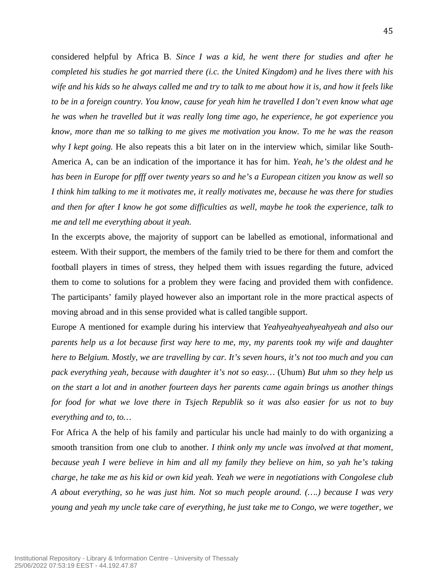considered helpful by Africa B. *Since I was a kid, he went there for studies and after he completed his studies he got married there (i.c. the United Kingdom) and he lives there with his wife and his kids so he always called me and try to talk to me about how it is, and how it feels like to be in a foreign country. You know, cause for yeah him he travelled I don't even know what age he was when he travelled but it was really long time ago, he experience, he got experience you know, more than me so talking to me gives me motivation you know. To me he was the reason why I kept going.* He also repeats this a bit later on in the interview which, similar like South-America A, can be an indication of the importance it has for him. *Yeah, he's the oldest and he has been in Europe for pfff over twenty years so and he's a European citizen you know as well so I think him talking to me it motivates me, it really motivates me, because he was there for studies and then for after I know he got some difficulties as well, maybe he took the experience, talk to me and tell me everything about it yeah.* 

In the excerpts above, the majority of support can be labelled as emotional, informational and esteem. With their support, the members of the family tried to be there for them and comfort the football players in times of stress, they helped them with issues regarding the future, adviced them to come to solutions for a problem they were facing and provided them with confidence. The participants' family played however also an important role in the more practical aspects of moving abroad and in this sense provided what is called tangible support.

Europe A mentioned for example during his interview that *Yeahyeahyeahyeahyeah and also our parents help us a lot because first way here to me, my, my parents took my wife and daughter here to Belgium. Mostly, we are travelling by car. It's seven hours, it's not too much and you can pack everything yeah, because with daughter it's not so easy…* (Uhum) *But uhm so they help us on the start a lot and in another fourteen days her parents came again brings us another things for food for what we love there in Tsjech Republik so it was also easier for us not to buy everything and to, to…*

For Africa A the help of his family and particular his uncle had mainly to do with organizing a smooth transition from one club to another. *I think only my uncle was involved at that moment, because yeah I were believe in him and all my family they believe on him, so yah he's taking charge, he take me as his kid or own kid yeah. Yeah we were in negotiations with Congolese club A about everything, so he was just him. Not so much people around. (….) because I was very young and yeah my uncle take care of everything, he just take me to Congo, we were together, we*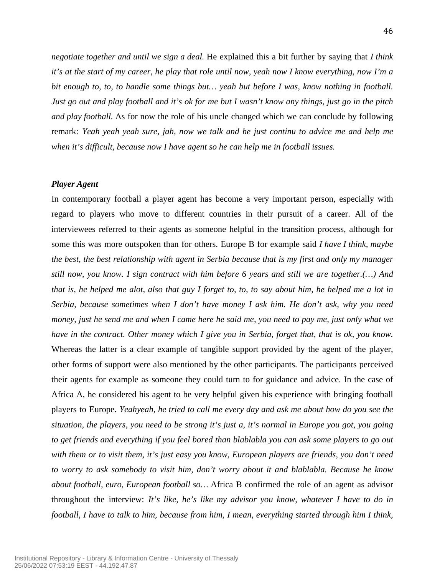*negotiate together and until we sign a deal.* He explained this a bit further by saying that *I think it's at the start of my career, he play that role until now, yeah now I know everything, now I'm a bit enough to, to, to handle some things but… yeah but before I was, know nothing in football. Just go out and play football and it's ok for me but I wasn't know any things, just go in the pitch and play football.* As for now the role of his uncle changed which we can conclude by following remark: *Yeah yeah yeah sure, jah, now we talk and he just continu to advice me and help me when it's difficult, because now I have agent so he can help me in football issues.*

#### *Player Agent*

In contemporary football a player agent has become a very important person, especially with regard to players who move to different countries in their pursuit of a career. All of the interviewees referred to their agents as someone helpful in the transition process, although for some this was more outspoken than for others. Europe B for example said *I have I think, maybe the best, the best relationship with agent in Serbia because that is my first and only my manager still now, you know. I sign contract with him before 6 years and still we are together.(…) And that is, he helped me alot, also that guy I forget to, to, to say about him, he helped me a lot in Serbia, because sometimes when I don't have money I ask him. He don't ask, why you need money, just he send me and when I came here he said me, you need to pay me, just only what we have in the contract. Other money which I give you in Serbia, forget that, that is ok, you know.*  Whereas the latter is a clear example of tangible support provided by the agent of the player, other forms of support were also mentioned by the other participants. The participants perceived their agents for example as someone they could turn to for guidance and advice. In the case of Africa A, he considered his agent to be very helpful given his experience with bringing football players to Europe. *Yeahyeah, he tried to call me every day and ask me about how do you see the situation, the players, you need to be strong it's just a, it's normal in Europe you got, you going to get friends and everything if you feel bored than blablabla you can ask some players to go out with them or to visit them, it's just easy you know, European players are friends, you don't need to worry to ask somebody to visit him, don't worry about it and blablabla. Because he know about football, euro, European football so…* Africa B confirmed the role of an agent as advisor throughout the interview: *It's like, he's like my advisor you know, whatever I have to do in football, I have to talk to him, because from him, I mean, everything started through him I think,*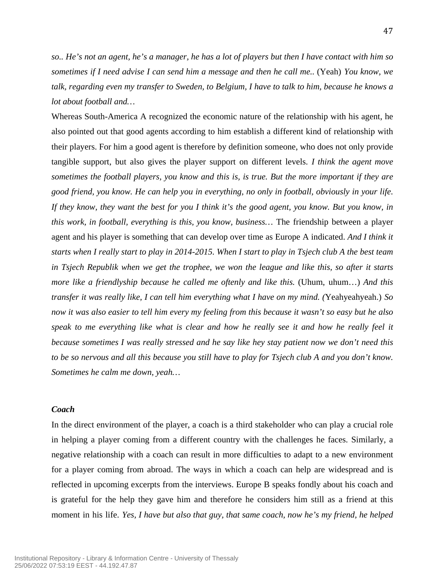*so.. He's not an agent, he's a manager, he has a lot of players but then I have contact with him so sometimes if I need advise I can send him a message and then he call me..* (Yeah) *You know, we talk, regarding even my transfer to Sweden, to Belgium, I have to talk to him, because he knows a lot about football and…*

Whereas South-America A recognized the economic nature of the relationship with his agent, he also pointed out that good agents according to him establish a different kind of relationship with their players. For him a good agent is therefore by definition someone, who does not only provide tangible support, but also gives the player support on different levels. *I think the agent move sometimes the football players, you know and this is, is true. But the more important if they are good friend, you know. He can help you in everything, no only in football, obviously in your life. If they know, they want the best for you I think it's the good agent, you know. But you know, in this work, in football, everything is this, you know, business…* The friendship between a player agent and his player is something that can develop over time as Europe A indicated. *And I think it starts when I really start to play in 2014-2015. When I start to play in Tsjech club A the best team in Tsjech Republik when we get the trophee, we won the league and like this, so after it starts more like a friendlyship because he called me oftenly and like this.* (Uhum, uhum…) *And this transfer it was really like, I can tell him everything what I have on my mind. (*Yeahyeahyeah.) *So now it was also easier to tell him every my feeling from this because it wasn't so easy but he also speak to me everything like what is clear and how he really see it and how he really feel it because sometimes I was really stressed and he say like hey stay patient now we don't need this to be so nervous and all this because you still have to play for Tsjech club A and you don't know. Sometimes he calm me down, yeah…*

#### *Coach*

In the direct environment of the player, a coach is a third stakeholder who can play a crucial role in helping a player coming from a different country with the challenges he faces. Similarly, a negative relationship with a coach can result in more difficulties to adapt to a new environment for a player coming from abroad. The ways in which a coach can help are widespread and is reflected in upcoming excerpts from the interviews. Europe B speaks fondly about his coach and is grateful for the help they gave him and therefore he considers him still as a friend at this moment in his life. *Yes, I have but also that guy, that same coach, now he's my friend, he helped*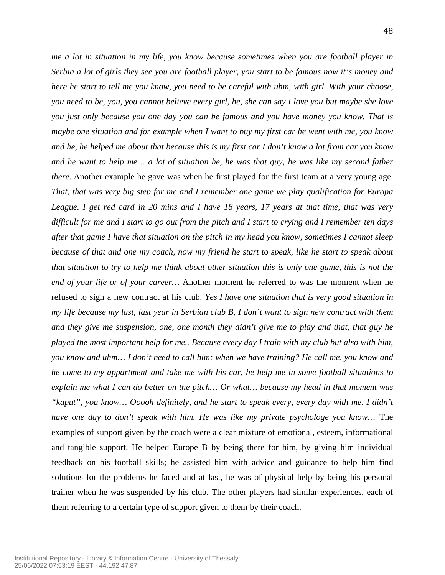*me a lot in situation in my life, you know because sometimes when you are football player in Serbia a lot of girls they see you are football player, you start to be famous now it's money and here he start to tell me you know, you need to be careful with uhm, with girl. With your choose, you need to be, you, you cannot believe every girl, he, she can say I love you but maybe she love you just only because you one day you can be famous and you have money you know. That is maybe one situation and for example when I want to buy my first car he went with me, you know and he, he helped me about that because this is my first car I don't know a lot from car you know and he want to help me… a lot of situation he, he was that guy, he was like my second father there.* Another example he gave was when he first played for the first team at a very young age. *That, that was very big step for me and I remember one game we play qualification for Europa League. I get red card in 20 mins and I have 18 years, 17 years at that time, that was very difficult for me and I start to go out from the pitch and I start to crying and I remember ten days after that game I have that situation on the pitch in my head you know, sometimes I cannot sleep because of that and one my coach, now my friend he start to speak, like he start to speak about that situation to try to help me think about other situation this is only one game, this is not the end of your life or of your career…* Another moment he referred to was the moment when he refused to sign a new contract at his club. *Yes I have one situation that is very good situation in my life because my last, last year in Serbian club B, I don't want to sign new contract with them and they give me suspension, one, one month they didn't give me to play and that, that guy he played the most important help for me.. Because every day I train with my club but also with him, you know and uhm… I don't need to call him: when we have training? He call me, you know and he come to my appartment and take me with his car, he help me in some football situations to explain me what I can do better on the pitch… Or what… because my head in that moment was "kaput", you know… Ooooh definitely, and he start to speak every, every day with me. I didn't have one day to don't speak with him. He was like my private psychologe you know…* The examples of support given by the coach were a clear mixture of emotional, esteem, informational and tangible support. He helped Europe B by being there for him, by giving him individual feedback on his football skills; he assisted him with advice and guidance to help him find solutions for the problems he faced and at last, he was of physical help by being his personal trainer when he was suspended by his club. The other players had similar experiences, each of them referring to a certain type of support given to them by their coach.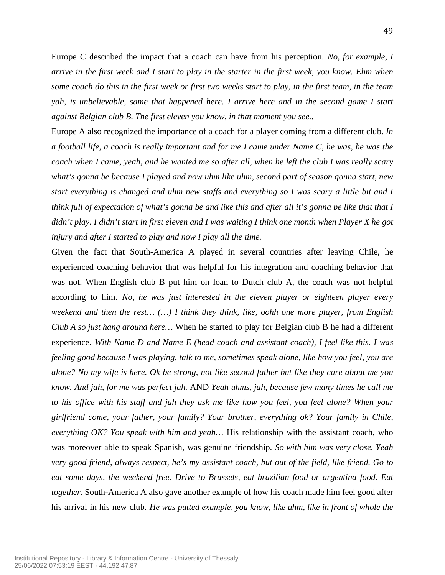Europe C described the impact that a coach can have from his perception. *No, for example, I arrive in the first week and I start to play in the starter in the first week, you know. Ehm when some coach do this in the first week or first two weeks start to play, in the first team, in the team yah, is unbelievable, same that happened here. I arrive here and in the second game I start against Belgian club B. The first eleven you know, in that moment you see..*

Europe A also recognized the importance of a coach for a player coming from a different club. *In a football life, a coach is really important and for me I came under Name C, he was, he was the coach when I came, yeah, and he wanted me so after all, when he left the club I was really scary what's gonna be because I played and now uhm like uhm, second part of season gonna start, new start everything is changed and uhm new staffs and everything so I was scary a little bit and I think full of expectation of what's gonna be and like this and after all it's gonna be like that that I didn't play. I didn't start in first eleven and I was waiting I think one month when Player X he got injury and after I started to play and now I play all the time.*

Given the fact that South-America A played in several countries after leaving Chile, he experienced coaching behavior that was helpful for his integration and coaching behavior that was not. When English club B put him on loan to Dutch club A, the coach was not helpful according to him. *No, he was just interested in the eleven player or eighteen player every weekend and then the rest… (…) I think they think, like, oohh one more player, from English Club A so just hang around here…* When he started to play for Belgian club B he had a different experience. *With Name D and Name E (head coach and assistant coach), I feel like this. I was feeling good because I was playing, talk to me, sometimes speak alone, like how you feel, you are alone? No my wife is here. Ok be strong, not like second father but like they care about me you know. And jah, for me was perfect jah.* AND *Yeah uhms, jah, because few many times he call me to his office with his staff and jah they ask me like how you feel, you feel alone? When your girlfriend come, your father, your family? Your brother, everything ok? Your family in Chile, everything OK? You speak with him and yeah…* His relationship with the assistant coach, who was moreover able to speak Spanish, was genuine friendship. *So with him was very close. Yeah very good friend, always respect, he's my assistant coach, but out of the field, like friend. Go to eat some days, the weekend free. Drive to Brussels, eat brazilian food or argentina food. Eat together.* South-America A also gave another example of how his coach made him feel good after his arrival in his new club. *He was putted example, you know, like uhm, like in front of whole the*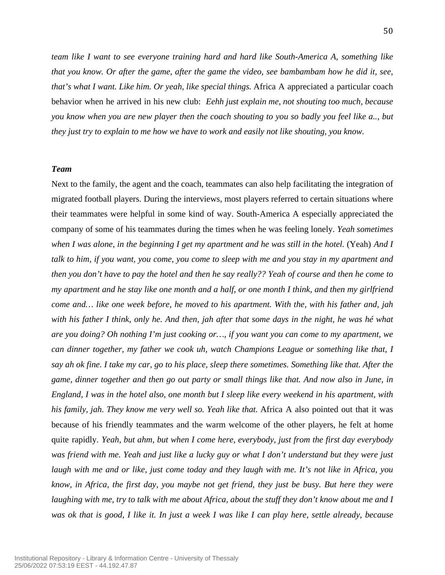*team like I want to see everyone training hard and hard like South-America A, something like that you know. Or after the game, after the game the video, see bambambam how he did it, see, that's what I want. Like him. Or yeah, like special things.* Africa A appreciated a particular coach behavior when he arrived in his new club: *Eehh just explain me, not shouting too much, because you know when you are new player then the coach shouting to you so badly you feel like a.., but they just try to explain to me how we have to work and easily not like shouting, you know.*

#### *Team*

Next to the family, the agent and the coach, teammates can also help facilitating the integration of migrated football players. During the interviews, most players referred to certain situations where their teammates were helpful in some kind of way. South-America A especially appreciated the company of some of his teammates during the times when he was feeling lonely. *Yeah sometimes when I was alone, in the beginning I get my apartment and he was still in the hotel.* (Yeah) *And I talk to him, if you want, you come, you come to sleep with me and you stay in my apartment and then you don't have to pay the hotel and then he say really?? Yeah of course and then he come to my apartment and he stay like one month and a half, or one month I think, and then my girlfriend come and… like one week before, he moved to his apartment. With the, with his father and, jah with his father I think, only he. And then, jah after that some days in the night, he was hé what are you doing? Oh nothing I'm just cooking or…, if you want you can come to my apartment, we can dinner together, my father we cook uh, watch Champions League or something like that, I say ah ok fine. I take my car, go to his place, sleep there sometimes. Something like that. After the game, dinner together and then go out party or small things like that. And now also in June, in England, I was in the hotel also, one month but I sleep like every weekend in his apartment, with his family, jah. They know me very well so. Yeah like that.* Africa A also pointed out that it was because of his friendly teammates and the warm welcome of the other players, he felt at home quite rapidly. *Yeah, but ahm, but when I come here, everybody, just from the first day everybody was friend with me. Yeah and just like a lucky guy or what I don't understand but they were just laugh with me and or like, just come today and they laugh with me. It's not like in Africa, you know, in Africa, the first day, you maybe not get friend, they just be busy. But here they were laughing with me, try to talk with me about Africa, about the stuff they don't know about me and I was ok that is good, I like it. In just a week I was like I can play here, settle already, because*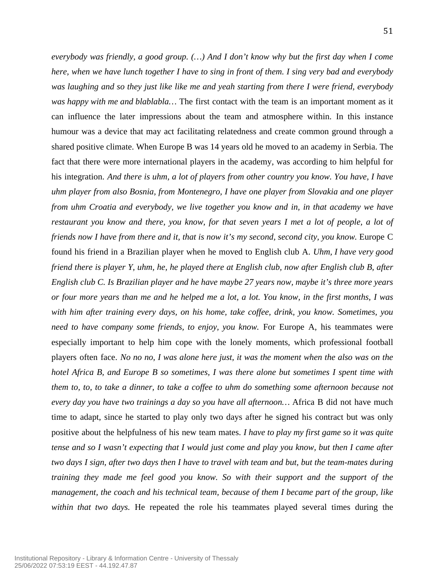*everybody was friendly, a good group. (…) And I don't know why but the first day when I come here, when we have lunch together I have to sing in front of them. I sing very bad and everybody was laughing and so they just like like me and yeah starting from there I were friend, everybody was happy with me and blablabla…* The first contact with the team is an important moment as it can influence the later impressions about the team and atmosphere within. In this instance humour was a device that may act facilitating relatedness and create common ground through a shared positive climate. When Europe B was 14 years old he moved to an academy in Serbia. The fact that there were more international players in the academy, was according to him helpful for his integration. *And there is uhm, a lot of players from other country you know. You have, I have uhm player from also Bosnia, from Montenegro, I have one player from Slovakia and one player from uhm Croatia and everybody, we live together you know and in, in that academy we have restaurant you know and there, you know, for that seven years I met a lot of people, a lot of friends now I have from there and it, that is now it's my second, second city, you know. Europe C* found his friend in a Brazilian player when he moved to English club A. *Uhm, I have very good friend there is player Y, uhm, he, he played there at English club, now after English club B, after English club C. Is Brazilian player and he have maybe 27 years now, maybe it's three more years or four more years than me and he helped me a lot, a lot. You know, in the first months, I was with him after training every days, on his home, take coffee, drink, you know. Sometimes, you need to have company some friends, to enjoy, you know.* For Europe A, his teammates were especially important to help him cope with the lonely moments, which professional football players often face. *No no no, I was alone here just, it was the moment when the also was on the hotel Africa B, and Europe B so sometimes, I was there alone but sometimes I spent time with them to, to, to take a dinner, to take a coffee to uhm do something some afternoon because not every day you have two trainings a day so you have all afternoon…* Africa B did not have much time to adapt, since he started to play only two days after he signed his contract but was only positive about the helpfulness of his new team mates. *I have to play my first game so it was quite tense and so I wasn't expecting that I would just come and play you know, but then I came after two days I sign, after two days then I have to travel with team and but, but the team-mates during training they made me feel good you know. So with their support and the support of the management, the coach and his technical team, because of them I became part of the group, like within that two days.* He repeated the role his teammates played several times during the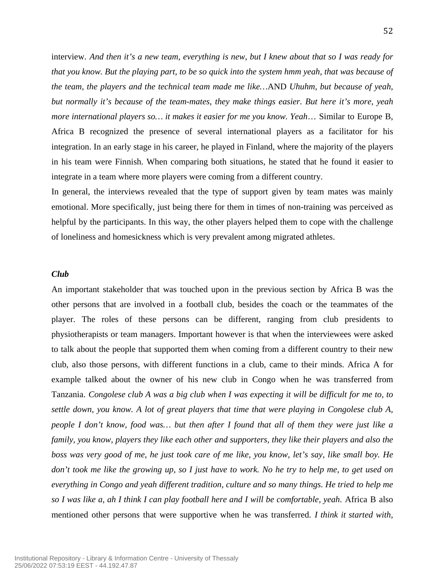interview. *And then it's a new team, everything is new, but I knew about that so I was ready for that you know. But the playing part, to be so quick into the system hmm yeah, that was because of the team, the players and the technical team made me like…*AND *Uhuhm, but because of yeah, but normally it's because of the team-mates, they make things easier. But here it's more, yeah more international players so… it makes it easier for me you know. Yeah*… Similar to Europe B, Africa B recognized the presence of several international players as a facilitator for his integration. In an early stage in his career, he played in Finland, where the majority of the players in his team were Finnish. When comparing both situations, he stated that he found it easier to integrate in a team where more players were coming from a different country.

In general, the interviews revealed that the type of support given by team mates was mainly emotional. More specifically, just being there for them in times of non-training was perceived as helpful by the participants. In this way, the other players helped them to cope with the challenge of loneliness and homesickness which is very prevalent among migrated athletes.

#### *Club*

An important stakeholder that was touched upon in the previous section by Africa B was the other persons that are involved in a football club, besides the coach or the teammates of the player. The roles of these persons can be different, ranging from club presidents to physiotherapists or team managers. Important however is that when the interviewees were asked to talk about the people that supported them when coming from a different country to their new club, also those persons, with different functions in a club, came to their minds. Africa A for example talked about the owner of his new club in Congo when he was transferred from Tanzania. *Congolese club A was a big club when I was expecting it will be difficult for me to, to settle down, you know. A lot of great players that time that were playing in Congolese club A, people I don't know, food was… but then after I found that all of them they were just like a family, you know, players they like each other and supporters, they like their players and also the boss was very good of me, he just took care of me like, you know, let's say, like small boy. He don't took me like the growing up, so I just have to work. No he try to help me, to get used on everything in Congo and yeah different tradition, culture and so many things. He tried to help me so I was like a, ah I think I can play football here and I will be comfortable, yeah*. Africa B also mentioned other persons that were supportive when he was transferred. *I think it started with,*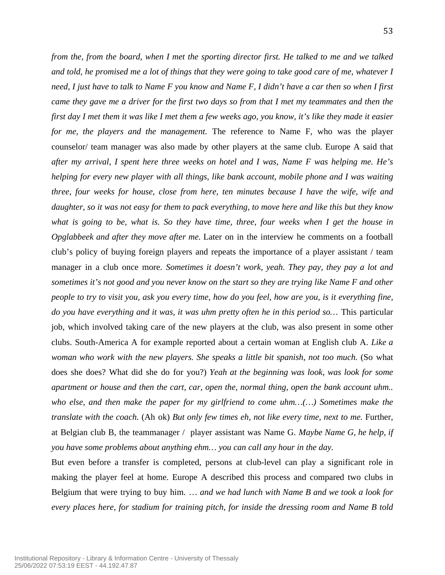*from the, from the board, when I met the sporting director first. He talked to me and we talked and told, he promised me a lot of things that they were going to take good care of me, whatever I need, I just have to talk to Name F you know and Name F, I didn't have a car then so when I first came they gave me a driver for the first two days so from that I met my teammates and then the first day I met them it was like I met them a few weeks ago, you know, it's like they made it easier for me, the players and the management.* The reference to Name F, who was the player counselor/ team manager was also made by other players at the same club. Europe A said that *after my arrival, I spent here three weeks on hotel and I was, Name F was helping me. He's helping for every new player with all things, like bank account, mobile phone and I was waiting three, four weeks for house, close from here, ten minutes because I have the wife, wife and daughter, so it was not easy for them to pack everything, to move here and like this but they know what is going to be, what is. So they have time, three, four weeks when I get the house in Opglabbeek and after they move after me.* Later on in the interview he comments on a football club's policy of buying foreign players and repeats the importance of a player assistant / team manager in a club once more. *Sometimes it doesn't work, yeah. They pay, they pay a lot and sometimes it's not good and you never know on the start so they are trying like Name F and other people to try to visit you, ask you every time, how do you feel, how are you, is it everything fine, do you have everything and it was, it was uhm pretty often he in this period so…* This particular job, which involved taking care of the new players at the club, was also present in some other clubs. South-America A for example reported about a certain woman at English club A. *Like a woman who work with the new players. She speaks a little bit spanish, not too much.* (So what does she does? What did she do for you?) *Yeah at the beginning was look, was look for some apartment or house and then the cart, car, open the, normal thing, open the bank account uhm.. who else, and then make the paper for my girlfriend to come uhm…(…) Sometimes make the translate with the coach.* (Ah ok) *But only few times eh, not like every time, next to me.* Further, at Belgian club B, the teammanager / player assistant was Name G. *Maybe Name G, he help, if you have some problems about anything ehm… you can call any hour in the day.*

But even before a transfer is completed, persons at club-level can play a significant role in making the player feel at home. Europe A described this process and compared two clubs in Belgium that were trying to buy him. … *and we had lunch with Name B and we took a look for every places here, for stadium for training pitch, for inside the dressing room and Name B told*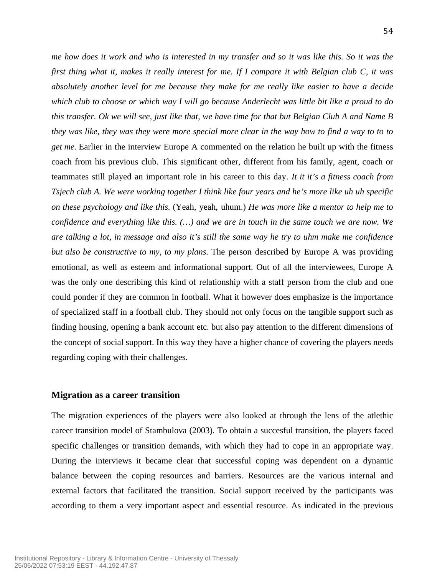*me how does it work and who is interested in my transfer and so it was like this. So it was the first thing what it, makes it really interest for me. If I compare it with Belgian club C, it was absolutely another level for me because they make for me really like easier to have a decide which club to choose or which way I will go because Anderlecht was little bit like a proud to do this transfer. Ok we will see, just like that, we have time for that but Belgian Club A and Name B they was like, they was they were more special more clear in the way how to find a way to to to get me.* Earlier in the interview Europe A commented on the relation he built up with the fitness coach from his previous club. This significant other, different from his family, agent, coach or teammates still played an important role in his career to this day. *It it it's a fitness coach from Tsjech club A. We were working together I think like four years and he's more like uh uh specific on these psychology and like this.* (Yeah, yeah, uhum.) *He was more like a mentor to help me to confidence and everything like this. (…) and we are in touch in the same touch we are now. We are talking a lot, in message and also it's still the same way he try to uhm make me confidence but also be constructive to my, to my plans.* The person described by Europe A was providing emotional, as well as esteem and informational support. Out of all the interviewees, Europe A was the only one describing this kind of relationship with a staff person from the club and one could ponder if they are common in football. What it however does emphasize is the importance of specialized staff in a football club. They should not only focus on the tangible support such as finding housing, opening a bank account etc. but also pay attention to the different dimensions of the concept of social support. In this way they have a higher chance of covering the players needs regarding coping with their challenges.

#### **Migration as a career transition**

The migration experiences of the players were also looked at through the lens of the atlethic career transition model of Stambulova (2003). To obtain a succesful transition, the players faced specific challenges or transition demands, with which they had to cope in an appropriate way. During the interviews it became clear that successful coping was dependent on a dynamic balance between the coping resources and barriers. Resources are the various internal and external factors that facilitated the transition. Social support received by the participants was according to them a very important aspect and essential resource. As indicated in the previous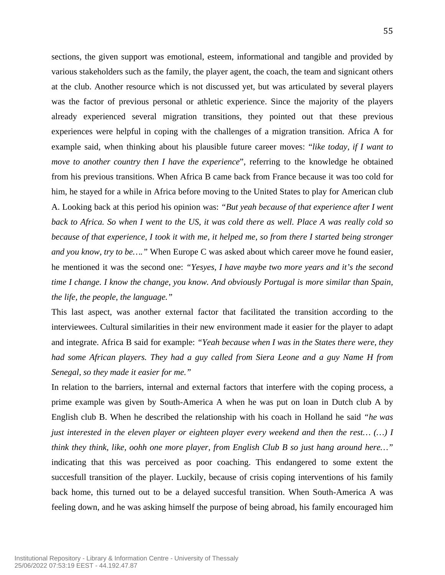sections, the given support was emotional, esteem, informational and tangible and provided by various stakeholders such as the family, the player agent, the coach, the team and signicant others at the club. Another resource which is not discussed yet, but was articulated by several players was the factor of previous personal or athletic experience. Since the majority of the players already experienced several migration transitions, they pointed out that these previous experiences were helpful in coping with the challenges of a migration transition. Africa A for example said, when thinking about his plausible future career moves: "*like today, if I want to move to another country then I have the experience*", referring to the knowledge he obtained from his previous transitions. When Africa B came back from France because it was too cold for him, he stayed for a while in Africa before moving to the United States to play for American club A. Looking back at this period his opinion was: *"But yeah because of that experience after I went back to Africa. So when I went to the US, it was cold there as well. Place A was really cold so because of that experience, I took it with me, it helped me, so from there I started being stronger and you know, try to be…."* When Europe C was asked about which career move he found easier, he mentioned it was the second one: *"Yesyes, I have maybe two more years and it's the second time I change. I know the change, you know. And obviously Portugal is more similar than Spain, the life, the people, the language."*

This last aspect, was another external factor that facilitated the transition according to the interviewees. Cultural similarities in their new environment made it easier for the player to adapt and integrate. Africa B said for example: *"Yeah because when I was in the States there were, they had some African players. They had a guy called from Siera Leone and a guy Name H from Senegal, so they made it easier for me."*

In relation to the barriers, internal and external factors that interfere with the coping process, a prime example was given by South-America A when he was put on loan in Dutch club A by English club B. When he described the relationship with his coach in Holland he said *"he was just interested in the eleven player or eighteen player every weekend and then the rest… (…) I think they think, like, oohh one more player, from English Club B so just hang around here…"* indicating that this was perceived as poor coaching. This endangered to some extent the succesfull transition of the player. Luckily, because of crisis coping interventions of his family back home, this turned out to be a delayed succesful transition. When South-America A was feeling down, and he was asking himself the purpose of being abroad, his family encouraged him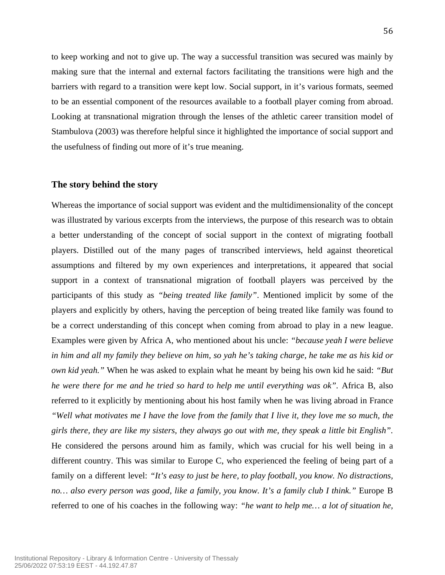to keep working and not to give up. The way a successful transition was secured was mainly by making sure that the internal and external factors facilitating the transitions were high and the barriers with regard to a transition were kept low. Social support, in it's various formats, seemed to be an essential component of the resources available to a football player coming from abroad. Looking at transnational migration through the lenses of the athletic career transition model of Stambulova (2003) was therefore helpful since it highlighted the importance of social support and the usefulness of finding out more of it's true meaning.

#### **The story behind the story**

Whereas the importance of social support was evident and the multidimensionality of the concept was illustrated by various excerpts from the interviews, the purpose of this research was to obtain a better understanding of the concept of social support in the context of migrating football players. Distilled out of the many pages of transcribed interviews, held against theoretical assumptions and filtered by my own experiences and interpretations, it appeared that social support in a context of transnational migration of football players was perceived by the participants of this study as *"being treated like family"*. Mentioned implicit by some of the players and explicitly by others, having the perception of being treated like family was found to be a correct understanding of this concept when coming from abroad to play in a new league. Examples were given by Africa A, who mentioned about his uncle: *"because yeah I were believe in him and all my family they believe on him, so yah he's taking charge, he take me as his kid or own kid yeah."* When he was asked to explain what he meant by being his own kid he said: *"But he were there for me and he tried so hard to help me until everything was ok".* Africa B, also referred to it explicitly by mentioning about his host family when he was living abroad in France *"Well what motivates me I have the love from the family that I live it, they love me so much, the girls there, they are like my sisters, they always go out with me, they speak a little bit English".* He considered the persons around him as family, which was crucial for his well being in a different country. This was similar to Europe C, who experienced the feeling of being part of a family on a different level: *"It's easy to just be here, to play football, you know. No distractions, no… also every person was good, like a family, you know. It's a family club I think."* Europe B referred to one of his coaches in the following way: *"he want to help me… a lot of situation he,*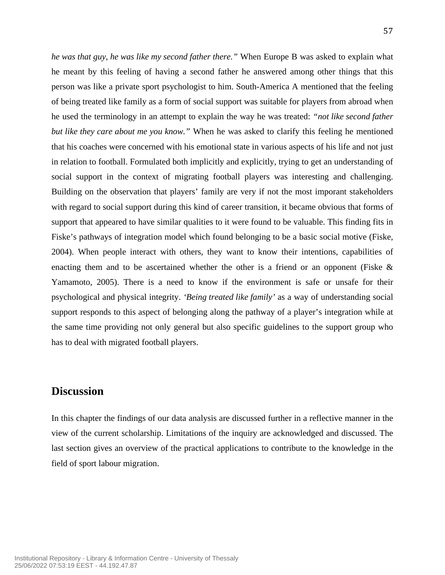*he was that guy, he was like my second father there."* When Europe B was asked to explain what he meant by this feeling of having a second father he answered among other things that this person was like a private sport psychologist to him. South-America A mentioned that the feeling of being treated like family as a form of social support was suitable for players from abroad when he used the terminology in an attempt to explain the way he was treated: *"not like second father but like they care about me you know."* When he was asked to clarify this feeling he mentioned that his coaches were concerned with his emotional state in various aspects of his life and not just in relation to football. Formulated both implicitly and explicitly, trying to get an understanding of social support in the context of migrating football players was interesting and challenging. Building on the observation that players' family are very if not the most imporant stakeholders with regard to social support during this kind of career transition, it became obvious that forms of support that appeared to have similar qualities to it were found to be valuable. This finding fits in Fiske's pathways of integration model which found belonging to be a basic social motive (Fiske, 2004). When people interact with others, they want to know their intentions, capabilities of enacting them and to be ascertained whether the other is a friend or an opponent (Fiske & Yamamoto, 2005). There is a need to know if the environment is safe or unsafe for their psychological and physical integrity. *'Being treated like family'* as a way of understanding social support responds to this aspect of belonging along the pathway of a player's integration while at the same time providing not only general but also specific guidelines to the support group who has to deal with migrated football players.

# **Discussion**

In this chapter the findings of our data analysis are discussed further in a reflective manner in the view of the current scholarship. Limitations of the inquiry are acknowledged and discussed. The last section gives an overview of the practical applications to contribute to the knowledge in the field of sport labour migration.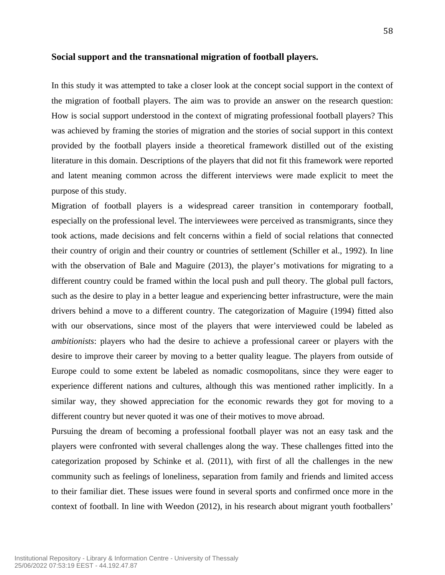#### **Social support and the transnational migration of football players.**

In this study it was attempted to take a closer look at the concept social support in the context of the migration of football players. The aim was to provide an answer on the research question: How is social support understood in the context of migrating professional football players? This was achieved by framing the stories of migration and the stories of social support in this context provided by the football players inside a theoretical framework distilled out of the existing literature in this domain. Descriptions of the players that did not fit this framework were reported and latent meaning common across the different interviews were made explicit to meet the purpose of this study.

Migration of football players is a widespread career transition in contemporary football, especially on the professional level. The interviewees were perceived as transmigrants, since they took actions, made decisions and felt concerns within a field of social relations that connected their country of origin and their country or countries of settlement (Schiller et al., 1992). In line with the observation of Bale and Maguire (2013), the player's motivations for migrating to a different country could be framed within the local push and pull theory. The global pull factors, such as the desire to play in a better league and experiencing better infrastructure, were the main drivers behind a move to a different country. The categorization of Maguire (1994) fitted also with our observations, since most of the players that were interviewed could be labeled as *ambitionists*: players who had the desire to achieve a professional career or players with the desire to improve their career by moving to a better quality league. The players from outside of Europe could to some extent be labeled as nomadic cosmopolitans, since they were eager to experience different nations and cultures, although this was mentioned rather implicitly. In a similar way, they showed appreciation for the economic rewards they got for moving to a different country but never quoted it was one of their motives to move abroad.

Pursuing the dream of becoming a professional football player was not an easy task and the players were confronted with several challenges along the way. These challenges fitted into the categorization proposed by Schinke et al. (2011), with first of all the challenges in the new community such as feelings of loneliness, separation from family and friends and limited access to their familiar diet. These issues were found in several sports and confirmed once more in the context of football. In line with Weedon (2012), in his research about migrant youth footballers'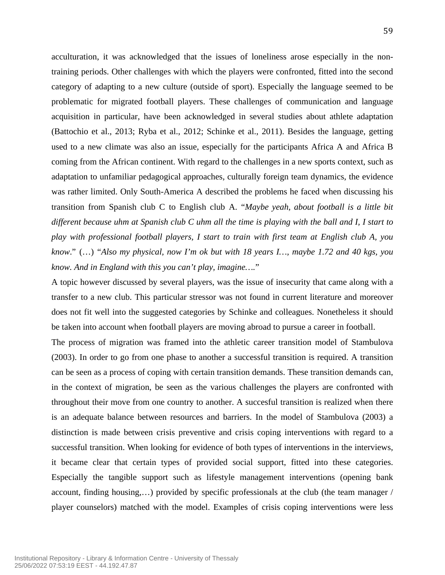acculturation, it was acknowledged that the issues of loneliness arose especially in the nontraining periods. Other challenges with which the players were confronted, fitted into the second category of adapting to a new culture (outside of sport). Especially the language seemed to be problematic for migrated football players. These challenges of communication and language acquisition in particular, have been acknowledged in several studies about athlete adaptation (Battochio et al., 2013; Ryba et al., 2012; Schinke et al., 2011). Besides the language, getting used to a new climate was also an issue, especially for the participants Africa A and Africa B coming from the African continent. With regard to the challenges in a new sports context, such as adaptation to unfamiliar pedagogical approaches, culturally foreign team dynamics, the evidence was rather limited. Only South-America A described the problems he faced when discussing his transition from Spanish club C to English club A. "*Maybe yeah, about football is a little bit different because uhm at Spanish club C uhm all the time is playing with the ball and I, I start to play with professional football players, I start to train with first team at English club A, you know*." (…) "*Also my physical, now I'm ok but with 18 years I…, maybe 1.72 and 40 kgs, you know. And in England with this you can't play, imagine….*"

A topic however discussed by several players, was the issue of insecurity that came along with a transfer to a new club. This particular stressor was not found in current literature and moreover does not fit well into the suggested categories by Schinke and colleagues. Nonetheless it should be taken into account when football players are moving abroad to pursue a career in football.

The process of migration was framed into the athletic career transition model of Stambulova (2003). In order to go from one phase to another a successful transition is required. A transition can be seen as a process of coping with certain transition demands. These transition demands can, in the context of migration, be seen as the various challenges the players are confronted with throughout their move from one country to another. A succesful transition is realized when there is an adequate balance between resources and barriers. In the model of Stambulova (2003) a distinction is made between crisis preventive and crisis coping interventions with regard to a successful transition. When looking for evidence of both types of interventions in the interviews, it became clear that certain types of provided social support, fitted into these categories. Especially the tangible support such as lifestyle management interventions (opening bank account, finding housing,…) provided by specific professionals at the club (the team manager / player counselors) matched with the model. Examples of crisis coping interventions were less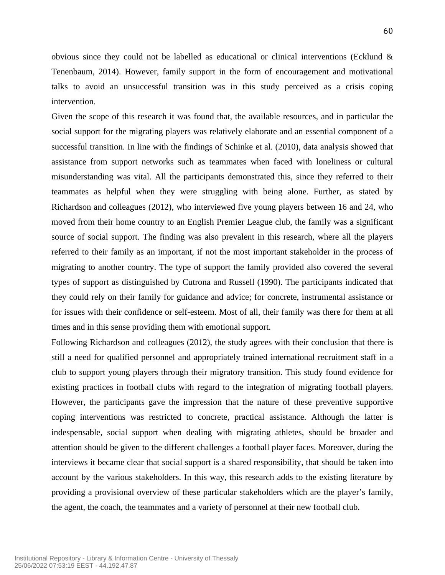60

obvious since they could not be labelled as educational or clinical interventions (Ecklund & Tenenbaum, 2014). However, family support in the form of encouragement and motivational talks to avoid an unsuccessful transition was in this study perceived as a crisis coping intervention.

Given the scope of this research it was found that, the available resources, and in particular the social support for the migrating players was relatively elaborate and an essential component of a successful transition. In line with the findings of Schinke et al. (2010), data analysis showed that assistance from support networks such as teammates when faced with loneliness or cultural misunderstanding was vital. All the participants demonstrated this, since they referred to their teammates as helpful when they were struggling with being alone. Further, as stated by Richardson and colleagues (2012), who interviewed five young players between 16 and 24, who moved from their home country to an English Premier League club, the family was a significant source of social support. The finding was also prevalent in this research, where all the players referred to their family as an important, if not the most important stakeholder in the process of migrating to another country. The type of support the family provided also covered the several types of support as distinguished by Cutrona and Russell (1990). The participants indicated that they could rely on their family for guidance and advice; for concrete, instrumental assistance or for issues with their confidence or self-esteem. Most of all, their family was there for them at all times and in this sense providing them with emotional support.

Following Richardson and colleagues (2012), the study agrees with their conclusion that there is still a need for qualified personnel and appropriately trained international recruitment staff in a club to support young players through their migratory transition. This study found evidence for existing practices in football clubs with regard to the integration of migrating football players. However, the participants gave the impression that the nature of these preventive supportive coping interventions was restricted to concrete, practical assistance. Although the latter is indespensable, social support when dealing with migrating athletes, should be broader and attention should be given to the different challenges a football player faces. Moreover, during the interviews it became clear that social support is a shared responsibility, that should be taken into account by the various stakeholders. In this way, this research adds to the existing literature by providing a provisional overview of these particular stakeholders which are the player's family, the agent, the coach, the teammates and a variety of personnel at their new football club.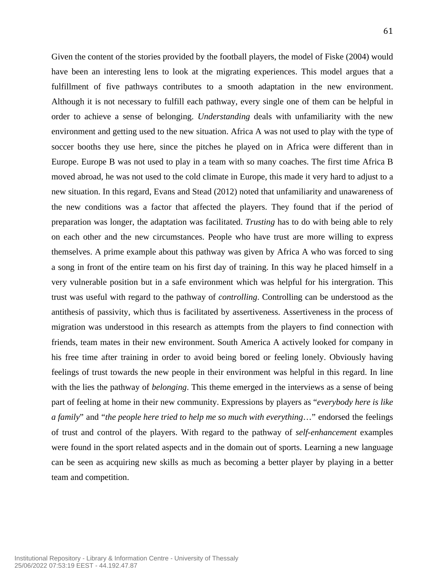Given the content of the stories provided by the football players, the model of Fiske (2004) would have been an interesting lens to look at the migrating experiences. This model argues that a fulfillment of five pathways contributes to a smooth adaptation in the new environment. Although it is not necessary to fulfill each pathway, every single one of them can be helpful in order to achieve a sense of belonging. *Understanding* deals with unfamiliarity with the new environment and getting used to the new situation. Africa A was not used to play with the type of soccer booths they use here, since the pitches he played on in Africa were different than in Europe. Europe B was not used to play in a team with so many coaches. The first time Africa B moved abroad, he was not used to the cold climate in Europe, this made it very hard to adjust to a new situation. In this regard, Evans and Stead (2012) noted that unfamiliarity and unawareness of the new conditions was a factor that affected the players. They found that if the period of preparation was longer, the adaptation was facilitated. *Trusting* has to do with being able to rely on each other and the new circumstances. People who have trust are more willing to express themselves. A prime example about this pathway was given by Africa A who was forced to sing a song in front of the entire team on his first day of training. In this way he placed himself in a very vulnerable position but in a safe environment which was helpful for his intergration. This trust was useful with regard to the pathway of *controlling*. Controlling can be understood as the antithesis of passivity, which thus is facilitated by assertiveness. Assertiveness in the process of migration was understood in this research as attempts from the players to find connection with friends, team mates in their new environment. South America A actively looked for company in his free time after training in order to avoid being bored or feeling lonely. Obviously having feelings of trust towards the new people in their environment was helpful in this regard. In line with the lies the pathway of *belonging*. This theme emerged in the interviews as a sense of being part of feeling at home in their new community. Expressions by players as "*everybody here is like a family*" and "*the people here tried to help me so much with everything*…" endorsed the feelings of trust and control of the players. With regard to the pathway of *self-enhancement* examples were found in the sport related aspects and in the domain out of sports. Learning a new language can be seen as acquiring new skills as much as becoming a better player by playing in a better team and competition.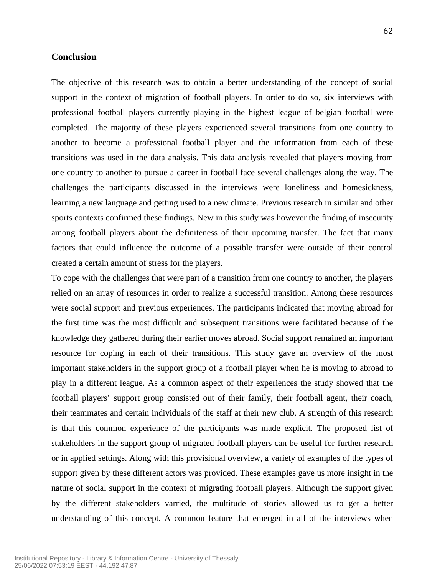### **Conclusion**

The objective of this research was to obtain a better understanding of the concept of social support in the context of migration of football players. In order to do so, six interviews with professional football players currently playing in the highest league of belgian football were completed. The majority of these players experienced several transitions from one country to another to become a professional football player and the information from each of these transitions was used in the data analysis. This data analysis revealed that players moving from one country to another to pursue a career in football face several challenges along the way. The challenges the participants discussed in the interviews were loneliness and homesickness, learning a new language and getting used to a new climate. Previous research in similar and other sports contexts confirmed these findings. New in this study was however the finding of insecurity among football players about the definiteness of their upcoming transfer. The fact that many factors that could influence the outcome of a possible transfer were outside of their control created a certain amount of stress for the players.

To cope with the challenges that were part of a transition from one country to another, the players relied on an array of resources in order to realize a successful transition. Among these resources were social support and previous experiences. The participants indicated that moving abroad for the first time was the most difficult and subsequent transitions were facilitated because of the knowledge they gathered during their earlier moves abroad. Social support remained an important resource for coping in each of their transitions. This study gave an overview of the most important stakeholders in the support group of a football player when he is moving to abroad to play in a different league. As a common aspect of their experiences the study showed that the football players' support group consisted out of their family, their football agent, their coach, their teammates and certain individuals of the staff at their new club. A strength of this research is that this common experience of the participants was made explicit. The proposed list of stakeholders in the support group of migrated football players can be useful for further research or in applied settings. Along with this provisional overview, a variety of examples of the types of support given by these different actors was provided. These examples gave us more insight in the nature of social support in the context of migrating football players. Although the support given by the different stakeholders varried, the multitude of stories allowed us to get a better understanding of this concept. A common feature that emerged in all of the interviews when

62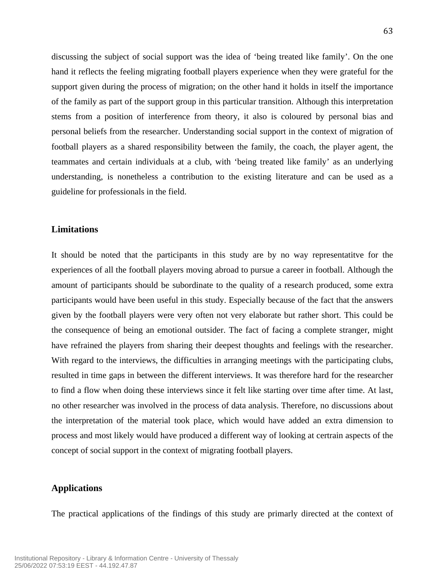discussing the subject of social support was the idea of 'being treated like family'. On the one hand it reflects the feeling migrating football players experience when they were grateful for the support given during the process of migration; on the other hand it holds in itself the importance of the family as part of the support group in this particular transition. Although this interpretation stems from a position of interference from theory, it also is coloured by personal bias and personal beliefs from the researcher. Understanding social support in the context of migration of football players as a shared responsibility between the family, the coach, the player agent, the teammates and certain individuals at a club, with 'being treated like family' as an underlying understanding, is nonetheless a contribution to the existing literature and can be used as a guideline for professionals in the field.

# **Limitations**

It should be noted that the participants in this study are by no way representatitve for the experiences of all the football players moving abroad to pursue a career in football. Although the amount of participants should be subordinate to the quality of a research produced, some extra participants would have been useful in this study. Especially because of the fact that the answers given by the football players were very often not very elaborate but rather short. This could be the consequence of being an emotional outsider. The fact of facing a complete stranger, might have refrained the players from sharing their deepest thoughts and feelings with the researcher. With regard to the interviews, the difficulties in arranging meetings with the participating clubs, resulted in time gaps in between the different interviews. It was therefore hard for the researcher to find a flow when doing these interviews since it felt like starting over time after time. At last, no other researcher was involved in the process of data analysis. Therefore, no discussions about the interpretation of the material took place, which would have added an extra dimension to process and most likely would have produced a different way of looking at certrain aspects of the concept of social support in the context of migrating football players.

# **Applications**

The practical applications of the findings of this study are primarly directed at the context of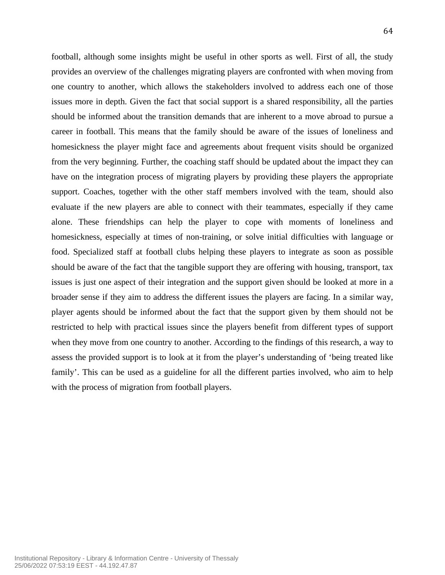football, although some insights might be useful in other sports as well. First of all, the study provides an overview of the challenges migrating players are confronted with when moving from one country to another, which allows the stakeholders involved to address each one of those issues more in depth. Given the fact that social support is a shared responsibility, all the parties should be informed about the transition demands that are inherent to a move abroad to pursue a career in football. This means that the family should be aware of the issues of loneliness and homesickness the player might face and agreements about frequent visits should be organized from the very beginning. Further, the coaching staff should be updated about the impact they can have on the integration process of migrating players by providing these players the appropriate support. Coaches, together with the other staff members involved with the team, should also evaluate if the new players are able to connect with their teammates, especially if they came alone. These friendships can help the player to cope with moments of loneliness and homesickness, especially at times of non-training, or solve initial difficulties with language or food. Specialized staff at football clubs helping these players to integrate as soon as possible should be aware of the fact that the tangible support they are offering with housing, transport, tax issues is just one aspect of their integration and the support given should be looked at more in a broader sense if they aim to address the different issues the players are facing. In a similar way, player agents should be informed about the fact that the support given by them should not be restricted to help with practical issues since the players benefit from different types of support when they move from one country to another. According to the findings of this research, a way to assess the provided support is to look at it from the player's understanding of 'being treated like family'. This can be used as a guideline for all the different parties involved, who aim to help with the process of migration from football players.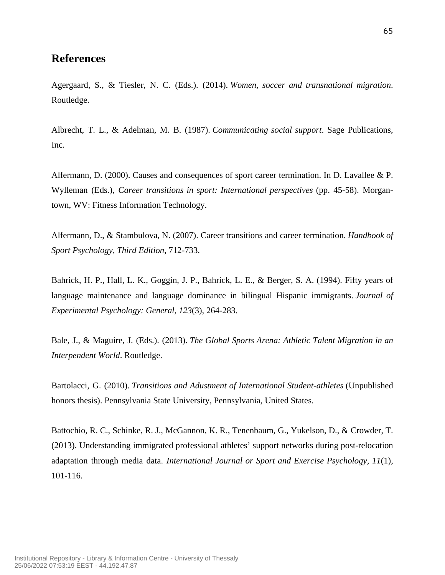## **References**

Agergaard, S., & Tiesler, N. C. (Eds.). (2014). *Women, soccer and transnational migration*. Routledge.

Albrecht, T. L., & Adelman, M. B. (1987). *Communicating social support*. Sage Publications, Inc.

Alfermann, D. (2000). Causes and consequences of sport career termination. In D. Lavallee & P. Wylleman (Eds.), *Career transitions in sport: International perspectives* (pp. 45-58). Morgantown, WV: Fitness Information Technology.

Alfermann, D., & Stambulova, N. (2007). Career transitions and career termination. *Handbook of Sport Psychology, Third Edition*, 712-733.

Bahrick, H. P., Hall, L. K., Goggin, J. P., Bahrick, L. E., & Berger, S. A. (1994). Fifty years of language maintenance and language dominance in bilingual Hispanic immigrants. *Journal of Experimental Psychology: General*, *123*(3), 264-283.

Bale, J., & Maguire, J. (Eds.). (2013). *The Global Sports Arena: Athletic Talent Migration in an Interpendent World*. Routledge.

Bartolacci, G. (2010). *Transitions and Adustment of International Student-athletes* (Unpublished honors thesis). Pennsylvania State University, Pennsylvania, United States.

Battochio, R. C., Schinke, R. J., McGannon, K. R., Tenenbaum, G., Yukelson, D., & Crowder, T. (2013). Understanding immigrated professional athletes' support networks during post-relocation adaptation through media data. *International Journal or Sport and Exercise Psychology, 11*(1), 101-116.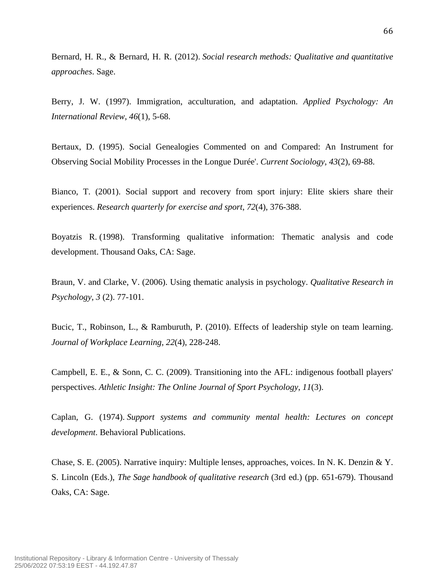Bernard, H. R., & Bernard, H. R. (2012). *Social research methods: Qualitative and quantitative approaches*. Sage.

Berry, J. W. (1997). Immigration, acculturation, and adaptation. *Applied Psychology: An International Review, 46*(1), 5-68.

Bertaux, D. (1995). Social Genealogies Commented on and Compared: An Instrument for Observing Social Mobility Processes in the Longue Durée'. *Current Sociology*, *43*(2), 69-88.

Bianco, T. (2001). Social support and recovery from sport injury: Elite skiers share their experiences. *Research quarterly for exercise and sport*, *72*(4), 376-388.

Boyatzis R. (1998). Transforming qualitative information: Thematic analysis and code development. Thousand Oaks, CA: Sage.

Braun, V. and Clarke, V. (2006). Using thematic analysis in psychology. *Qualitative Research in Psychology*, *3* (2). 77-101.

Bucic, T., Robinson, L., & Ramburuth, P. (2010). Effects of leadership style on team learning. *Journal of Workplace Learning, 22*(4), 228-248.

Campbell, E. E., & Sonn, C. C. (2009). Transitioning into the AFL: indigenous football players' perspectives. *Athletic Insight: The Online Journal of Sport Psychology*, *11*(3).

Caplan, G. (1974). *Support systems and community mental health: Lectures on concept development*. Behavioral Publications.

Chase, S. E. (2005). Narrative inquiry: Multiple lenses, approaches, voices. In N. K. Denzin & Y. S. Lincoln (Eds.), *The Sage handbook of qualitative research* (3rd ed.) (pp. 651-679). Thousand Oaks, CA: Sage.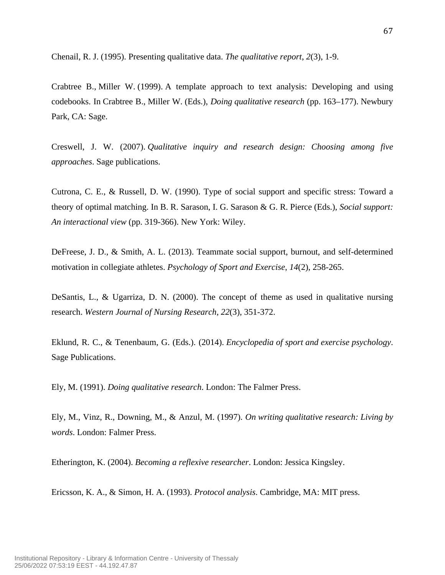Chenail, R. J. (1995). Presenting qualitative data. *The qualitative report*, *2*(3), 1-9.

Crabtree B., Miller W. (1999). A template approach to text analysis: Developing and using codebooks. In Crabtree B., Miller W. (Eds.), *Doing qualitative research* (pp. 163–177). Newbury Park, CA: Sage.

Creswell, J. W. (2007). *Qualitative inquiry and research design: Choosing among five approaches*. Sage publications.

Cutrona, C. E., & Russell, D. W. (1990). Type of social support and specific stress: Toward a theory of optimal matching. In B. R. Sarason, I. G. Sarason & G. R. Pierce (Eds.), *Social support: An interactional view* (pp. 319-366). New York: Wiley.

DeFreese, J. D., & Smith, A. L. (2013). Teammate social support, burnout, and self-determined motivation in collegiate athletes. *Psychology of Sport and Exercise*, *14*(2), 258-265.

DeSantis, L., & Ugarriza, D. N. (2000). The concept of theme as used in qualitative nursing research. *Western Journal of Nursing Research*, *22*(3), 351-372.

Eklund, R. C., & Tenenbaum, G. (Eds.). (2014). *Encyclopedia of sport and exercise psychology*. Sage Publications.

Ely, M. (1991). *Doing qualitative research*. London: The Falmer Press.

Ely, M., Vinz, R., Downing, M., & Anzul, M. (1997). *On writing qualitative research: Living by words*. London: Falmer Press.

Etherington, K. (2004). *Becoming a reflexive researcher*. London: Jessica Kingsley.

Ericsson, K. A., & Simon, H. A. (1993). *Protocol analysis*. Cambridge, MA: MIT press.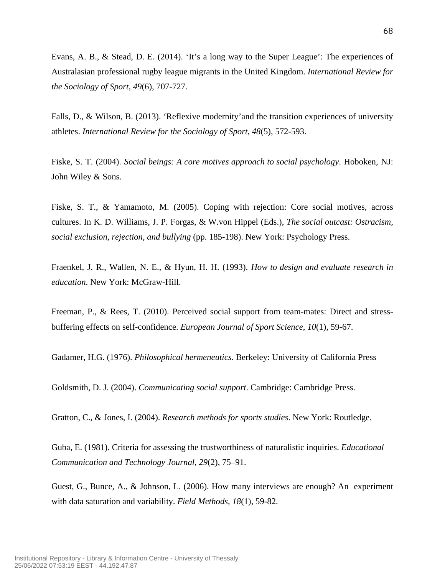Evans, A. B., & Stead, D. E. (2014). 'It's a long way to the Super League': The experiences of Australasian professional rugby league migrants in the United Kingdom. *International Review for the Sociology of Sport*, *49*(6), 707-727.

Falls, D., & Wilson, B. (2013). 'Reflexive modernity'and the transition experiences of university athletes. *International Review for the Sociology of Sport*, *48*(5), 572-593.

Fiske, S. T. (2004). *Social beings: A core motives approach to social psychology*. Hoboken, NJ: John Wiley & Sons.

Fiske, S. T., & Yamamoto, M. (2005). Coping with rejection: Core social motives, across cultures. In K. D. Williams, J. P. Forgas, & W.von Hippel (Eds.), *The social outcast: Ostracism, social exclusion, rejection, and bullying* (pp. 185-198). New York: Psychology Press.

Fraenkel, J. R., Wallen, N. E., & Hyun, H. H. (1993). *How to design and evaluate research in education*. New York: McGraw-Hill.

Freeman, P., & Rees, T. (2010). Perceived social support from team-mates: Direct and stressbuffering effects on self-confidence. *European Journal of Sport Science*, *10*(1), 59-67.

Gadamer, H.G. (1976). *Philosophical hermeneutics*. Berkeley: University of California Press

Goldsmith, D. J. (2004). *Communicating social support*. Cambridge: Cambridge Press.

Gratton, C., & Jones, I. (2004). *Research methods for sports studies*. New York: Routledge.

Guba, E. (1981). Criteria for assessing the trustworthiness of naturalistic inquiries. *Educational Communication and Technology Journal, 29*(2), 75–91.

Guest, G., Bunce, A., & Johnson, L. (2006). How many interviews are enough? An experiment with data saturation and variability. *Field Methods, 18*(1), 59-82.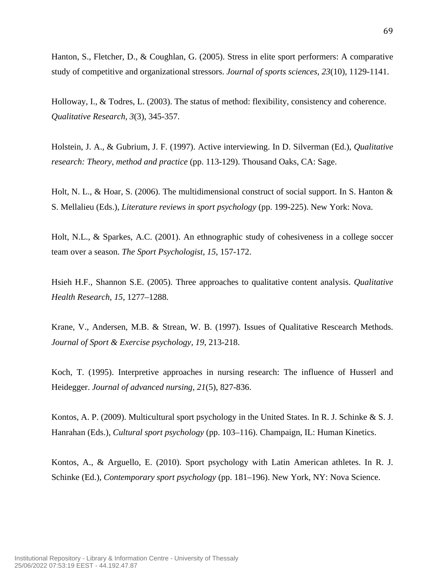69

Hanton, S., Fletcher, D., & Coughlan, G. (2005). Stress in elite sport performers: A comparative study of competitive and organizational stressors. *Journal of sports sciences*, *23*(10), 1129-1141.

Holloway, I., & Todres, L. (2003). The status of method: flexibility, consistency and coherence. *Qualitative Research, 3*(3), 345-357.

Holstein, J. A., & Gubrium, J. F. (1997). Active interviewing. In D. Silverman (Ed.), *Qualitative research: Theory, method and practice* (pp. 113-129). Thousand Oaks, CA: Sage.

Holt, N. L., & Hoar, S. (2006). The multidimensional construct of social support. In S. Hanton & S. Mellalieu (Eds.), *Literature reviews in sport psychology* (pp. 199-225). New York: Nova.

Holt, N.L., & Sparkes, A.C. (2001). An ethnographic study of cohesiveness in a college soccer team over a season. *The Sport Psychologist*, *15*, 157-172.

Hsieh H.F., Shannon S.E. (2005). Three approaches to qualitative content analysis. *Qualitative Health Research*, *15*, 1277–1288.

Krane, V., Andersen, M.B. & Strean, W. B. (1997). Issues of Qualitative Rescearch Methods. *Journal of Sport & Exercise psychology, 19*, 213-218.

Koch, T. (1995). Interpretive approaches in nursing research: The influence of Husserl and Heidegger. *Journal of advanced nursing*, *21*(5), 827-836.

Kontos, A. P. (2009). Multicultural sport psychology in the United States. In R. J. Schinke & S. J. Hanrahan (Eds.), *Cultural sport psychology* (pp. 103–116). Champaign, IL: Human Kinetics.

Kontos, A., & Arguello, E. (2010). Sport psychology with Latin American athletes. In R. J. Schinke (Ed.), *Contemporary sport psychology* (pp. 181–196). New York, NY: Nova Science.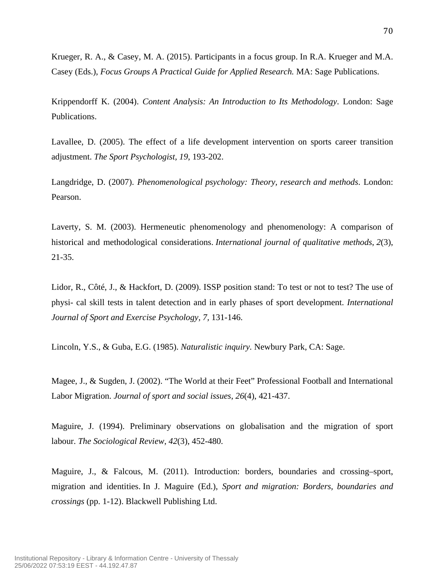Krueger, R. A., & Casey, M. A. (2015). Participants in a focus group. In R.A. Krueger and M.A. Casey (Eds.), *Focus Groups A Practical Guide for Applied Research.* MA: Sage Publications.

Krippendorff K. (2004). *Content Analysis: An Introduction to Its Methodology*. London: Sage Publications.

Lavallee, D. (2005). The effect of a life development intervention on sports career transition adjustment. *The Sport Psychologist, 19*, 193-202.

Langdridge, D. (2007). *Phenomenological psychology: Theory, research and methods*. London: Pearson.

Laverty, S. M. (2003). Hermeneutic phenomenology and phenomenology: A comparison of historical and methodological considerations. *International journal of qualitative methods*, *2*(3), 21-35.

Lidor, R., Côté, J., & Hackfort, D. (2009). ISSP position stand: To test or not to test? The use of physi- cal skill tests in talent detection and in early phases of sport development. *International Journal of Sport and Exercise Psychology, 7,* 131-146.

Lincoln, Y.S., & Guba, E.G. (1985). *Naturalistic inquiry.* Newbury Park, CA: Sage.

Magee, J., & Sugden, J. (2002). "The World at their Feet" Professional Football and International Labor Migration. *Journal of sport and social issues*, *26*(4), 421-437.

Maguire, J. (1994). Preliminary observations on globalisation and the migration of sport labour. *The Sociological Review*, *42*(3), 452-480.

Maguire, J., & Falcous, M. (2011). Introduction: borders, boundaries and crossing–sport, migration and identities. In J. Maguire (Ed.), *Sport and migration: Borders, boundaries and crossings* (pp. 1-12). Blackwell Publishing Ltd.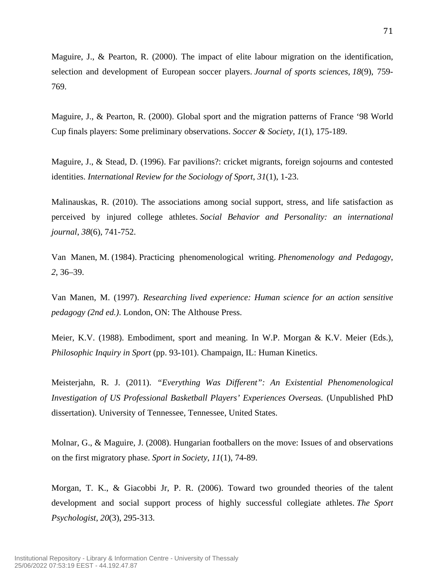Maguire, J., & Pearton, R. (2000). The impact of elite labour migration on the identification, selection and development of European soccer players. *Journal of sports sciences*, *18*(9), 759- 769.

Maguire, J., & Pearton, R. (2000). Global sport and the migration patterns of France '98 World Cup finals players: Some preliminary observations. *Soccer & Society*, *1*(1), 175-189.

Maguire, J., & Stead, D. (1996). Far pavilions?: cricket migrants, foreign sojourns and contested identities. *International Review for the Sociology of Sport*, *31*(1), 1-23.

Malinauskas, R. (2010). The associations among social support, stress, and life satisfaction as perceived by injured college athletes. *Social Behavior and Personality: an international journal*, *38*(6), 741-752.

Van Manen, M. (1984). Practicing phenomenological writing. *Phenomenology and Pedagogy*, *2*, 36–39.

Van Manen, M. (1997). *Researching lived experience: Human science for an action sensitive pedagogy (2nd ed.)*. London, ON: The Althouse Press.

Meier, K.V. (1988). Embodiment, sport and meaning. In W.P. Morgan & K.V. Meier (Eds.), *Philosophic Inquiry in Sport* (pp. 93-101). Champaign, IL: Human Kinetics.

Meisterjahn, R. J. (2011). *"Everything Was Different": An Existential Phenomenological Investigation of US Professional Basketball Players' Experiences Overseas.* (Unpublished PhD dissertation). University of Tennessee, Tennessee, United States.

Molnar, G., & Maguire, J. (2008). Hungarian footballers on the move: Issues of and observations on the first migratory phase. *Sport in Society*, *11*(1), 74-89.

Morgan, T. K., & Giacobbi Jr, P. R. (2006). Toward two grounded theories of the talent development and social support process of highly successful collegiate athletes. *The Sport Psychologist*, *20*(3), 295-313.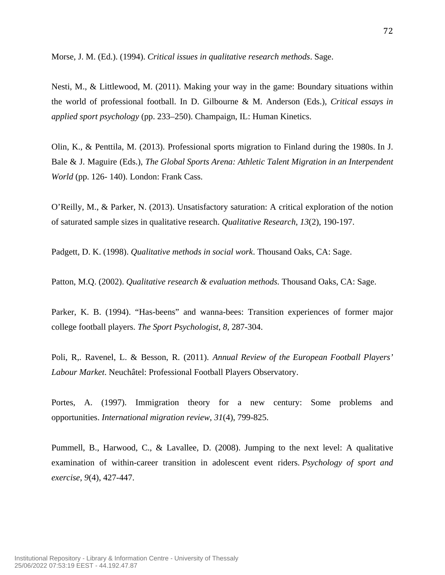Morse, J. M. (Ed.). (1994). *Critical issues in qualitative research methods*. Sage.

Nesti, M., & Littlewood, M. (2011). Making your way in the game: Boundary situations within the world of professional football. In D. Gilbourne & M. Anderson (Eds.), *Critical essays in applied sport psychology* (pp. 233–250). Champaign, IL: Human Kinetics.

Olin, K., & Penttila, M. (2013). Professional sports migration to Finland during the 1980s. In J. Bale & J. Maguire (Eds.), *The Global Sports Arena: Athletic Talent Migration in an Interpendent World* (pp. 126- 140). London: Frank Cass.

O'Reilly, M., & Parker, N. (2013). Unsatisfactory saturation: A critical exploration of the notion of saturated sample sizes in qualitative research. *Qualitative Research*, *13*(2), 190-197.

Padgett, D. K. (1998). *Qualitative methods in social work*. Thousand Oaks, CA: Sage.

Patton, M.Q. (2002). *Qualitative research & evaluation methods.* Thousand Oaks, CA: Sage.

Parker, K. B. (1994). "Has-beens" and wanna-bees: Transition experiences of former major college football players. *The Sport Psychologist*, *8*, 287-304.

Poli, R,. Ravenel, L. & Besson, R. (2011). *Annual Review of the European Football Players' Labour Market*. Neuchâtel: Professional Football Players Observatory.

Portes, A. (1997). Immigration theory for a new century: Some problems and opportunities. *International migration review*, *31*(4), 799-825.

Pummell, B., Harwood, C., & Lavallee, D. (2008). Jumping to the next level: A qualitative examination of within-career transition in adolescent event riders. *Psychology of sport and exercise*, *9*(4), 427-447.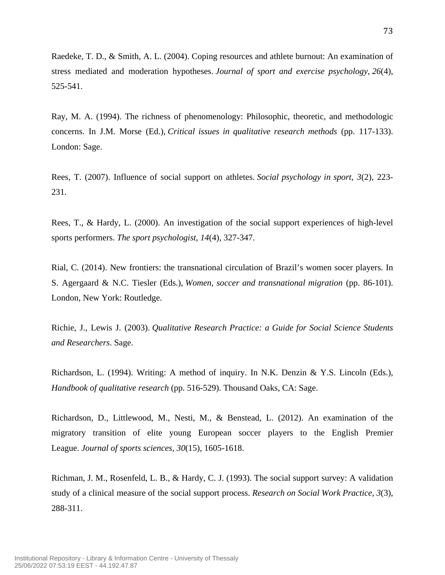Raedeke, T. D., & Smith, A. L. (2004). Coping resources and athlete burnout: An examination of stress mediated and moderation hypotheses. *Journal of sport and exercise psychology*, *26*(4), 525-541.

Ray, M. A. (1994). The richness of phenomenology: Philosophic, theoretic, and methodologic concerns. In J.M. Morse (Ed.), *Critical issues in qualitative research methods* (pp. 117-133). London: Sage.

Rees, T. (2007). Influence of social support on athletes. *Social psychology in sport*, *3*(2), 223- 231.

Rees, T., & Hardy, L. (2000). An investigation of the social support experiences of high-level sports performers. *The sport psychologist*, *14*(4), 327-347.

Rial, C. (2014). New frontiers: the transnational circulation of Brazil's women socer players. In S. Agergaard & N.C. Tiesler (Eds.), *Women, soccer and transnational migration* (pp. 86-101). London, New York: Routledge.

Richie, J., Lewis J. (2003). *Qualitative Research Practice: a Guide for Social Science Students and Researchers*. Sage.

Richardson, L. (1994). Writing: A method of inquiry. In N.K. Denzin & Y.S. Lincoln (Eds.), *Handbook of qualitative research* (pp. 516-529). Thousand Oaks, CA: Sage.

Richardson, D., Littlewood, M., Nesti, M., & Benstead, L. (2012). An examination of the migratory transition of elite young European soccer players to the English Premier League. *Journal of sports sciences*, *30*(15), 1605-1618.

Richman, J. M., Rosenfeld, L. B., & Hardy, C. J. (1993). The social support survey: A validation study of a clinical measure of the social support process. *Research on Social Work Practice*, *3*(3), 288-311.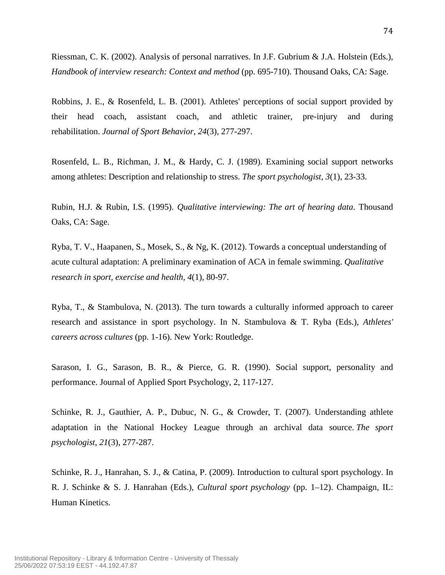Riessman, C. K. (2002). Analysis of personal narratives. In J.F. Gubrium & J.A. Holstein (Eds.), *Handbook of interview research: Context and method* (pp. 695-710). Thousand Oaks, CA: Sage.

Robbins, J. E., & Rosenfeld, L. B. (2001). Athletes' perceptions of social support provided by their head coach, assistant coach, and athletic trainer, pre-injury and during rehabilitation. *Journal of Sport Behavior*, *24*(3), 277-297.

Rosenfeld, L. B., Richman, J. M., & Hardy, C. J. (1989). Examining social support networks among athletes: Description and relationship to stress. *The sport psychologist*, *3*(1), 23-33.

Rubin, H.J. & Rubin, I.S. (1995). *Qualitative interviewing: The art of hearing data*. Thousand Oaks, CA: Sage.

Ryba, T. V., Haapanen, S., Mosek, S., & Ng, K. (2012). Towards a conceptual understanding of acute cultural adaptation: A preliminary examination of ACA in female swimming. *Qualitative research in sport, exercise and health, 4*(1), 80-97.

Ryba, T., & Stambulova, N. (2013). The turn towards a culturally informed approach to career research and assistance in sport psychology. In N. Stambulova & T. Ryba (Eds.), *Athletes' careers across cultures* (pp. 1-16). New York: Routledge.

Sarason, I. G., Sarason, B. R., & Pierce, G. R. (1990). Social support, personality and performance. Journal of Applied Sport Psychology, 2, 117-127.

Schinke, R. J., Gauthier, A. P., Dubuc, N. G., & Crowder, T. (2007). Understanding athlete adaptation in the National Hockey League through an archival data source. *The sport psychologist*, *21*(3), 277-287.

Schinke, R. J., Hanrahan, S. J., & Catina, P. (2009). Introduction to cultural sport psychology. In R. J. Schinke & S. J. Hanrahan (Eds.), *Cultural sport psychology* (pp. 1–12). Champaign, IL: Human Kinetics.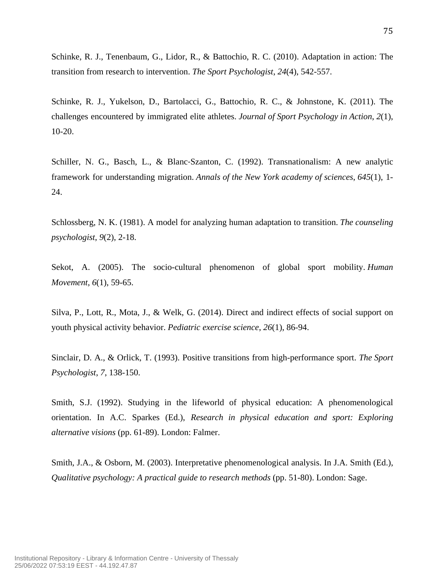Schinke, R. J., Tenenbaum, G., Lidor, R., & Battochio, R. C. (2010). Adaptation in action: The transition from research to intervention. *The Sport Psychologist*, *24*(4), 542-557.

Schinke, R. J., Yukelson, D., Bartolacci, G., Battochio, R. C., & Johnstone, K. (2011). The challenges encountered by immigrated elite athletes. *Journal of Sport Psychology in Action*, *2*(1), 10-20.

Schiller, N. G., Basch, L., & Blanc‐Szanton, C. (1992). Transnationalism: A new analytic framework for understanding migration. *Annals of the New York academy of sciences*, *645*(1), 1- 24.

Schlossberg, N. K. (1981). A model for analyzing human adaptation to transition. *The counseling psychologist*, *9*(2), 2-18.

Sekot, A. (2005). The socio-cultural phenomenon of global sport mobility. *Human Movement*, *6*(1), 59-65.

Silva, P., Lott, R., Mota, J., & Welk, G. (2014). Direct and indirect effects of social support on youth physical activity behavior. *Pediatric exercise science*, *26*(1), 86-94.

Sinclair, D. A., & Orlick, T. (1993). Positive transitions from high-performance sport. *The Sport Psychologist*, *7*, 138-150.

Smith, S.J. (1992). Studying in the lifeworld of physical education: A phenomenological orientation. In A.C. Sparkes (Ed.), *Research in physical education and sport: Exploring alternative visions* (pp. 61-89). London: Falmer.

Smith, J.A., & Osborn, M. (2003). Interpretative phenomenological analysis. In J.A. Smith (Ed.), *Qualitative psychology: A practical guide to research methods* (pp. 51-80). London: Sage.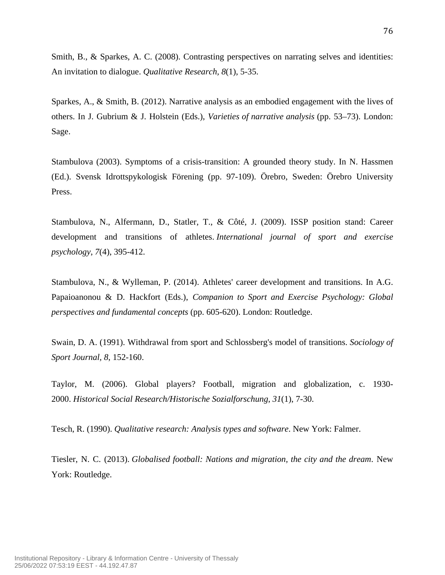Smith, B., & Sparkes, A. C. (2008). Contrasting perspectives on narrating selves and identities: An invitation to dialogue. *Qualitative Research, 8*(1), 5-35.

Sparkes, A., & Smith, B. (2012). Narrative analysis as an embodied engagement with the lives of others. In J. Gubrium & J. Holstein (Eds.), *Varieties of narrative analysis* (pp. 53–73). London: Sage.

Stambulova (2003). Symptoms of a crisis-transition: A grounded theory study. In N. Hassmen (Ed.). Svensk Idrottspykologisk Förening (pp. 97-109). Örebro, Sweden: Örebro University Press.

Stambulova, N., Alfermann, D., Statler, T., & Côté, J. (2009). ISSP position stand: Career development and transitions of athletes. *International journal of sport and exercise psychology*, *7*(4), 395-412.

Stambulova, N., & Wylleman, P. (2014). Athletes' career development and transitions. In A.G. Papaioanonou & D. Hackfort (Eds.), *Companion to Sport and Exercise Psychology: Global perspectives and fundamental concepts* (pp. 605-620). London: Routledge.

Swain, D. A. (1991). Withdrawal from sport and Schlossberg's model of transitions. *Sociology of Sport Journal, 8*, 152-160.

Taylor, M. (2006). Global players? Football, migration and globalization, c. 1930- 2000. *Historical Social Research/Historische Sozialforschung*, *31*(1), 7-30.

Tesch, R. (1990). *Qualitative research: Analysis types and software*. New York: Falmer.

Tiesler, N. C. (2013). *Globalised football: Nations and migration, the city and the dream*. New York: Routledge.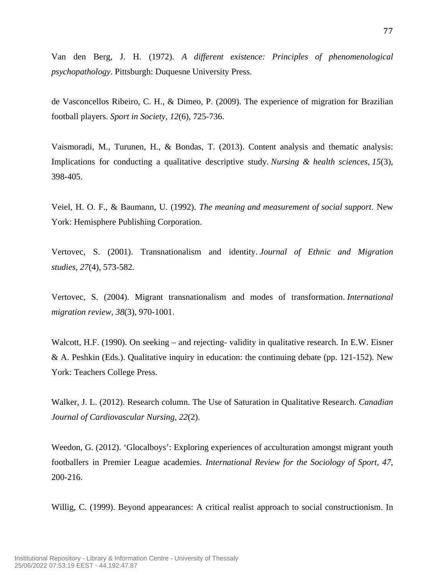Van den Berg, J. H. (1972). *A different existence: Principles of phenomenological psychopathology*. Pittsburgh: Duquesne University Press.

de Vasconcellos Ribeiro, C. H., & Dimeo, P. (2009). The experience of migration for Brazilian football players. *Sport in Society*, *12*(6), 725-736.

Vaismoradi, M., Turunen, H., & Bondas, T. (2013). Content analysis and thematic analysis: Implications for conducting a qualitative descriptive study. *Nursing & health sciences*, *15*(3), 398-405.

Veiel, H. O. F., & Baumann, U. (1992). *The meaning and measurement of social support*. New York: Hemisphere Publishing Corporation.

Vertovec, S. (2001). Transnationalism and identity. *Journal of Ethnic and Migration studies*, *27*(4), 573-582.

Vertovec, S. (2004). Migrant transnationalism and modes of transformation. *International migration review*, *38*(3), 970-1001.

Walcott, H.F. (1990). On seeking – and rejecting- validity in qualitative research. In E.W. Eisner & A. Peshkin (Eds.). Qualitative inquiry in education: the continuing debate (pp. 121-152). New York: Teachers College Press.

Walker, J. L. (2012). Research column. The Use of Saturation in Qualitative Research. *Canadian Journal of Cardiovascular Nursing*, *22*(2).

Weedon, G. (2012). 'Glocalboys': Exploring experiences of acculturation amongst migrant youth footballers in Premier League academies. *International Review for the Sociology of Sport, 47*, 200-216.

Willig, C. (1999). Beyond appearances: A critical realist approach to social constructionism. In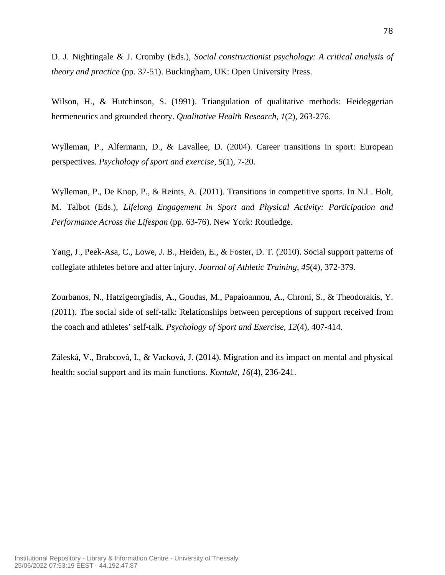D. J. Nightingale & J. Cromby (Eds.), *Social constructionist psychology: A critical analysis of theory and practice* (pp. 37-51). Buckingham, UK: Open University Press.

Wilson, H., & Hutchinson, S. (1991). Triangulation of qualitative methods: Heideggerian hermeneutics and grounded theory. *Qualitative Health Research, 1*(2), 263-276.

Wylleman, P., Alfermann, D., & Lavallee, D. (2004). Career transitions in sport: European perspectives. *Psychology of sport and exercise*, *5*(1), 7-20.

Wylleman, P., De Knop, P., & Reints, A. (2011). Transitions in competitive sports. In N.L. Holt, M. Talbot (Eds.), *Lifelong Engagement in Sport and Physical Activity: Participation and Performance Across the Lifespan* (pp. 63-76). New York: Routledge.

Yang, J., Peek-Asa, C., Lowe, J. B., Heiden, E., & Foster, D. T. (2010). Social support patterns of collegiate athletes before and after injury. *Journal of Athletic Training*, *45*(4), 372-379.

Zourbanos, N., Hatzigeorgiadis, A., Goudas, M., Papaioannou, A., Chroni, S., & Theodorakis, Y. (2011). The social side of self-talk: Relationships between perceptions of support received from the coach and athletes' self-talk. *Psychology of Sport and Exercise*, *12*(4), 407-414.

Záleská, V., Brabcová, I., & Vacková, J. (2014). Migration and its impact on mental and physical health: social support and its main functions. *Kontakt*, *16*(4), 236-241.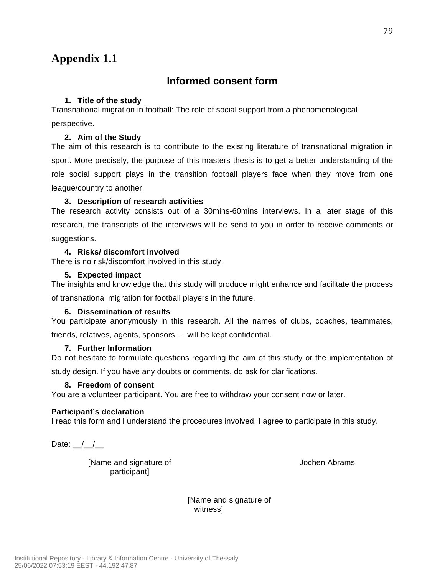## **Informed consent form**

## **1. Title of the study**

Transnational migration in football: The role of social support from a phenomenological perspective.

## **2. Aim of the Study**

The aim of this research is to contribute to the existing literature of transnational migration in sport. More precisely, the purpose of this masters thesis is to get a better understanding of the role social support plays in the transition football players face when they move from one league/country to another.

### **3. Description of research activities**

The research activity consists out of a 30mins-60mins interviews. In a later stage of this research, the transcripts of the interviews will be send to you in order to receive comments or suggestions.

#### **4. Risks/ discomfort involved**

There is no risk/discomfort involved in this study.

#### **5. Expected impact**

The insights and knowledge that this study will produce might enhance and facilitate the process of transnational migration for football players in the future.

### **6. Dissemination of results**

You participate anonymously in this research. All the names of clubs, coaches, teammates, friends, relatives, agents, sponsors,… will be kept confidential.

#### **7. Further Information**

Do not hesitate to formulate questions regarding the aim of this study or the implementation of study design. If you have any doubts or comments, do ask for clarifications.

#### **8. Freedom of consent**

You are a volunteer participant. You are free to withdraw your consent now or later.

#### **Participant's declaration**

I read this form and I understand the procedures involved. I agree to participate in this study.

Date:  $/$  /

[Name and signature of participant]

Jochen Abrams

[Name and signature of witness]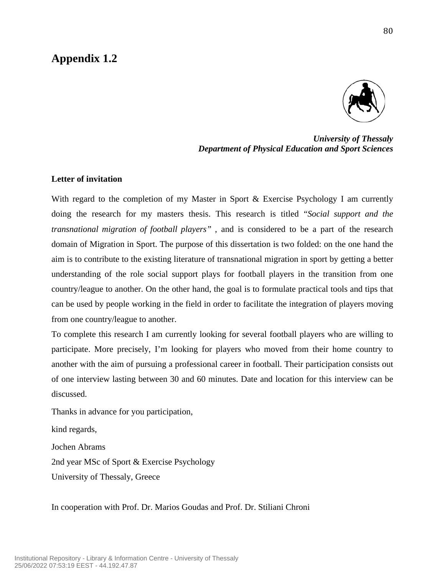

*University of Thessaly Department of Physical Education and Sport Sciences*

### **Letter of invitation**

With regard to the completion of my Master in Sport & Exercise Psychology I am currently doing the research for my masters thesis. This research is titled "*Social support and the transnational migration of football players"* , and is considered to be a part of the research domain of Migration in Sport. The purpose of this dissertation is two folded: on the one hand the aim is to contribute to the existing literature of transnational migration in sport by getting a better understanding of the role social support plays for football players in the transition from one country/league to another. On the other hand, the goal is to formulate practical tools and tips that can be used by people working in the field in order to facilitate the integration of players moving from one country/league to another.

To complete this research I am currently looking for several football players who are willing to participate. More precisely, I'm looking for players who moved from their home country to another with the aim of pursuing a professional career in football. Their participation consists out of one interview lasting between 30 and 60 minutes. Date and location for this interview can be discussed.

Thanks in advance for you participation,

kind regards, Jochen Abrams 2nd year MSc of Sport & Exercise Psychology University of Thessaly, Greece

In cooperation with Prof. Dr. Marios Goudas and Prof. Dr. Stiliani Chroni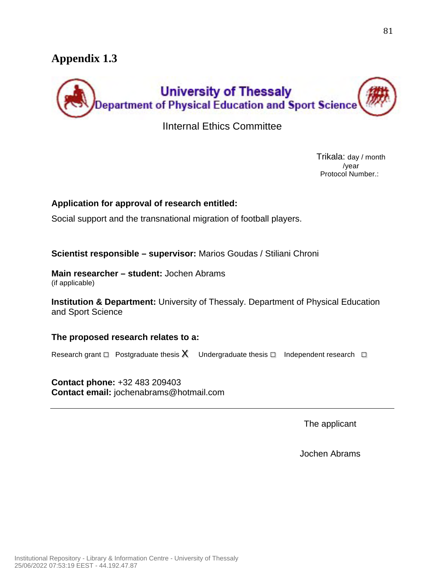

ΙInternal Ethics Committee

Trikala: day / month /year Protocol Number.:

## **Application for approval of research entitled:**

Social support and the transnational migration of football players.

**Scientist responsible – supervisor:** Marios Goudas / Stiliani Chroni

**Main researcher – student:** Jochen Abrams (if applicable)

**Institution & Department:** University of Thessaly. Department of Physical Education and Sport Science

**The proposed research relates to a:**

Research grant  $\square$  Postgraduate thesis  $X$  Undergraduate thesis  $\square$  Independent research  $\square$ 

**Contact phone:** +32 483 209403 **Contact email:** jochenabrams@hotmail.com

The applicant

Jochen Abrams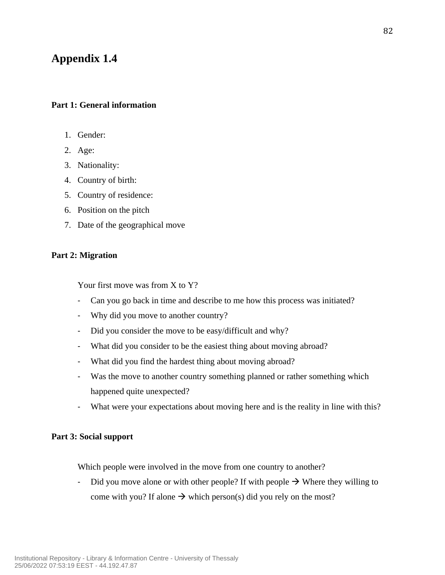## **Part 1: General information**

- 1. Gender:
- 2. Age:
- 3. Nationality:
- 4. Country of birth:
- 5. Country of residence:
- 6. Position on the pitch
- 7. Date of the geographical move

## **Part 2: Migration**

Your first move was from X to Y?

- Can you go back in time and describe to me how this process was initiated?
- Why did you move to another country?
- Did you consider the move to be easy/difficult and why?
- What did you consider to be the easiest thing about moving abroad?
- What did you find the hardest thing about moving abroad?
- Was the move to another country something planned or rather something which happened quite unexpected?
- What were your expectations about moving here and is the reality in line with this?

## **Part 3: Social support**

Which people were involved in the move from one country to another?

- Did you move alone or with other people? If with people  $\rightarrow$  Where they willing to come with you? If alone  $\rightarrow$  which person(s) did you rely on the most?